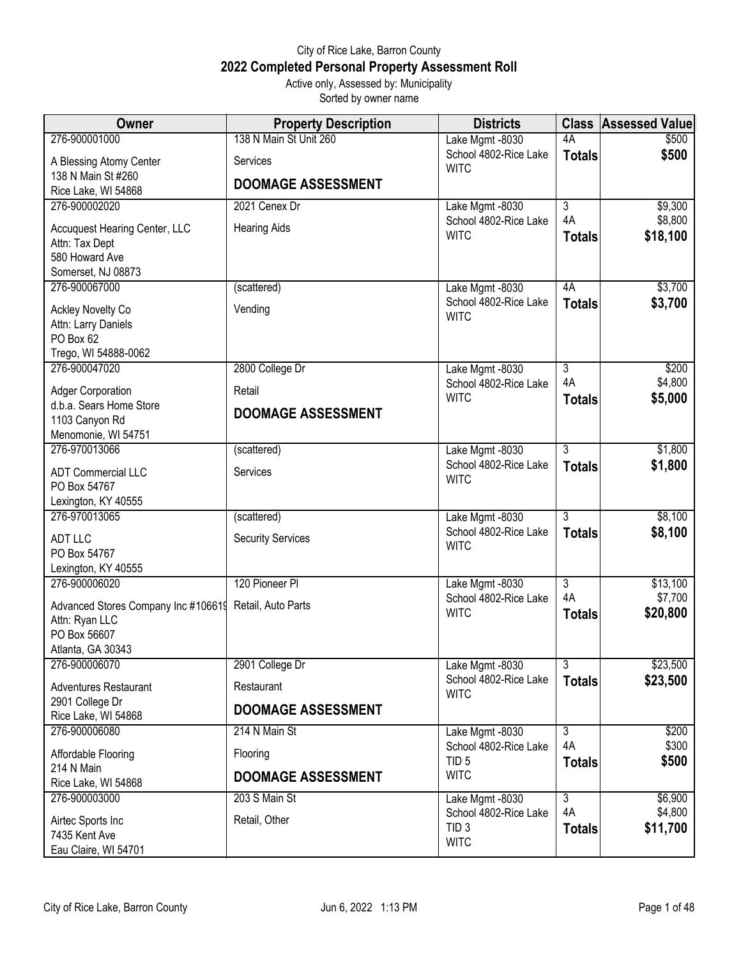## City of Rice Lake, Barron County **2022 Completed Personal Property Assessment Roll** Active only, Assessed by: Municipality

Sorted by owner name

| 138 N Main St Unit 260<br>276-900001000<br>4A<br>Lake Mgmt -8030<br>\$500<br>School 4802-Rice Lake<br>\$500<br><b>Totals</b><br>A Blessing Atomy Center<br>Services<br><b>WITC</b><br>138 N Main St #260<br><b>DOOMAGE ASSESSMENT</b><br>Rice Lake, WI 54868<br>276-900002020<br>$\overline{3}$<br>\$9,300<br>2021 Cenex Dr<br>Lake Mgmt -8030<br>4A<br>\$8,800 | Accuquest Hearing Center, LLC<br>Attn: Tax Dept<br>580 Howard Ave |
|-----------------------------------------------------------------------------------------------------------------------------------------------------------------------------------------------------------------------------------------------------------------------------------------------------------------------------------------------------------------|-------------------------------------------------------------------|
|                                                                                                                                                                                                                                                                                                                                                                 |                                                                   |
|                                                                                                                                                                                                                                                                                                                                                                 |                                                                   |
|                                                                                                                                                                                                                                                                                                                                                                 |                                                                   |
|                                                                                                                                                                                                                                                                                                                                                                 |                                                                   |
| School 4802-Rice Lake                                                                                                                                                                                                                                                                                                                                           |                                                                   |
| <b>Hearing Aids</b><br>\$18,100<br><b>WITC</b><br><b>Totals</b>                                                                                                                                                                                                                                                                                                 |                                                                   |
|                                                                                                                                                                                                                                                                                                                                                                 |                                                                   |
| Somerset, NJ 08873                                                                                                                                                                                                                                                                                                                                              |                                                                   |
| \$3,700<br>276-900067000<br>4A<br>(scattered)<br>Lake Mgmt -8030                                                                                                                                                                                                                                                                                                |                                                                   |
| School 4802-Rice Lake<br>\$3,700<br><b>Totals</b><br>Vending<br><b>Ackley Novelty Co</b><br><b>WITC</b>                                                                                                                                                                                                                                                         |                                                                   |
| Attn: Larry Daniels                                                                                                                                                                                                                                                                                                                                             |                                                                   |
| PO Box 62<br>Trego, WI 54888-0062                                                                                                                                                                                                                                                                                                                               |                                                                   |
| 276-900047020<br>2800 College Dr<br>$\overline{3}$<br>\$200<br>Lake Mgmt -8030                                                                                                                                                                                                                                                                                  |                                                                   |
| 4A<br>\$4,800<br>School 4802-Rice Lake<br><b>Adger Corporation</b><br>Retail                                                                                                                                                                                                                                                                                    |                                                                   |
| \$5,000<br><b>WITC</b><br><b>Totals</b><br>d.b.a. Sears Home Store                                                                                                                                                                                                                                                                                              |                                                                   |
| <b>DOOMAGE ASSESSMENT</b><br>1103 Canyon Rd                                                                                                                                                                                                                                                                                                                     |                                                                   |
| Menomonie, WI 54751                                                                                                                                                                                                                                                                                                                                             |                                                                   |
| $\overline{3}$<br>\$1,800<br>276-970013066<br>(scattered)<br>Lake Mgmt -8030<br>School 4802-Rice Lake<br>\$1,800<br><b>Totals</b>                                                                                                                                                                                                                               |                                                                   |
| Services<br><b>ADT Commercial LLC</b><br><b>WITC</b>                                                                                                                                                                                                                                                                                                            |                                                                   |
| PO Box 54767<br>Lexington, KY 40555                                                                                                                                                                                                                                                                                                                             |                                                                   |
| 3<br>\$8,100<br>276-970013065<br>Lake Mgmt -8030<br>(scattered)                                                                                                                                                                                                                                                                                                 |                                                                   |
| School 4802-Rice Lake<br>\$8,100<br><b>Totals</b><br><b>ADT LLC</b><br><b>Security Services</b>                                                                                                                                                                                                                                                                 |                                                                   |
| <b>WITC</b><br>PO Box 54767                                                                                                                                                                                                                                                                                                                                     |                                                                   |
| Lexington, KY 40555                                                                                                                                                                                                                                                                                                                                             |                                                                   |
| 276-900006020<br>120 Pioneer Pl<br>$\overline{3}$<br>\$13,100<br>Lake Mgmt -8030<br>4A<br>\$7,700<br>School 4802-Rice Lake                                                                                                                                                                                                                                      |                                                                   |
| Advanced Stores Company Inc #106619 Retail, Auto Parts<br>\$20,800<br><b>WITC</b><br><b>Totals</b>                                                                                                                                                                                                                                                              |                                                                   |
| Attn: Ryan LLC<br>PO Box 56607                                                                                                                                                                                                                                                                                                                                  |                                                                   |
| Atlanta, GA 30343                                                                                                                                                                                                                                                                                                                                               |                                                                   |
| $\overline{3}$<br>276-900006070<br>2901 College Dr<br>\$23,500<br>Lake Mgmt -8030                                                                                                                                                                                                                                                                               |                                                                   |
| School 4802-Rice Lake<br>\$23,500<br><b>Totals</b><br><b>Adventures Restaurant</b><br>Restaurant<br><b>WITC</b>                                                                                                                                                                                                                                                 |                                                                   |
| 2901 College Dr<br><b>DOOMAGE ASSESSMENT</b>                                                                                                                                                                                                                                                                                                                    |                                                                   |
| Rice Lake, WI 54868<br>276-900006080<br>214 N Main St<br>\$200<br>Lake Mgmt -8030<br>$\overline{3}$                                                                                                                                                                                                                                                             |                                                                   |
| \$300<br>4A<br>School 4802-Rice Lake<br>Affordable Flooring<br>Flooring                                                                                                                                                                                                                                                                                         |                                                                   |
| \$500<br>TID <sub>5</sub><br><b>Totals</b><br>214 N Main                                                                                                                                                                                                                                                                                                        |                                                                   |
| <b>WITC</b><br><b>DOOMAGE ASSESSMENT</b><br>Rice Lake, WI 54868                                                                                                                                                                                                                                                                                                 |                                                                   |
| 203 S Main St<br>$\overline{3}$<br>\$6,900<br>276-900003000<br>Lake Mgmt -8030                                                                                                                                                                                                                                                                                  |                                                                   |
| 4A<br>\$4,800<br>School 4802-Rice Lake<br>Retail, Other<br>Airtec Sports Inc<br>\$11,700<br>TID <sub>3</sub><br><b>Totals</b>                                                                                                                                                                                                                                   |                                                                   |
| 7435 Kent Ave<br><b>WITC</b><br>Eau Claire, WI 54701                                                                                                                                                                                                                                                                                                            |                                                                   |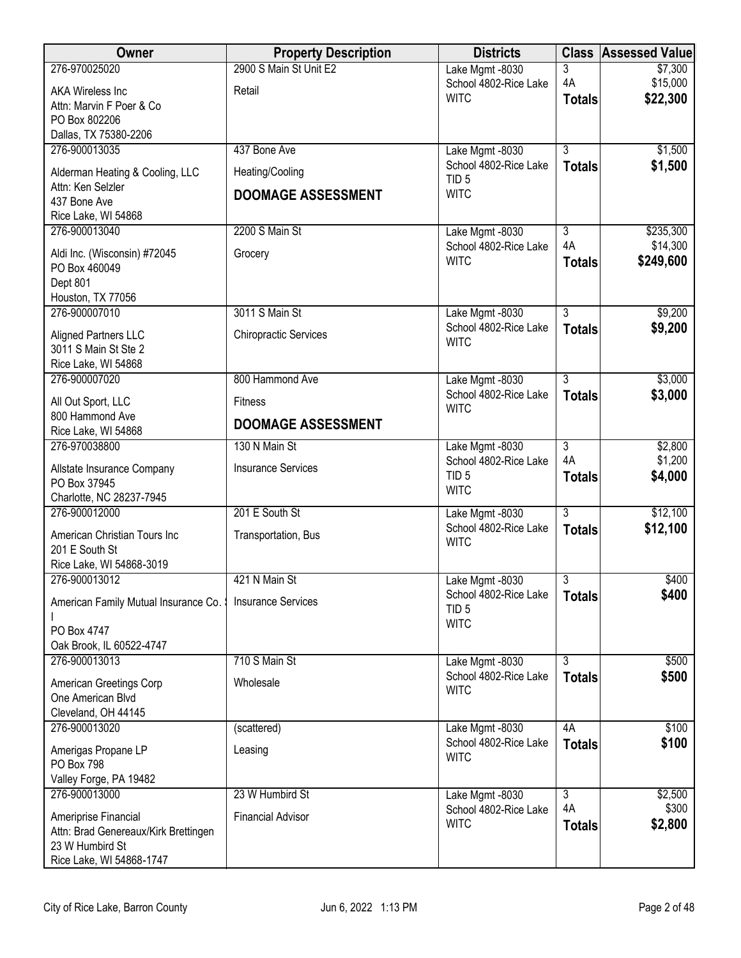| Owner                                                   | <b>Property Description</b>  | <b>Districts</b>                         |                                 | <b>Class Assessed Value</b> |
|---------------------------------------------------------|------------------------------|------------------------------------------|---------------------------------|-----------------------------|
| 276-970025020                                           | 2900 S Main St Unit E2       | Lake Mgmt -8030                          | 3                               | \$7,300                     |
| <b>AKA Wireless Inc</b>                                 | Retail                       | School 4802-Rice Lake<br><b>WITC</b>     | 4A<br><b>Totals</b>             | \$15,000<br>\$22,300        |
| Attn: Marvin F Poer & Co                                |                              |                                          |                                 |                             |
| PO Box 802206<br>Dallas, TX 75380-2206                  |                              |                                          |                                 |                             |
| 276-900013035                                           | 437 Bone Ave                 | Lake Mgmt -8030                          | $\overline{3}$                  | \$1,500                     |
| Alderman Heating & Cooling, LLC                         | Heating/Cooling              | School 4802-Rice Lake                    | <b>Totals</b>                   | \$1,500                     |
| Attn: Ken Selzler                                       | <b>DOOMAGE ASSESSMENT</b>    | TID <sub>5</sub><br><b>WITC</b>          |                                 |                             |
| 437 Bone Ave                                            |                              |                                          |                                 |                             |
| Rice Lake, WI 54868<br>276-900013040                    | 2200 S Main St               | Lake Mgmt -8030                          | $\overline{3}$                  | \$235,300                   |
|                                                         | Grocery                      | School 4802-Rice Lake                    | 4A                              | \$14,300                    |
| Aldi Inc. (Wisconsin) #72045<br>PO Box 460049           |                              | <b>WITC</b>                              | <b>Totals</b>                   | \$249,600                   |
| Dept 801                                                |                              |                                          |                                 |                             |
| Houston, TX 77056                                       |                              |                                          |                                 |                             |
| 276-900007010                                           | 3011 S Main St               | Lake Mgmt -8030<br>School 4802-Rice Lake | $\overline{3}$<br><b>Totals</b> | \$9,200<br>\$9,200          |
| Aligned Partners LLC<br>3011 S Main St Ste 2            | <b>Chiropractic Services</b> | <b>WITC</b>                              |                                 |                             |
| Rice Lake, WI 54868                                     |                              |                                          |                                 |                             |
| 276-900007020                                           | 800 Hammond Ave              | Lake Mgmt -8030                          | $\overline{3}$                  | \$3,000                     |
| All Out Sport, LLC                                      | <b>Fitness</b>               | School 4802-Rice Lake<br><b>WITC</b>     | <b>Totals</b>                   | \$3,000                     |
| 800 Hammond Ave                                         | <b>DOOMAGE ASSESSMENT</b>    |                                          |                                 |                             |
| Rice Lake, WI 54868<br>276-970038800                    | 130 N Main St                | Lake Mgmt -8030                          | $\overline{3}$                  | \$2,800                     |
|                                                         |                              | School 4802-Rice Lake                    | 4A                              | \$1,200                     |
| Allstate Insurance Company<br>PO Box 37945              | <b>Insurance Services</b>    | TID <sub>5</sub>                         | <b>Totals</b>                   | \$4,000                     |
| Charlotte, NC 28237-7945                                |                              | <b>WITC</b>                              |                                 |                             |
| 276-900012000                                           | 201 E South St               | Lake Mgmt -8030                          | $\overline{3}$                  | \$12,100                    |
| American Christian Tours Inc                            | Transportation, Bus          | School 4802-Rice Lake<br><b>WITC</b>     | <b>Totals</b>                   | \$12,100                    |
| 201 E South St                                          |                              |                                          |                                 |                             |
| Rice Lake, WI 54868-3019<br>276-900013012               | 421 N Main St                | Lake Mgmt -8030                          | $\overline{3}$                  | \$400                       |
|                                                         |                              | School 4802-Rice Lake                    | <b>Totals</b>                   | \$400                       |
| American Family Mutual Insurance Co.                    | <b>Insurance Services</b>    | TID <sub>5</sub>                         |                                 |                             |
| PO Box 4747                                             |                              | <b>WITC</b>                              |                                 |                             |
| Oak Brook, IL 60522-4747                                |                              |                                          |                                 |                             |
| 276-900013013                                           | 710 S Main St                | Lake Mgmt -8030<br>School 4802-Rice Lake | $\overline{3}$<br><b>Totals</b> | \$500<br>\$500              |
| American Greetings Corp<br>One American Blvd            | Wholesale                    | <b>WITC</b>                              |                                 |                             |
| Cleveland, OH 44145                                     |                              |                                          |                                 |                             |
| 276-900013020                                           | (scattered)                  | Lake Mgmt -8030                          | 4A                              | \$100                       |
| Amerigas Propane LP                                     | Leasing                      | School 4802-Rice Lake                    | <b>Totals</b>                   | \$100                       |
| PO Box 798                                              |                              | <b>WITC</b>                              |                                 |                             |
| Valley Forge, PA 19482                                  |                              |                                          | $\overline{3}$                  |                             |
| 276-900013000                                           | 23 W Humbird St              | Lake Mgmt -8030<br>School 4802-Rice Lake | 4A                              | \$2,500<br>\$300            |
| Ameriprise Financial                                    | <b>Financial Advisor</b>     | <b>WITC</b>                              | <b>Totals</b>                   | \$2,800                     |
| Attn: Brad Genereaux/Kirk Brettingen<br>23 W Humbird St |                              |                                          |                                 |                             |
| Rice Lake, WI 54868-1747                                |                              |                                          |                                 |                             |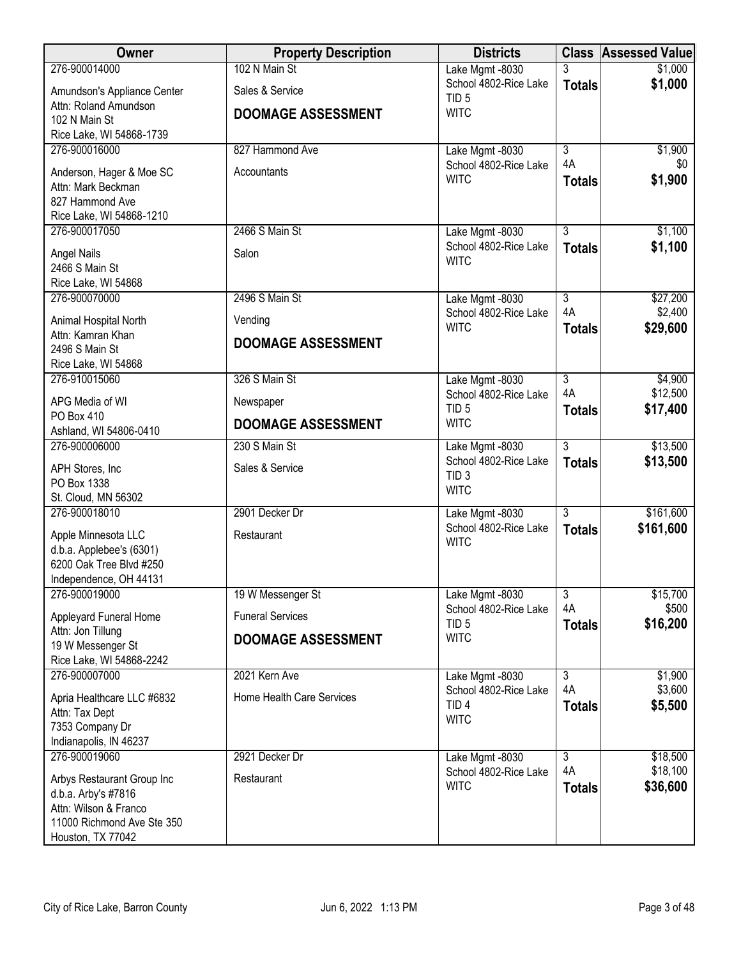| Owner                                             | <b>Property Description</b> | <b>Districts</b>                          |                           | <b>Class Assessed Value</b> |
|---------------------------------------------------|-----------------------------|-------------------------------------------|---------------------------|-----------------------------|
| 276-900014000                                     | 102 N Main St               | Lake Mgmt -8030                           | 3                         | \$1,000                     |
| Amundson's Appliance Center                       | Sales & Service             | School 4802-Rice Lake                     | <b>Totals</b>             | \$1,000                     |
| Attn: Roland Amundson                             | <b>DOOMAGE ASSESSMENT</b>   | TID <sub>5</sub><br><b>WITC</b>           |                           |                             |
| 102 N Main St                                     |                             |                                           |                           |                             |
| Rice Lake, WI 54868-1739                          |                             |                                           |                           |                             |
| 276-900016000                                     | 827 Hammond Ave             | Lake Mgmt -8030                           | $\overline{\overline{3}}$ | \$1,900                     |
| Anderson, Hager & Moe SC                          | Accountants                 | School 4802-Rice Lake                     | 4A                        | \$0                         |
| Attn: Mark Beckman                                |                             | <b>WITC</b>                               | <b>Totals</b>             | \$1,900                     |
| 827 Hammond Ave                                   |                             |                                           |                           |                             |
| Rice Lake, WI 54868-1210                          |                             |                                           |                           |                             |
| 276-900017050                                     | 2466 S Main St              | Lake Mgmt -8030                           | $\overline{3}$            | \$1,100                     |
| <b>Angel Nails</b>                                | Salon                       | School 4802-Rice Lake<br><b>WITC</b>      | <b>Totals</b>             | \$1,100                     |
| 2466 S Main St                                    |                             |                                           |                           |                             |
| Rice Lake, WI 54868                               |                             |                                           |                           |                             |
| 276-900070000                                     | 2496 S Main St              | Lake Mgmt -8030                           | $\overline{3}$            | \$27,200                    |
| Animal Hospital North                             | Vending                     | School 4802-Rice Lake<br><b>WITC</b>      | 4A<br><b>Totals</b>       | \$2,400<br>\$29,600         |
| Attn: Kamran Khan<br>2496 S Main St               | <b>DOOMAGE ASSESSMENT</b>   |                                           |                           |                             |
| Rice Lake, WI 54868                               |                             |                                           |                           |                             |
| 276-910015060                                     | 326 S Main St               | Lake Mgmt -8030                           | $\overline{3}$            | \$4,900                     |
| APG Media of WI                                   | Newspaper                   | School 4802-Rice Lake                     | 4A                        | \$12,500                    |
| PO Box 410                                        | <b>DOOMAGE ASSESSMENT</b>   | TID <sub>5</sub><br><b>WITC</b>           | <b>Totals</b>             | \$17,400                    |
| Ashland, WI 54806-0410                            |                             |                                           |                           |                             |
| 276-900006000                                     | 230 S Main St               | Lake Mgmt -8030                           | $\overline{3}$            | \$13,500                    |
| APH Stores, Inc                                   | Sales & Service             | School 4802-Rice Lake<br>TID <sub>3</sub> | <b>Totals</b>             | \$13,500                    |
| PO Box 1338                                       |                             | <b>WITC</b>                               |                           |                             |
| St. Cloud, MN 56302                               |                             |                                           |                           |                             |
| 276-900018010                                     | 2901 Decker Dr              | Lake Mgmt -8030<br>School 4802-Rice Lake  | $\overline{3}$            | \$161,600                   |
| Apple Minnesota LLC                               | Restaurant                  | <b>WITC</b>                               | <b>Totals</b>             | \$161,600                   |
| d.b.a. Applebee's (6301)                          |                             |                                           |                           |                             |
| 6200 Oak Tree Blvd #250                           |                             |                                           |                           |                             |
| Independence, OH 44131<br>276-900019000           |                             |                                           |                           |                             |
|                                                   | 19 W Messenger St           | Lake Mgmt -8030<br>School 4802-Rice Lake  | $\overline{3}$<br>4A      | \$15,700<br>\$500           |
| Appleyard Funeral Home                            | <b>Funeral Services</b>     | TID <sub>5</sub>                          | <b>Totals</b>             | \$16,200                    |
| Attn: Jon Tillung<br>19 W Messenger St            | <b>DOOMAGE ASSESSMENT</b>   | <b>WITC</b>                               |                           |                             |
| Rice Lake, WI 54868-2242                          |                             |                                           |                           |                             |
| 276-900007000                                     | 2021 Kern Ave               | Lake Mgmt -8030                           | 3                         | \$1,900                     |
|                                                   |                             | School 4802-Rice Lake                     | 4A                        | \$3,600                     |
| Apria Healthcare LLC #6832                        | Home Health Care Services   | TID <sub>4</sub>                          | <b>Totals</b>             | \$5,500                     |
| Attn: Tax Dept<br>7353 Company Dr                 |                             | <b>WITC</b>                               |                           |                             |
| Indianapolis, IN 46237                            |                             |                                           |                           |                             |
| 276-900019060                                     | 2921 Decker Dr              | Lake Mgmt -8030                           | $\overline{3}$            | \$18,500                    |
|                                                   |                             | School 4802-Rice Lake                     | 4A                        | \$18,100                    |
| Arbys Restaurant Group Inc<br>d.b.a. Arby's #7816 | Restaurant                  | <b>WITC</b>                               | <b>Totals</b>             | \$36,600                    |
| Attn: Wilson & Franco                             |                             |                                           |                           |                             |
| 11000 Richmond Ave Ste 350                        |                             |                                           |                           |                             |
| Houston, TX 77042                                 |                             |                                           |                           |                             |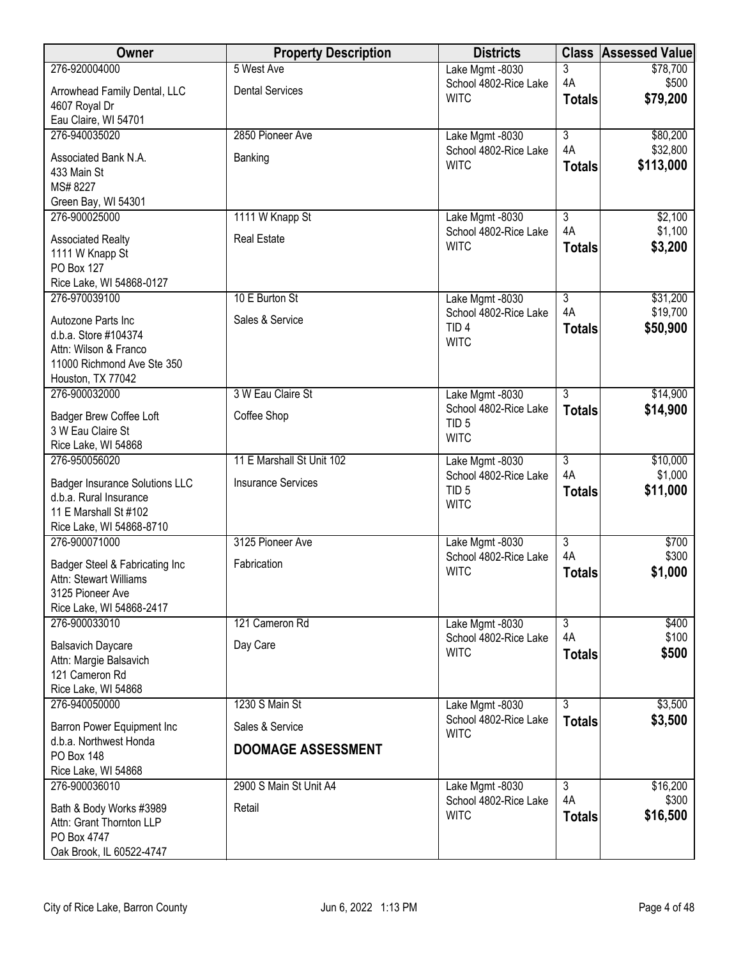| 3<br>Lake Mgmt -8030<br>\$78,700<br>4A<br>\$500<br>School 4802-Rice Lake<br><b>Dental Services</b><br>Arrowhead Family Dental, LLC<br><b>WITC</b><br>\$79,200<br><b>Totals</b><br>4607 Royal Dr<br>Eau Claire, WI 54701<br>276-940035020<br>2850 Pioneer Ave<br>$\overline{3}$<br>\$80,200<br>Lake Mgmt -8030<br>4A<br>\$32,800<br>School 4802-Rice Lake<br>Associated Bank N.A.<br>Banking<br><b>WITC</b><br>\$113,000<br><b>Totals</b><br>433 Main St<br>MS#8227<br>Green Bay, WI 54301<br>1111 W Knapp St<br>$\overline{3}$<br>\$2,100<br>276-900025000<br>Lake Mgmt -8030<br>4A<br>\$1,100<br>School 4802-Rice Lake<br><b>Real Estate</b><br><b>Associated Realty</b><br><b>WITC</b><br>\$3,200<br><b>Totals</b><br>1111 W Knapp St<br>PO Box 127<br>Rice Lake, WI 54868-0127<br>276-970039100<br>10 E Burton St<br>$\overline{3}$<br>\$31,200<br>Lake Mgmt -8030<br>4A<br>\$19,700<br>School 4802-Rice Lake<br>Sales & Service<br>Autozone Parts Inc<br>TID <sub>4</sub><br>\$50,900<br><b>Totals</b><br>d.b.a. Store #104374<br><b>WITC</b><br>Attn: Wilson & Franco<br>11000 Richmond Ave Ste 350<br>Houston, TX 77042<br>3 W Eau Claire St<br>$\overline{3}$<br>\$14,900<br>276-900032000<br>Lake Mgmt -8030<br>School 4802-Rice Lake<br>\$14,900<br><b>Totals</b><br>Coffee Shop<br>Badger Brew Coffee Loft<br>TID <sub>5</sub><br>3 W Eau Claire St<br><b>WITC</b><br>Rice Lake, WI 54868<br>$\overline{3}$<br>276-950056020<br>11 E Marshall St Unit 102<br>\$10,000<br>Lake Mgmt -8030<br>4A<br>\$1,000<br>School 4802-Rice Lake<br><b>Insurance Services</b><br><b>Badger Insurance Solutions LLC</b><br>TID <sub>5</sub><br>\$11,000<br><b>Totals</b><br>d.b.a. Rural Insurance<br><b>WITC</b><br>11 E Marshall St #102<br>Rice Lake, WI 54868-8710<br>$\overline{3}$<br>276-900071000<br>3125 Pioneer Ave<br>\$700<br>Lake Mgmt -8030<br>4A<br>\$300<br>School 4802-Rice Lake<br>Fabrication<br>Badger Steel & Fabricating Inc<br><b>WITC</b><br>\$1,000<br><b>Totals</b><br>Attn: Stewart Williams<br>3125 Pioneer Ave<br>Rice Lake, WI 54868-2417<br>276-900033010<br>121 Cameron Rd<br>$\overline{3}$<br>\$400<br>Lake Mgmt -8030<br>4A<br>\$100<br>School 4802-Rice Lake<br>Day Care<br><b>Balsavich Daycare</b><br><b>WITC</b><br>\$500<br><b>Totals</b><br>Attn: Margie Balsavich<br>121 Cameron Rd<br>Rice Lake, WI 54868<br>276-940050000<br>1230 S Main St<br>$\overline{3}$<br>\$3,500<br>Lake Mgmt -8030<br>School 4802-Rice Lake<br>\$3,500<br><b>Totals</b><br>Sales & Service<br>Barron Power Equipment Inc<br><b>WITC</b><br>d.b.a. Northwest Honda<br><b>DOOMAGE ASSESSMENT</b><br><b>PO Box 148</b><br>Rice Lake, WI 54868<br>276-900036010<br>2900 S Main St Unit A4<br>$\overline{3}$<br>\$16,200<br>Lake Mgmt -8030<br>4A<br>\$300<br>School 4802-Rice Lake<br>Bath & Body Works #3989<br>Retail<br>\$16,500<br><b>WITC</b><br><b>Totals</b><br>Attn: Grant Thornton LLP<br>PO Box 4747 | Owner                    | <b>Property Description</b> | <b>Districts</b> | <b>Class</b> | <b>Assessed Value</b> |
|----------------------------------------------------------------------------------------------------------------------------------------------------------------------------------------------------------------------------------------------------------------------------------------------------------------------------------------------------------------------------------------------------------------------------------------------------------------------------------------------------------------------------------------------------------------------------------------------------------------------------------------------------------------------------------------------------------------------------------------------------------------------------------------------------------------------------------------------------------------------------------------------------------------------------------------------------------------------------------------------------------------------------------------------------------------------------------------------------------------------------------------------------------------------------------------------------------------------------------------------------------------------------------------------------------------------------------------------------------------------------------------------------------------------------------------------------------------------------------------------------------------------------------------------------------------------------------------------------------------------------------------------------------------------------------------------------------------------------------------------------------------------------------------------------------------------------------------------------------------------------------------------------------------------------------------------------------------------------------------------------------------------------------------------------------------------------------------------------------------------------------------------------------------------------------------------------------------------------------------------------------------------------------------------------------------------------------------------------------------------------------------------------------------------------------------------------------------------------------------------------------------------------------------------------------------------------------------------------------------------------------------------------------------------------------------------------------------------------------------------------------------------------------------------------------------------------------------------------------------------------------------------------------------------------|--------------------------|-----------------------------|------------------|--------------|-----------------------|
|                                                                                                                                                                                                                                                                                                                                                                                                                                                                                                                                                                                                                                                                                                                                                                                                                                                                                                                                                                                                                                                                                                                                                                                                                                                                                                                                                                                                                                                                                                                                                                                                                                                                                                                                                                                                                                                                                                                                                                                                                                                                                                                                                                                                                                                                                                                                                                                                                                                                                                                                                                                                                                                                                                                                                                                                                                                                                                                            | 276-920004000            | 5 West Ave                  |                  |              |                       |
|                                                                                                                                                                                                                                                                                                                                                                                                                                                                                                                                                                                                                                                                                                                                                                                                                                                                                                                                                                                                                                                                                                                                                                                                                                                                                                                                                                                                                                                                                                                                                                                                                                                                                                                                                                                                                                                                                                                                                                                                                                                                                                                                                                                                                                                                                                                                                                                                                                                                                                                                                                                                                                                                                                                                                                                                                                                                                                                            |                          |                             |                  |              |                       |
|                                                                                                                                                                                                                                                                                                                                                                                                                                                                                                                                                                                                                                                                                                                                                                                                                                                                                                                                                                                                                                                                                                                                                                                                                                                                                                                                                                                                                                                                                                                                                                                                                                                                                                                                                                                                                                                                                                                                                                                                                                                                                                                                                                                                                                                                                                                                                                                                                                                                                                                                                                                                                                                                                                                                                                                                                                                                                                                            |                          |                             |                  |              |                       |
|                                                                                                                                                                                                                                                                                                                                                                                                                                                                                                                                                                                                                                                                                                                                                                                                                                                                                                                                                                                                                                                                                                                                                                                                                                                                                                                                                                                                                                                                                                                                                                                                                                                                                                                                                                                                                                                                                                                                                                                                                                                                                                                                                                                                                                                                                                                                                                                                                                                                                                                                                                                                                                                                                                                                                                                                                                                                                                                            |                          |                             |                  |              |                       |
|                                                                                                                                                                                                                                                                                                                                                                                                                                                                                                                                                                                                                                                                                                                                                                                                                                                                                                                                                                                                                                                                                                                                                                                                                                                                                                                                                                                                                                                                                                                                                                                                                                                                                                                                                                                                                                                                                                                                                                                                                                                                                                                                                                                                                                                                                                                                                                                                                                                                                                                                                                                                                                                                                                                                                                                                                                                                                                                            |                          |                             |                  |              |                       |
|                                                                                                                                                                                                                                                                                                                                                                                                                                                                                                                                                                                                                                                                                                                                                                                                                                                                                                                                                                                                                                                                                                                                                                                                                                                                                                                                                                                                                                                                                                                                                                                                                                                                                                                                                                                                                                                                                                                                                                                                                                                                                                                                                                                                                                                                                                                                                                                                                                                                                                                                                                                                                                                                                                                                                                                                                                                                                                                            |                          |                             |                  |              |                       |
|                                                                                                                                                                                                                                                                                                                                                                                                                                                                                                                                                                                                                                                                                                                                                                                                                                                                                                                                                                                                                                                                                                                                                                                                                                                                                                                                                                                                                                                                                                                                                                                                                                                                                                                                                                                                                                                                                                                                                                                                                                                                                                                                                                                                                                                                                                                                                                                                                                                                                                                                                                                                                                                                                                                                                                                                                                                                                                                            |                          |                             |                  |              |                       |
|                                                                                                                                                                                                                                                                                                                                                                                                                                                                                                                                                                                                                                                                                                                                                                                                                                                                                                                                                                                                                                                                                                                                                                                                                                                                                                                                                                                                                                                                                                                                                                                                                                                                                                                                                                                                                                                                                                                                                                                                                                                                                                                                                                                                                                                                                                                                                                                                                                                                                                                                                                                                                                                                                                                                                                                                                                                                                                                            |                          |                             |                  |              |                       |
|                                                                                                                                                                                                                                                                                                                                                                                                                                                                                                                                                                                                                                                                                                                                                                                                                                                                                                                                                                                                                                                                                                                                                                                                                                                                                                                                                                                                                                                                                                                                                                                                                                                                                                                                                                                                                                                                                                                                                                                                                                                                                                                                                                                                                                                                                                                                                                                                                                                                                                                                                                                                                                                                                                                                                                                                                                                                                                                            |                          |                             |                  |              |                       |
|                                                                                                                                                                                                                                                                                                                                                                                                                                                                                                                                                                                                                                                                                                                                                                                                                                                                                                                                                                                                                                                                                                                                                                                                                                                                                                                                                                                                                                                                                                                                                                                                                                                                                                                                                                                                                                                                                                                                                                                                                                                                                                                                                                                                                                                                                                                                                                                                                                                                                                                                                                                                                                                                                                                                                                                                                                                                                                                            |                          |                             |                  |              |                       |
|                                                                                                                                                                                                                                                                                                                                                                                                                                                                                                                                                                                                                                                                                                                                                                                                                                                                                                                                                                                                                                                                                                                                                                                                                                                                                                                                                                                                                                                                                                                                                                                                                                                                                                                                                                                                                                                                                                                                                                                                                                                                                                                                                                                                                                                                                                                                                                                                                                                                                                                                                                                                                                                                                                                                                                                                                                                                                                                            |                          |                             |                  |              |                       |
|                                                                                                                                                                                                                                                                                                                                                                                                                                                                                                                                                                                                                                                                                                                                                                                                                                                                                                                                                                                                                                                                                                                                                                                                                                                                                                                                                                                                                                                                                                                                                                                                                                                                                                                                                                                                                                                                                                                                                                                                                                                                                                                                                                                                                                                                                                                                                                                                                                                                                                                                                                                                                                                                                                                                                                                                                                                                                                                            |                          |                             |                  |              |                       |
|                                                                                                                                                                                                                                                                                                                                                                                                                                                                                                                                                                                                                                                                                                                                                                                                                                                                                                                                                                                                                                                                                                                                                                                                                                                                                                                                                                                                                                                                                                                                                                                                                                                                                                                                                                                                                                                                                                                                                                                                                                                                                                                                                                                                                                                                                                                                                                                                                                                                                                                                                                                                                                                                                                                                                                                                                                                                                                                            |                          |                             |                  |              |                       |
|                                                                                                                                                                                                                                                                                                                                                                                                                                                                                                                                                                                                                                                                                                                                                                                                                                                                                                                                                                                                                                                                                                                                                                                                                                                                                                                                                                                                                                                                                                                                                                                                                                                                                                                                                                                                                                                                                                                                                                                                                                                                                                                                                                                                                                                                                                                                                                                                                                                                                                                                                                                                                                                                                                                                                                                                                                                                                                                            |                          |                             |                  |              |                       |
|                                                                                                                                                                                                                                                                                                                                                                                                                                                                                                                                                                                                                                                                                                                                                                                                                                                                                                                                                                                                                                                                                                                                                                                                                                                                                                                                                                                                                                                                                                                                                                                                                                                                                                                                                                                                                                                                                                                                                                                                                                                                                                                                                                                                                                                                                                                                                                                                                                                                                                                                                                                                                                                                                                                                                                                                                                                                                                                            |                          |                             |                  |              |                       |
|                                                                                                                                                                                                                                                                                                                                                                                                                                                                                                                                                                                                                                                                                                                                                                                                                                                                                                                                                                                                                                                                                                                                                                                                                                                                                                                                                                                                                                                                                                                                                                                                                                                                                                                                                                                                                                                                                                                                                                                                                                                                                                                                                                                                                                                                                                                                                                                                                                                                                                                                                                                                                                                                                                                                                                                                                                                                                                                            |                          |                             |                  |              |                       |
|                                                                                                                                                                                                                                                                                                                                                                                                                                                                                                                                                                                                                                                                                                                                                                                                                                                                                                                                                                                                                                                                                                                                                                                                                                                                                                                                                                                                                                                                                                                                                                                                                                                                                                                                                                                                                                                                                                                                                                                                                                                                                                                                                                                                                                                                                                                                                                                                                                                                                                                                                                                                                                                                                                                                                                                                                                                                                                                            |                          |                             |                  |              |                       |
|                                                                                                                                                                                                                                                                                                                                                                                                                                                                                                                                                                                                                                                                                                                                                                                                                                                                                                                                                                                                                                                                                                                                                                                                                                                                                                                                                                                                                                                                                                                                                                                                                                                                                                                                                                                                                                                                                                                                                                                                                                                                                                                                                                                                                                                                                                                                                                                                                                                                                                                                                                                                                                                                                                                                                                                                                                                                                                                            |                          |                             |                  |              |                       |
|                                                                                                                                                                                                                                                                                                                                                                                                                                                                                                                                                                                                                                                                                                                                                                                                                                                                                                                                                                                                                                                                                                                                                                                                                                                                                                                                                                                                                                                                                                                                                                                                                                                                                                                                                                                                                                                                                                                                                                                                                                                                                                                                                                                                                                                                                                                                                                                                                                                                                                                                                                                                                                                                                                                                                                                                                                                                                                                            |                          |                             |                  |              |                       |
|                                                                                                                                                                                                                                                                                                                                                                                                                                                                                                                                                                                                                                                                                                                                                                                                                                                                                                                                                                                                                                                                                                                                                                                                                                                                                                                                                                                                                                                                                                                                                                                                                                                                                                                                                                                                                                                                                                                                                                                                                                                                                                                                                                                                                                                                                                                                                                                                                                                                                                                                                                                                                                                                                                                                                                                                                                                                                                                            |                          |                             |                  |              |                       |
|                                                                                                                                                                                                                                                                                                                                                                                                                                                                                                                                                                                                                                                                                                                                                                                                                                                                                                                                                                                                                                                                                                                                                                                                                                                                                                                                                                                                                                                                                                                                                                                                                                                                                                                                                                                                                                                                                                                                                                                                                                                                                                                                                                                                                                                                                                                                                                                                                                                                                                                                                                                                                                                                                                                                                                                                                                                                                                                            |                          |                             |                  |              |                       |
|                                                                                                                                                                                                                                                                                                                                                                                                                                                                                                                                                                                                                                                                                                                                                                                                                                                                                                                                                                                                                                                                                                                                                                                                                                                                                                                                                                                                                                                                                                                                                                                                                                                                                                                                                                                                                                                                                                                                                                                                                                                                                                                                                                                                                                                                                                                                                                                                                                                                                                                                                                                                                                                                                                                                                                                                                                                                                                                            |                          |                             |                  |              |                       |
|                                                                                                                                                                                                                                                                                                                                                                                                                                                                                                                                                                                                                                                                                                                                                                                                                                                                                                                                                                                                                                                                                                                                                                                                                                                                                                                                                                                                                                                                                                                                                                                                                                                                                                                                                                                                                                                                                                                                                                                                                                                                                                                                                                                                                                                                                                                                                                                                                                                                                                                                                                                                                                                                                                                                                                                                                                                                                                                            |                          |                             |                  |              |                       |
|                                                                                                                                                                                                                                                                                                                                                                                                                                                                                                                                                                                                                                                                                                                                                                                                                                                                                                                                                                                                                                                                                                                                                                                                                                                                                                                                                                                                                                                                                                                                                                                                                                                                                                                                                                                                                                                                                                                                                                                                                                                                                                                                                                                                                                                                                                                                                                                                                                                                                                                                                                                                                                                                                                                                                                                                                                                                                                                            |                          |                             |                  |              |                       |
|                                                                                                                                                                                                                                                                                                                                                                                                                                                                                                                                                                                                                                                                                                                                                                                                                                                                                                                                                                                                                                                                                                                                                                                                                                                                                                                                                                                                                                                                                                                                                                                                                                                                                                                                                                                                                                                                                                                                                                                                                                                                                                                                                                                                                                                                                                                                                                                                                                                                                                                                                                                                                                                                                                                                                                                                                                                                                                                            |                          |                             |                  |              |                       |
|                                                                                                                                                                                                                                                                                                                                                                                                                                                                                                                                                                                                                                                                                                                                                                                                                                                                                                                                                                                                                                                                                                                                                                                                                                                                                                                                                                                                                                                                                                                                                                                                                                                                                                                                                                                                                                                                                                                                                                                                                                                                                                                                                                                                                                                                                                                                                                                                                                                                                                                                                                                                                                                                                                                                                                                                                                                                                                                            |                          |                             |                  |              |                       |
|                                                                                                                                                                                                                                                                                                                                                                                                                                                                                                                                                                                                                                                                                                                                                                                                                                                                                                                                                                                                                                                                                                                                                                                                                                                                                                                                                                                                                                                                                                                                                                                                                                                                                                                                                                                                                                                                                                                                                                                                                                                                                                                                                                                                                                                                                                                                                                                                                                                                                                                                                                                                                                                                                                                                                                                                                                                                                                                            |                          |                             |                  |              |                       |
|                                                                                                                                                                                                                                                                                                                                                                                                                                                                                                                                                                                                                                                                                                                                                                                                                                                                                                                                                                                                                                                                                                                                                                                                                                                                                                                                                                                                                                                                                                                                                                                                                                                                                                                                                                                                                                                                                                                                                                                                                                                                                                                                                                                                                                                                                                                                                                                                                                                                                                                                                                                                                                                                                                                                                                                                                                                                                                                            |                          |                             |                  |              |                       |
|                                                                                                                                                                                                                                                                                                                                                                                                                                                                                                                                                                                                                                                                                                                                                                                                                                                                                                                                                                                                                                                                                                                                                                                                                                                                                                                                                                                                                                                                                                                                                                                                                                                                                                                                                                                                                                                                                                                                                                                                                                                                                                                                                                                                                                                                                                                                                                                                                                                                                                                                                                                                                                                                                                                                                                                                                                                                                                                            |                          |                             |                  |              |                       |
|                                                                                                                                                                                                                                                                                                                                                                                                                                                                                                                                                                                                                                                                                                                                                                                                                                                                                                                                                                                                                                                                                                                                                                                                                                                                                                                                                                                                                                                                                                                                                                                                                                                                                                                                                                                                                                                                                                                                                                                                                                                                                                                                                                                                                                                                                                                                                                                                                                                                                                                                                                                                                                                                                                                                                                                                                                                                                                                            |                          |                             |                  |              |                       |
|                                                                                                                                                                                                                                                                                                                                                                                                                                                                                                                                                                                                                                                                                                                                                                                                                                                                                                                                                                                                                                                                                                                                                                                                                                                                                                                                                                                                                                                                                                                                                                                                                                                                                                                                                                                                                                                                                                                                                                                                                                                                                                                                                                                                                                                                                                                                                                                                                                                                                                                                                                                                                                                                                                                                                                                                                                                                                                                            |                          |                             |                  |              |                       |
|                                                                                                                                                                                                                                                                                                                                                                                                                                                                                                                                                                                                                                                                                                                                                                                                                                                                                                                                                                                                                                                                                                                                                                                                                                                                                                                                                                                                                                                                                                                                                                                                                                                                                                                                                                                                                                                                                                                                                                                                                                                                                                                                                                                                                                                                                                                                                                                                                                                                                                                                                                                                                                                                                                                                                                                                                                                                                                                            |                          |                             |                  |              |                       |
|                                                                                                                                                                                                                                                                                                                                                                                                                                                                                                                                                                                                                                                                                                                                                                                                                                                                                                                                                                                                                                                                                                                                                                                                                                                                                                                                                                                                                                                                                                                                                                                                                                                                                                                                                                                                                                                                                                                                                                                                                                                                                                                                                                                                                                                                                                                                                                                                                                                                                                                                                                                                                                                                                                                                                                                                                                                                                                                            |                          |                             |                  |              |                       |
|                                                                                                                                                                                                                                                                                                                                                                                                                                                                                                                                                                                                                                                                                                                                                                                                                                                                                                                                                                                                                                                                                                                                                                                                                                                                                                                                                                                                                                                                                                                                                                                                                                                                                                                                                                                                                                                                                                                                                                                                                                                                                                                                                                                                                                                                                                                                                                                                                                                                                                                                                                                                                                                                                                                                                                                                                                                                                                                            |                          |                             |                  |              |                       |
|                                                                                                                                                                                                                                                                                                                                                                                                                                                                                                                                                                                                                                                                                                                                                                                                                                                                                                                                                                                                                                                                                                                                                                                                                                                                                                                                                                                                                                                                                                                                                                                                                                                                                                                                                                                                                                                                                                                                                                                                                                                                                                                                                                                                                                                                                                                                                                                                                                                                                                                                                                                                                                                                                                                                                                                                                                                                                                                            |                          |                             |                  |              |                       |
|                                                                                                                                                                                                                                                                                                                                                                                                                                                                                                                                                                                                                                                                                                                                                                                                                                                                                                                                                                                                                                                                                                                                                                                                                                                                                                                                                                                                                                                                                                                                                                                                                                                                                                                                                                                                                                                                                                                                                                                                                                                                                                                                                                                                                                                                                                                                                                                                                                                                                                                                                                                                                                                                                                                                                                                                                                                                                                                            |                          |                             |                  |              |                       |
|                                                                                                                                                                                                                                                                                                                                                                                                                                                                                                                                                                                                                                                                                                                                                                                                                                                                                                                                                                                                                                                                                                                                                                                                                                                                                                                                                                                                                                                                                                                                                                                                                                                                                                                                                                                                                                                                                                                                                                                                                                                                                                                                                                                                                                                                                                                                                                                                                                                                                                                                                                                                                                                                                                                                                                                                                                                                                                                            |                          |                             |                  |              |                       |
|                                                                                                                                                                                                                                                                                                                                                                                                                                                                                                                                                                                                                                                                                                                                                                                                                                                                                                                                                                                                                                                                                                                                                                                                                                                                                                                                                                                                                                                                                                                                                                                                                                                                                                                                                                                                                                                                                                                                                                                                                                                                                                                                                                                                                                                                                                                                                                                                                                                                                                                                                                                                                                                                                                                                                                                                                                                                                                                            |                          |                             |                  |              |                       |
|                                                                                                                                                                                                                                                                                                                                                                                                                                                                                                                                                                                                                                                                                                                                                                                                                                                                                                                                                                                                                                                                                                                                                                                                                                                                                                                                                                                                                                                                                                                                                                                                                                                                                                                                                                                                                                                                                                                                                                                                                                                                                                                                                                                                                                                                                                                                                                                                                                                                                                                                                                                                                                                                                                                                                                                                                                                                                                                            |                          |                             |                  |              |                       |
|                                                                                                                                                                                                                                                                                                                                                                                                                                                                                                                                                                                                                                                                                                                                                                                                                                                                                                                                                                                                                                                                                                                                                                                                                                                                                                                                                                                                                                                                                                                                                                                                                                                                                                                                                                                                                                                                                                                                                                                                                                                                                                                                                                                                                                                                                                                                                                                                                                                                                                                                                                                                                                                                                                                                                                                                                                                                                                                            |                          |                             |                  |              |                       |
|                                                                                                                                                                                                                                                                                                                                                                                                                                                                                                                                                                                                                                                                                                                                                                                                                                                                                                                                                                                                                                                                                                                                                                                                                                                                                                                                                                                                                                                                                                                                                                                                                                                                                                                                                                                                                                                                                                                                                                                                                                                                                                                                                                                                                                                                                                                                                                                                                                                                                                                                                                                                                                                                                                                                                                                                                                                                                                                            |                          |                             |                  |              |                       |
|                                                                                                                                                                                                                                                                                                                                                                                                                                                                                                                                                                                                                                                                                                                                                                                                                                                                                                                                                                                                                                                                                                                                                                                                                                                                                                                                                                                                                                                                                                                                                                                                                                                                                                                                                                                                                                                                                                                                                                                                                                                                                                                                                                                                                                                                                                                                                                                                                                                                                                                                                                                                                                                                                                                                                                                                                                                                                                                            |                          |                             |                  |              |                       |
|                                                                                                                                                                                                                                                                                                                                                                                                                                                                                                                                                                                                                                                                                                                                                                                                                                                                                                                                                                                                                                                                                                                                                                                                                                                                                                                                                                                                                                                                                                                                                                                                                                                                                                                                                                                                                                                                                                                                                                                                                                                                                                                                                                                                                                                                                                                                                                                                                                                                                                                                                                                                                                                                                                                                                                                                                                                                                                                            |                          |                             |                  |              |                       |
|                                                                                                                                                                                                                                                                                                                                                                                                                                                                                                                                                                                                                                                                                                                                                                                                                                                                                                                                                                                                                                                                                                                                                                                                                                                                                                                                                                                                                                                                                                                                                                                                                                                                                                                                                                                                                                                                                                                                                                                                                                                                                                                                                                                                                                                                                                                                                                                                                                                                                                                                                                                                                                                                                                                                                                                                                                                                                                                            |                          |                             |                  |              |                       |
|                                                                                                                                                                                                                                                                                                                                                                                                                                                                                                                                                                                                                                                                                                                                                                                                                                                                                                                                                                                                                                                                                                                                                                                                                                                                                                                                                                                                                                                                                                                                                                                                                                                                                                                                                                                                                                                                                                                                                                                                                                                                                                                                                                                                                                                                                                                                                                                                                                                                                                                                                                                                                                                                                                                                                                                                                                                                                                                            |                          |                             |                  |              |                       |
|                                                                                                                                                                                                                                                                                                                                                                                                                                                                                                                                                                                                                                                                                                                                                                                                                                                                                                                                                                                                                                                                                                                                                                                                                                                                                                                                                                                                                                                                                                                                                                                                                                                                                                                                                                                                                                                                                                                                                                                                                                                                                                                                                                                                                                                                                                                                                                                                                                                                                                                                                                                                                                                                                                                                                                                                                                                                                                                            |                          |                             |                  |              |                       |
|                                                                                                                                                                                                                                                                                                                                                                                                                                                                                                                                                                                                                                                                                                                                                                                                                                                                                                                                                                                                                                                                                                                                                                                                                                                                                                                                                                                                                                                                                                                                                                                                                                                                                                                                                                                                                                                                                                                                                                                                                                                                                                                                                                                                                                                                                                                                                                                                                                                                                                                                                                                                                                                                                                                                                                                                                                                                                                                            |                          |                             |                  |              |                       |
|                                                                                                                                                                                                                                                                                                                                                                                                                                                                                                                                                                                                                                                                                                                                                                                                                                                                                                                                                                                                                                                                                                                                                                                                                                                                                                                                                                                                                                                                                                                                                                                                                                                                                                                                                                                                                                                                                                                                                                                                                                                                                                                                                                                                                                                                                                                                                                                                                                                                                                                                                                                                                                                                                                                                                                                                                                                                                                                            | Oak Brook, IL 60522-4747 |                             |                  |              |                       |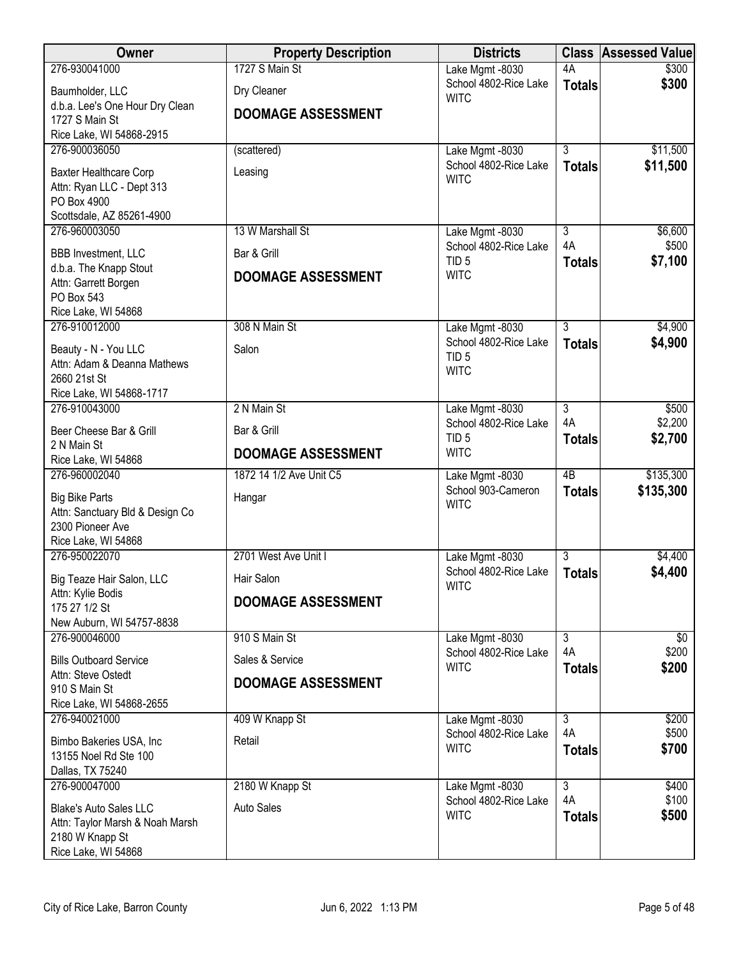| Owner                                                | <b>Property Description</b> | <b>Districts</b>                         |                      | <b>Class Assessed Value</b> |
|------------------------------------------------------|-----------------------------|------------------------------------------|----------------------|-----------------------------|
| 276-930041000                                        | 1727 S Main St              | Lake Mgmt -8030                          | 4A                   | \$300                       |
| Baumholder, LLC                                      | Dry Cleaner                 | School 4802-Rice Lake<br><b>WITC</b>     | <b>Totals</b>        | \$300                       |
| d.b.a. Lee's One Hour Dry Clean<br>1727 S Main St    | <b>DOOMAGE ASSESSMENT</b>   |                                          |                      |                             |
| Rice Lake, WI 54868-2915                             |                             |                                          |                      |                             |
| 276-900036050                                        | (scattered)                 | Lake Mgmt -8030                          | $\overline{3}$       | \$11,500                    |
| Baxter Healthcare Corp                               | Leasing                     | School 4802-Rice Lake                    | <b>Totals</b>        | \$11,500                    |
| Attn: Ryan LLC - Dept 313                            |                             | <b>WITC</b>                              |                      |                             |
| PO Box 4900                                          |                             |                                          |                      |                             |
| Scottsdale, AZ 85261-4900<br>276-960003050           | 13 W Marshall St            | Lake Mgmt -8030                          | $\overline{3}$       | \$6,600                     |
|                                                      | Bar & Grill                 | School 4802-Rice Lake                    | 4A                   | \$500                       |
| <b>BBB Investment, LLC</b><br>d.b.a. The Knapp Stout |                             | TID <sub>5</sub>                         | <b>Totals</b>        | \$7,100                     |
| Attn: Garrett Borgen                                 | <b>DOOMAGE ASSESSMENT</b>   | <b>WITC</b>                              |                      |                             |
| PO Box 543                                           |                             |                                          |                      |                             |
| Rice Lake, WI 54868<br>276-910012000                 | 308 N Main St               | Lake Mgmt -8030                          | $\overline{3}$       | \$4,900                     |
|                                                      |                             | School 4802-Rice Lake                    | <b>Totals</b>        | \$4,900                     |
| Beauty - N - You LLC<br>Attn: Adam & Deanna Mathews  | Salon                       | TID <sub>5</sub>                         |                      |                             |
| 2660 21st St                                         |                             | <b>WITC</b>                              |                      |                             |
| Rice Lake, WI 54868-1717                             |                             |                                          |                      |                             |
| 276-910043000                                        | 2 N Main St                 | Lake Mgmt -8030<br>School 4802-Rice Lake | $\overline{3}$<br>4A | \$500<br>\$2,200            |
| Beer Cheese Bar & Grill<br>2 N Main St               | Bar & Grill                 | TID <sub>5</sub>                         | <b>Totals</b>        | \$2,700                     |
| Rice Lake, WI 54868                                  | <b>DOOMAGE ASSESSMENT</b>   | <b>WITC</b>                              |                      |                             |
| 276-960002040                                        | 1872 14 1/2 Ave Unit C5     | Lake Mgmt -8030                          | $\overline{AB}$      | \$135,300                   |
| <b>Big Bike Parts</b>                                | Hangar                      | School 903-Cameron<br><b>WITC</b>        | <b>Totals</b>        | \$135,300                   |
| Attn: Sanctuary Bld & Design Co                      |                             |                                          |                      |                             |
| 2300 Pioneer Ave<br>Rice Lake, WI 54868              |                             |                                          |                      |                             |
| 276-950022070                                        | 2701 West Ave Unit I        | Lake Mgmt -8030                          | $\overline{3}$       | \$4,400                     |
| Big Teaze Hair Salon, LLC                            | Hair Salon                  | School 4802-Rice Lake                    | <b>Totals</b>        | \$4,400                     |
| Attn: Kylie Bodis                                    | <b>DOOMAGE ASSESSMENT</b>   | <b>WITC</b>                              |                      |                             |
| 175 27 1/2 St<br>New Auburn, WI 54757-8838           |                             |                                          |                      |                             |
| 276-900046000                                        | 910 S Main St               | Lake Mgmt -8030                          | $\overline{3}$       | $\sqrt[6]{}$                |
| <b>Bills Outboard Service</b>                        | Sales & Service             | School 4802-Rice Lake                    | 4A                   | \$200                       |
| Attn: Steve Ostedt                                   |                             | <b>WITC</b>                              | <b>Totals</b>        | \$200                       |
| 910 S Main St                                        | <b>DOOMAGE ASSESSMENT</b>   |                                          |                      |                             |
| Rice Lake, WI 54868-2655<br>276-940021000            | 409 W Knapp St              | Lake Mgmt -8030                          | $\overline{3}$       | \$200                       |
|                                                      |                             | School 4802-Rice Lake                    | 4A                   | \$500                       |
| Bimbo Bakeries USA, Inc<br>13155 Noel Rd Ste 100     | Retail                      | <b>WITC</b>                              | <b>Totals</b>        | \$700                       |
| Dallas, TX 75240                                     |                             |                                          |                      |                             |
| 276-900047000                                        | 2180 W Knapp St             | Lake Mgmt -8030                          | $\overline{3}$<br>4A | \$400                       |
| <b>Blake's Auto Sales LLC</b>                        | <b>Auto Sales</b>           | School 4802-Rice Lake<br><b>WITC</b>     | <b>Totals</b>        | \$100<br>\$500              |
| Attn: Taylor Marsh & Noah Marsh<br>2180 W Knapp St   |                             |                                          |                      |                             |
| Rice Lake, WI 54868                                  |                             |                                          |                      |                             |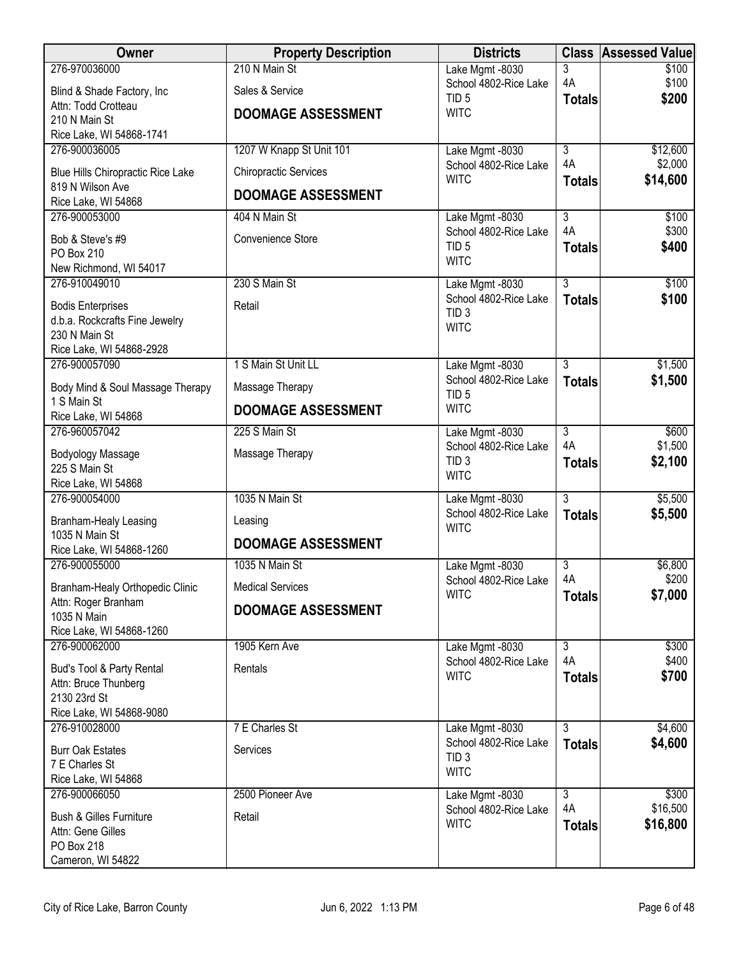| Owner                                           | <b>Property Description</b>  | <b>Districts</b>                          |                      | <b>Class Assessed Value</b> |
|-------------------------------------------------|------------------------------|-------------------------------------------|----------------------|-----------------------------|
| 276-970036000                                   | 210 N Main St                | Lake Mgmt -8030                           | $\overline{3}$       | \$100                       |
| Blind & Shade Factory, Inc.                     | Sales & Service              | School 4802-Rice Lake<br>TID <sub>5</sub> | 4A<br><b>Totals</b>  | \$100<br>\$200              |
| Attn: Todd Crotteau<br>210 N Main St            | <b>DOOMAGE ASSESSMENT</b>    | <b>WITC</b>                               |                      |                             |
| Rice Lake, WI 54868-1741                        |                              |                                           |                      |                             |
| 276-900036005                                   | 1207 W Knapp St Unit 101     | Lake Mgmt -8030                           | $\overline{3}$       | \$12,600                    |
| Blue Hills Chiropractic Rice Lake               | <b>Chiropractic Services</b> | School 4802-Rice Lake                     | 4A                   | \$2,000                     |
| 819 N Wilson Ave                                | <b>DOOMAGE ASSESSMENT</b>    | <b>WITC</b>                               | <b>Totals</b>        | \$14,600                    |
| Rice Lake, WI 54868                             |                              |                                           |                      |                             |
| 276-900053000                                   | 404 N Main St                | Lake Mgmt -8030<br>School 4802-Rice Lake  | $\overline{3}$<br>4A | \$100<br>\$300              |
| Bob & Steve's #9                                | Convenience Store            | TID <sub>5</sub>                          | <b>Totals</b>        | \$400                       |
| PO Box 210<br>New Richmond, WI 54017            |                              | <b>WITC</b>                               |                      |                             |
| 276-910049010                                   | 230 S Main St                | Lake Mgmt -8030                           | $\overline{3}$       | \$100                       |
| <b>Bodis Enterprises</b>                        | Retail                       | School 4802-Rice Lake                     | <b>Totals</b>        | \$100                       |
| d.b.a. Rockcrafts Fine Jewelry                  |                              | TID <sub>3</sub><br><b>WITC</b>           |                      |                             |
| 230 N Main St                                   |                              |                                           |                      |                             |
| Rice Lake, WI 54868-2928<br>276-900057090       | 1 S Main St Unit LL          | Lake Mgmt -8030                           | $\overline{3}$       | \$1,500                     |
|                                                 |                              | School 4802-Rice Lake                     | <b>Totals</b>        | \$1,500                     |
| Body Mind & Soul Massage Therapy<br>1 S Main St | Massage Therapy              | TID <sub>5</sub>                          |                      |                             |
| Rice Lake, WI 54868                             | <b>DOOMAGE ASSESSMENT</b>    | <b>WITC</b>                               |                      |                             |
| 276-960057042                                   | 225 S Main St                | Lake Mgmt -8030                           | $\overline{3}$       | \$600                       |
| <b>Bodyology Massage</b>                        | Massage Therapy              | School 4802-Rice Lake<br>TID <sub>3</sub> | 4A<br><b>Totals</b>  | \$1,500<br>\$2,100          |
| 225 S Main St                                   |                              | <b>WITC</b>                               |                      |                             |
| Rice Lake, WI 54868<br>276-900054000            | 1035 N Main St               | Lake Mgmt -8030                           | $\overline{3}$       | \$5,500                     |
|                                                 |                              | School 4802-Rice Lake                     | <b>Totals</b>        | \$5,500                     |
| Branham-Healy Leasing<br>1035 N Main St         | Leasing                      | <b>WITC</b>                               |                      |                             |
| Rice Lake, WI 54868-1260                        | <b>DOOMAGE ASSESSMENT</b>    |                                           |                      |                             |
| 276-900055000                                   | 1035 N Main St               | Lake Mgmt -8030                           | $\overline{3}$       | \$6,800                     |
| Branham-Healy Orthopedic Clinic                 | <b>Medical Services</b>      | School 4802-Rice Lake<br><b>WITC</b>      | 4A<br><b>Totals</b>  | \$200<br>\$7,000            |
| Attn: Roger Branham                             | <b>DOOMAGE ASSESSMENT</b>    |                                           |                      |                             |
| 1035 N Main<br>Rice Lake, WI 54868-1260         |                              |                                           |                      |                             |
| 276-900062000                                   | 1905 Kern Ave                | Lake Mgmt -8030                           | $\overline{3}$       | \$300                       |
| Bud's Tool & Party Rental                       | Rentals                      | School 4802-Rice Lake                     | 4A                   | \$400                       |
| Attn: Bruce Thunberg                            |                              | <b>WITC</b>                               | <b>Totals</b>        | \$700                       |
| 2130 23rd St                                    |                              |                                           |                      |                             |
| Rice Lake, WI 54868-9080<br>276-910028000       | 7 E Charles St               | Lake Mgmt -8030                           | $\overline{3}$       | \$4,600                     |
|                                                 |                              | School 4802-Rice Lake                     | <b>Totals</b>        | \$4,600                     |
| <b>Burr Oak Estates</b><br>7 E Charles St       | Services                     | TID <sub>3</sub>                          |                      |                             |
| Rice Lake, WI 54868                             |                              | <b>WITC</b>                               |                      |                             |
| 276-900066050                                   | 2500 Pioneer Ave             | Lake Mgmt -8030                           | $\overline{3}$       | \$300                       |
| <b>Bush &amp; Gilles Furniture</b>              | Retail                       | School 4802-Rice Lake<br><b>WITC</b>      | 4A<br><b>Totals</b>  | \$16,500<br>\$16,800        |
| Attn: Gene Gilles                               |                              |                                           |                      |                             |
| PO Box 218<br>Cameron, WI 54822                 |                              |                                           |                      |                             |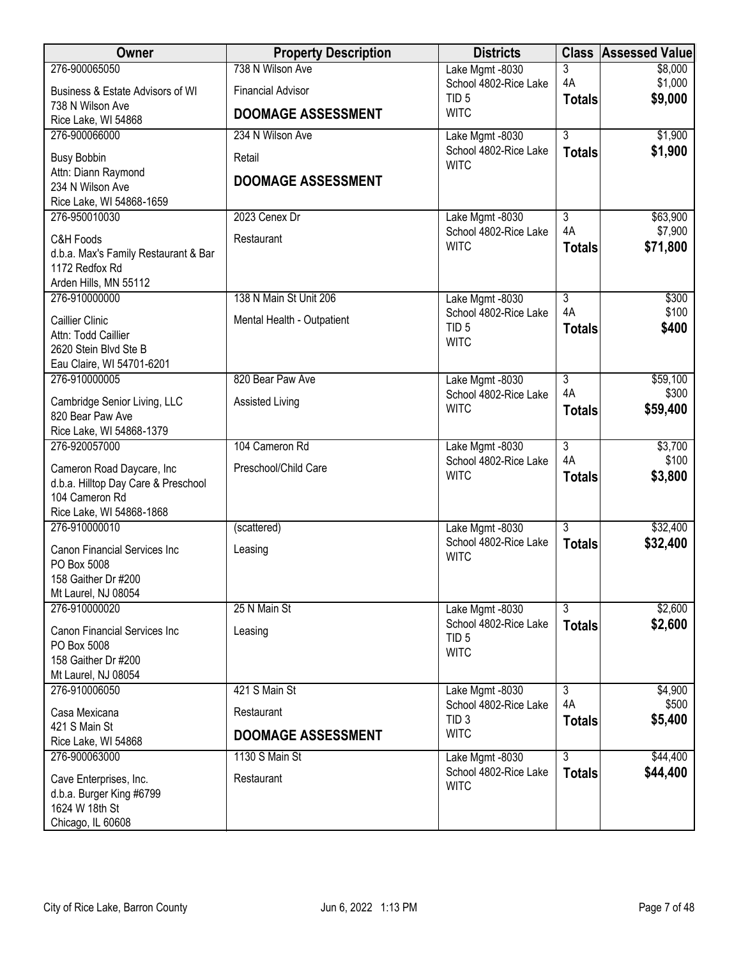| Owner                                                                                     | <b>Property Description</b> | <b>Districts</b>                                         |                      | <b>Class Assessed Value</b> |
|-------------------------------------------------------------------------------------------|-----------------------------|----------------------------------------------------------|----------------------|-----------------------------|
| 276-900065050                                                                             | 738 N Wilson Ave            | Lake Mgmt -8030                                          | 3                    | \$8,000                     |
| Business & Estate Advisors of WI<br>738 N Wilson Ave                                      | <b>Financial Advisor</b>    | School 4802-Rice Lake<br>TID <sub>5</sub>                | 4A<br><b>Totals</b>  | \$1,000<br>\$9,000          |
| Rice Lake, WI 54868                                                                       | <b>DOOMAGE ASSESSMENT</b>   | <b>WITC</b>                                              |                      |                             |
| 276-900066000                                                                             | 234 N Wilson Ave            | Lake Mgmt -8030                                          | $\overline{3}$       | \$1,900                     |
| <b>Busy Bobbin</b>                                                                        | Retail                      | School 4802-Rice Lake<br><b>WITC</b>                     | <b>Totals</b>        | \$1,900                     |
| Attn: Diann Raymond<br>234 N Wilson Ave                                                   | <b>DOOMAGE ASSESSMENT</b>   |                                                          |                      |                             |
| Rice Lake, WI 54868-1659                                                                  |                             |                                                          |                      |                             |
| 276-950010030                                                                             | 2023 Cenex Dr               | Lake Mgmt -8030                                          | $\overline{3}$       | \$63,900                    |
| C&H Foods<br>d.b.a. Max's Family Restaurant & Bar<br>1172 Redfox Rd                       | Restaurant                  | School 4802-Rice Lake<br><b>WITC</b>                     | 4A<br><b>Totals</b>  | \$7,900<br>\$71,800         |
| Arden Hills, MN 55112<br>276-910000000                                                    | 138 N Main St Unit 206      | Lake Mgmt -8030                                          | $\overline{3}$       | \$300                       |
| <b>Caillier Clinic</b><br>Attn: Todd Caillier                                             | Mental Health - Outpatient  | School 4802-Rice Lake<br>TID <sub>5</sub>                | 4A<br><b>Totals</b>  | \$100<br>\$400              |
| 2620 Stein Blvd Ste B<br>Eau Claire, WI 54701-6201                                        |                             | <b>WITC</b>                                              |                      |                             |
| 276-910000005                                                                             | 820 Bear Paw Ave            | Lake Mgmt -8030                                          | $\overline{3}$       | \$59,100                    |
| Cambridge Senior Living, LLC<br>820 Bear Paw Ave                                          | <b>Assisted Living</b>      | School 4802-Rice Lake<br><b>WITC</b>                     | 4A<br><b>Totals</b>  | \$300<br>\$59,400           |
| Rice Lake, WI 54868-1379                                                                  |                             |                                                          |                      |                             |
| 276-920057000                                                                             | 104 Cameron Rd              | Lake Mgmt -8030<br>School 4802-Rice Lake                 | $\overline{3}$<br>4A | \$3,700<br>\$100            |
| Cameron Road Daycare, Inc                                                                 | Preschool/Child Care        | <b>WITC</b>                                              | <b>Totals</b>        | \$3,800                     |
| d.b.a. Hilltop Day Care & Preschool<br>104 Cameron Rd                                     |                             |                                                          |                      |                             |
| Rice Lake, WI 54868-1868                                                                  |                             |                                                          |                      |                             |
| 276-910000010                                                                             | (scattered)                 | Lake Mgmt -8030                                          | $\overline{3}$       | \$32,400                    |
| Canon Financial Services Inc                                                              | Leasing                     | School 4802-Rice Lake<br><b>WITC</b>                     | <b>Totals</b>        | \$32,400                    |
| PO Box 5008<br>158 Gaither Dr #200                                                        |                             |                                                          |                      |                             |
| Mt Laurel, NJ 08054                                                                       |                             |                                                          |                      |                             |
| 276-910000020                                                                             | 25 N Main St                | Lake Mgmt -8030                                          | $\overline{3}$       | \$2,600                     |
| <b>Canon Financial Services Inc.</b><br>PO Box 5008<br>158 Gaither Dr #200                | Leasing                     | School 4802-Rice Lake<br>TID <sub>5</sub><br><b>WITC</b> | <b>Totals</b>        | \$2,600                     |
| Mt Laurel, NJ 08054                                                                       |                             |                                                          |                      |                             |
| 276-910006050                                                                             | 421 S Main St               | Lake Mgmt -8030                                          | $\overline{3}$       | \$4,900                     |
| Casa Mexicana                                                                             | Restaurant                  | School 4802-Rice Lake<br>TID <sub>3</sub>                | 4A<br><b>Totals</b>  | \$500<br>\$5,400            |
| 421 S Main St<br>Rice Lake, WI 54868                                                      | <b>DOOMAGE ASSESSMENT</b>   | <b>WITC</b>                                              |                      |                             |
| 276-900063000                                                                             | 1130 S Main St              | Lake Mgmt -8030                                          | $\overline{3}$       | \$44,400                    |
| Cave Enterprises, Inc.<br>d.b.a. Burger King #6799<br>1624 W 18th St<br>Chicago, IL 60608 | Restaurant                  | School 4802-Rice Lake<br><b>WITC</b>                     | <b>Totals</b>        | \$44,400                    |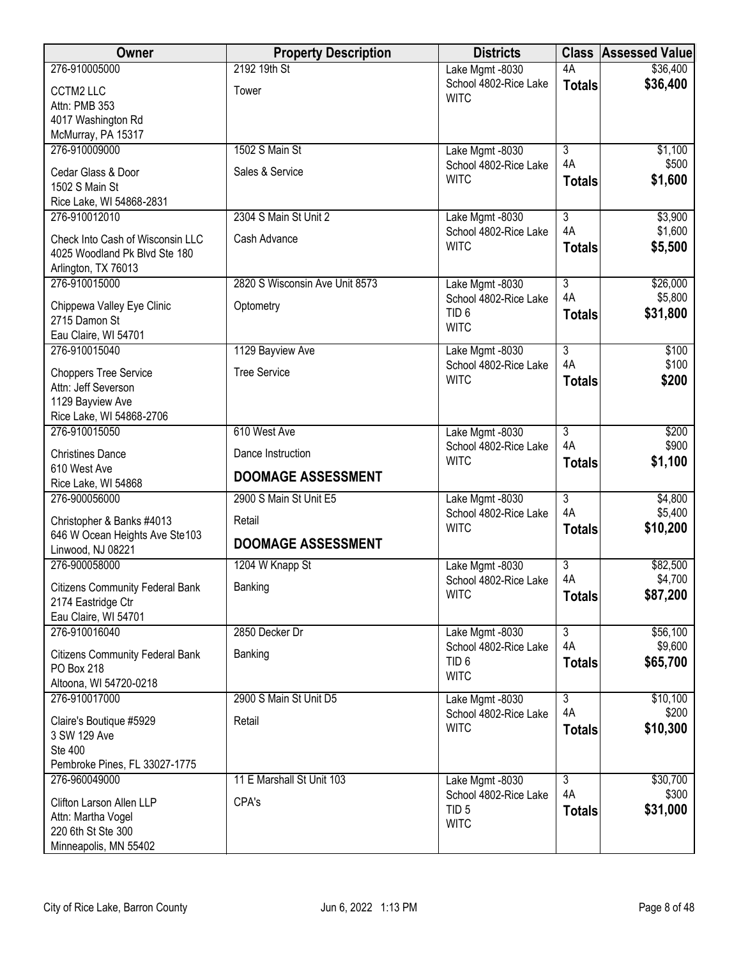| Owner                                                                                    | <b>Property Description</b>    | <b>Districts</b>                         |                           | <b>Class Assessed Value</b> |
|------------------------------------------------------------------------------------------|--------------------------------|------------------------------------------|---------------------------|-----------------------------|
| 276-910005000                                                                            | 2192 19th St                   | Lake Mgmt -8030                          | 4A                        | \$36,400                    |
| <b>CCTM2 LLC</b><br>Attn: PMB 353                                                        | Tower                          | School 4802-Rice Lake<br><b>WITC</b>     | <b>Totals</b>             | \$36,400                    |
| 4017 Washington Rd                                                                       |                                |                                          |                           |                             |
| McMurray, PA 15317                                                                       |                                |                                          |                           |                             |
| 276-910009000                                                                            | 1502 S Main St                 | Lake Mgmt -8030                          | $\overline{3}$            | \$1,100                     |
| Cedar Glass & Door                                                                       | Sales & Service                | School 4802-Rice Lake                    | 4A                        | \$500                       |
| 1502 S Main St                                                                           |                                | <b>WITC</b>                              | <b>Totals</b>             | \$1,600                     |
| Rice Lake, WI 54868-2831                                                                 |                                |                                          |                           |                             |
| 276-910012010                                                                            | 2304 S Main St Unit 2          | Lake Mgmt -8030                          | $\overline{3}$<br>4A      | \$3,900                     |
| Check Into Cash of Wisconsin LLC<br>4025 Woodland Pk Blvd Ste 180<br>Arlington, TX 76013 | Cash Advance                   | School 4802-Rice Lake<br><b>WITC</b>     | <b>Totals</b>             | \$1,600<br>\$5,500          |
| 276-910015000                                                                            | 2820 S Wisconsin Ave Unit 8573 | Lake Mgmt -8030                          | $\overline{3}$            | \$26,000                    |
| Chippewa Valley Eye Clinic                                                               | Optometry                      | School 4802-Rice Lake                    | 4A                        | \$5,800                     |
| 2715 Damon St                                                                            |                                | TID <sub>6</sub>                         | <b>Totals</b>             | \$31,800                    |
| Eau Claire, WI 54701                                                                     |                                | <b>WITC</b>                              |                           |                             |
| 276-910015040                                                                            | 1129 Bayview Ave               | Lake Mgmt -8030                          | $\overline{3}$            | \$100                       |
| <b>Choppers Tree Service</b>                                                             | <b>Tree Service</b>            | School 4802-Rice Lake<br><b>WITC</b>     | 4A<br><b>Totals</b>       | \$100<br>\$200              |
| Attn: Jeff Severson                                                                      |                                |                                          |                           |                             |
| 1129 Bayview Ave                                                                         |                                |                                          |                           |                             |
| Rice Lake, WI 54868-2706<br>276-910015050                                                | 610 West Ave                   | Lake Mgmt -8030                          | $\overline{3}$            | \$200                       |
|                                                                                          |                                | School 4802-Rice Lake                    | 4A                        | \$900                       |
| <b>Christines Dance</b><br>610 West Ave                                                  | Dance Instruction              | <b>WITC</b>                              | <b>Totals</b>             | \$1,100                     |
| Rice Lake, WI 54868                                                                      | <b>DOOMAGE ASSESSMENT</b>      |                                          |                           |                             |
| 276-900056000                                                                            | 2900 S Main St Unit E5         | Lake Mgmt -8030                          | $\overline{\overline{3}}$ | \$4,800                     |
| Christopher & Banks #4013                                                                | Retail                         | School 4802-Rice Lake                    | 4A                        | \$5,400                     |
| 646 W Ocean Heights Ave Ste103                                                           |                                | <b>WITC</b>                              | <b>Totals</b>             | \$10,200                    |
| Linwood, NJ 08221                                                                        | <b>DOOMAGE ASSESSMENT</b>      |                                          |                           |                             |
| 276-900058000                                                                            | 1204 W Knapp St                | Lake Mgmt -8030                          | 3<br>4A                   | \$82,500<br>\$4,700         |
| <b>Citizens Community Federal Bank</b>                                                   | Banking                        | School 4802-Rice Lake<br><b>WITC</b>     | <b>Totals</b>             | \$87,200                    |
| 2174 Eastridge Ctr                                                                       |                                |                                          |                           |                             |
| Eau Claire, WI 54701<br>276-910016040                                                    | 2850 Decker Dr                 | Lake Mgmt -8030                          | $\overline{3}$            | \$56,100                    |
|                                                                                          |                                | School 4802-Rice Lake                    | 4A                        | \$9,600                     |
| <b>Citizens Community Federal Bank</b><br>PO Box 218                                     | Banking                        | TID <sub>6</sub>                         | <b>Totals</b>             | \$65,700                    |
| Altoona, WI 54720-0218                                                                   |                                | <b>WITC</b>                              |                           |                             |
| 276-910017000                                                                            | 2900 S Main St Unit D5         | Lake Mgmt -8030                          | $\overline{3}$            | \$10,100                    |
| Claire's Boutique #5929                                                                  | Retail                         | School 4802-Rice Lake                    | 4A                        | \$200                       |
| 3 SW 129 Ave                                                                             |                                | <b>WITC</b>                              | <b>Totals</b>             | \$10,300                    |
| <b>Ste 400</b>                                                                           |                                |                                          |                           |                             |
| Pembroke Pines, FL 33027-1775                                                            |                                |                                          |                           |                             |
| 276-960049000                                                                            | 11 E Marshall St Unit 103      | Lake Mgmt -8030<br>School 4802-Rice Lake | $\overline{3}$<br>4A      | \$30,700<br>\$300           |
| Clifton Larson Allen LLP                                                                 | CPA's                          | TID <sub>5</sub>                         | <b>Totals</b>             | \$31,000                    |
| Attn: Martha Vogel<br>220 6th St Ste 300                                                 |                                | <b>WITC</b>                              |                           |                             |
| Minneapolis, MN 55402                                                                    |                                |                                          |                           |                             |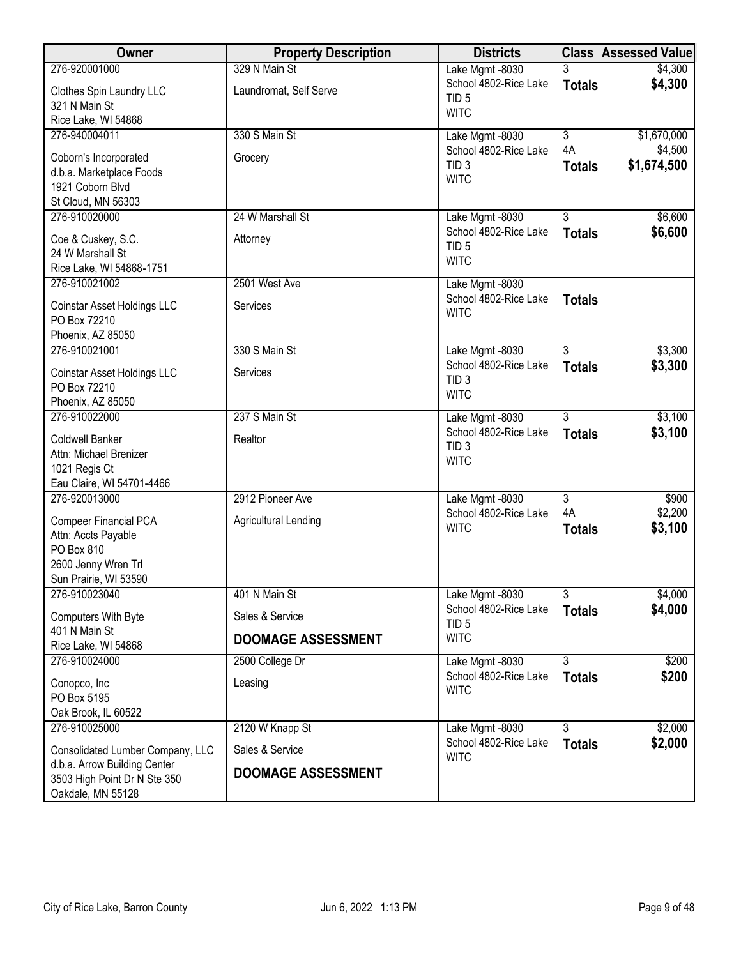| Owner                                                                                                      | <b>Property Description</b> | <b>Districts</b>                                         |                           | <b>Class Assessed Value</b> |
|------------------------------------------------------------------------------------------------------------|-----------------------------|----------------------------------------------------------|---------------------------|-----------------------------|
| 276-920001000                                                                                              | 329 N Main St               | Lake Mgmt -8030                                          | 3                         | \$4,300                     |
| Clothes Spin Laundry LLC<br>321 N Main St                                                                  | Laundromat, Self Serve      | School 4802-Rice Lake<br>TID <sub>5</sub><br><b>WITC</b> | <b>Totals</b>             | \$4,300                     |
| Rice Lake, WI 54868<br>276-940004011                                                                       | 330 S Main St               | Lake Mgmt -8030                                          | $\overline{\overline{3}}$ | \$1,670,000                 |
|                                                                                                            |                             | School 4802-Rice Lake                                    | 4A                        | \$4,500                     |
| Coborn's Incorporated<br>d.b.a. Marketplace Foods<br>1921 Coborn Blvd<br>St Cloud, MN 56303                | Grocery                     | TID <sub>3</sub><br><b>WITC</b>                          | <b>Totals</b>             | \$1,674,500                 |
| 276-910020000                                                                                              | 24 W Marshall St            | Lake Mgmt -8030                                          | $\overline{3}$            | \$6,600                     |
| Coe & Cuskey, S.C.<br>24 W Marshall St<br>Rice Lake, WI 54868-1751                                         | Attorney                    | School 4802-Rice Lake<br>TID <sub>5</sub><br><b>WITC</b> | <b>Totals</b>             | \$6,600                     |
| 276-910021002                                                                                              | 2501 West Ave               | Lake Mgmt -8030                                          |                           |                             |
| Coinstar Asset Holdings LLC<br>PO Box 72210<br>Phoenix, AZ 85050                                           | Services                    | School 4802-Rice Lake<br><b>WITC</b>                     | <b>Totals</b>             |                             |
| 276-910021001                                                                                              | 330 S Main St               | Lake Mgmt -8030                                          | $\overline{3}$            | \$3,300                     |
| Coinstar Asset Holdings LLC<br>PO Box 72210<br>Phoenix, AZ 85050                                           | Services                    | School 4802-Rice Lake<br>TID <sub>3</sub><br><b>WITC</b> | <b>Totals</b>             | \$3,300                     |
| 276-910022000                                                                                              | 237 S Main St               | Lake Mgmt -8030                                          | $\overline{3}$            | \$3,100                     |
| Coldwell Banker<br>Attn: Michael Brenizer<br>1021 Regis Ct<br>Eau Claire, WI 54701-4466                    | Realtor                     | School 4802-Rice Lake<br>TID <sub>3</sub><br><b>WITC</b> | <b>Totals</b>             | \$3,100                     |
| 276-920013000                                                                                              | 2912 Pioneer Ave            | Lake Mgmt -8030                                          | $\overline{\overline{3}}$ | \$900                       |
| Compeer Financial PCA<br>Attn: Accts Payable<br>PO Box 810<br>2600 Jenny Wren Trl<br>Sun Prairie, WI 53590 | <b>Agricultural Lending</b> | School 4802-Rice Lake<br><b>WITC</b>                     | 4A<br><b>Totals</b>       | \$2,200<br>\$3,100          |
| 276-910023040                                                                                              | 401 N Main St               | Lake Mgmt -8030                                          | $\overline{3}$            | \$4,000                     |
| Computers With Byte                                                                                        | Sales & Service             | School 4802-Rice Lake<br>TID <sub>5</sub>                | <b>Totals</b>             | \$4,000                     |
| 401 N Main St<br>Rice Lake, WI 54868                                                                       | <b>DOOMAGE ASSESSMENT</b>   | <b>WITC</b>                                              |                           |                             |
| 276-910024000                                                                                              | 2500 College Dr             | Lake Mgmt -8030                                          | $\overline{3}$            | \$200                       |
| Conopco, Inc<br>PO Box 5195<br>Oak Brook, IL 60522                                                         | Leasing                     | School 4802-Rice Lake<br><b>WITC</b>                     | <b>Totals</b>             | \$200                       |
| 276-910025000                                                                                              | 2120 W Knapp St             | Lake Mgmt -8030                                          | $\overline{3}$            | \$2,000                     |
| Consolidated Lumber Company, LLC<br>d.b.a. Arrow Building Center                                           | Sales & Service             | School 4802-Rice Lake<br><b>WITC</b>                     | <b>Totals</b>             | \$2,000                     |
| 3503 High Point Dr N Ste 350<br>Oakdale, MN 55128                                                          | <b>DOOMAGE ASSESSMENT</b>   |                                                          |                           |                             |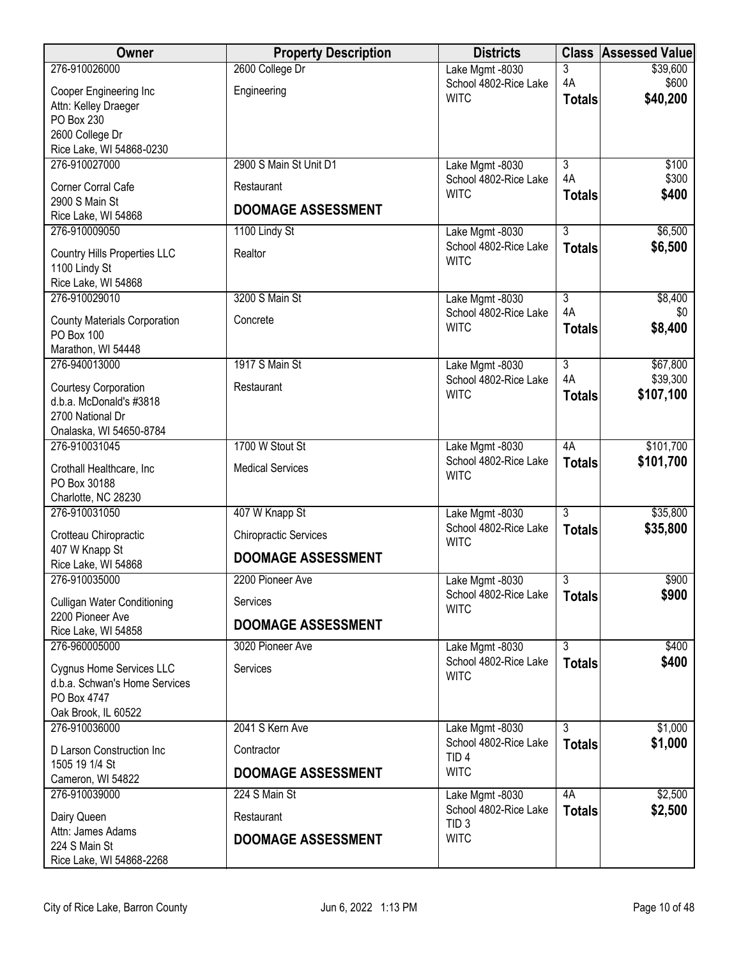| Owner                                                  | <b>Property Description</b>  | <b>Districts</b>                         | <b>Class</b>         | <b>Assessed Value</b>  |
|--------------------------------------------------------|------------------------------|------------------------------------------|----------------------|------------------------|
| 276-910026000                                          | 2600 College Dr              | Lake Mgmt -8030                          | 3                    | \$39,600               |
| Cooper Engineering Inc                                 | Engineering                  | School 4802-Rice Lake<br><b>WITC</b>     | 4A                   | \$600<br>\$40,200      |
| Attn: Kelley Draeger                                   |                              |                                          | <b>Totals</b>        |                        |
| PO Box 230<br>2600 College Dr                          |                              |                                          |                      |                        |
| Rice Lake, WI 54868-0230                               |                              |                                          |                      |                        |
| 276-910027000                                          | 2900 S Main St Unit D1       | Lake Mgmt -8030                          | $\overline{3}$       | \$100                  |
| Corner Corral Cafe                                     | Restaurant                   | School 4802-Rice Lake<br><b>WITC</b>     | 4A<br><b>Totals</b>  | \$300<br>\$400         |
| 2900 S Main St<br>Rice Lake, WI 54868                  | <b>DOOMAGE ASSESSMENT</b>    |                                          |                      |                        |
| 276-910009050                                          | 1100 Lindy St                | Lake Mgmt -8030                          | $\overline{3}$       | \$6,500                |
| Country Hills Properties LLC                           | Realtor                      | School 4802-Rice Lake                    | <b>Totals</b>        | \$6,500                |
| 1100 Lindy St                                          |                              | <b>WITC</b>                              |                      |                        |
| Rice Lake, WI 54868                                    |                              |                                          |                      |                        |
| 276-910029010                                          | 3200 S Main St               | Lake Mgmt -8030<br>School 4802-Rice Lake | $\overline{3}$<br>4A | \$8,400<br>\$0         |
| <b>County Materials Corporation</b>                    | Concrete                     | <b>WITC</b>                              | <b>Totals</b>        | \$8,400                |
| <b>PO Box 100</b><br>Marathon, WI 54448                |                              |                                          |                      |                        |
| 276-940013000                                          | 1917 S Main St               | Lake Mgmt -8030                          | $\overline{3}$       | \$67,800               |
| Courtesy Corporation                                   | Restaurant                   | School 4802-Rice Lake                    | 4A                   | \$39,300               |
| d.b.a. McDonald's #3818                                |                              | <b>WITC</b>                              | <b>Totals</b>        | \$107,100              |
| 2700 National Dr                                       |                              |                                          |                      |                        |
| Onalaska, WI 54650-8784                                |                              |                                          |                      |                        |
| 276-910031045                                          | 1700 W Stout St              | Lake Mgmt -8030<br>School 4802-Rice Lake | 4A                   | \$101,700<br>\$101,700 |
| Crothall Healthcare, Inc                               | <b>Medical Services</b>      | <b>WITC</b>                              | <b>Totals</b>        |                        |
| PO Box 30188<br>Charlotte, NC 28230                    |                              |                                          |                      |                        |
| 276-910031050                                          | 407 W Knapp St               | Lake Mgmt -8030                          | $\overline{3}$       | \$35,800               |
| Crotteau Chiropractic                                  | <b>Chiropractic Services</b> | School 4802-Rice Lake                    | <b>Totals</b>        | \$35,800               |
| 407 W Knapp St                                         | <b>DOOMAGE ASSESSMENT</b>    | <b>WITC</b>                              |                      |                        |
| Rice Lake, WI 54868                                    |                              |                                          |                      |                        |
| 276-910035000                                          | 2200 Pioneer Ave             | Lake Mgmt -8030<br>School 4802-Rice Lake | 3<br><b>Totals</b>   | \$900<br>\$900         |
| <b>Culligan Water Conditioning</b><br>2200 Pioneer Ave | Services                     | <b>WITC</b>                              |                      |                        |
| Rice Lake, WI 54858                                    | <b>DOOMAGE ASSESSMENT</b>    |                                          |                      |                        |
| 276-960005000                                          | 3020 Pioneer Ave             | Lake Mgmt -8030                          | $\overline{3}$       | \$400                  |
| Cygnus Home Services LLC                               | Services                     | School 4802-Rice Lake<br><b>WITC</b>     | <b>Totals</b>        | \$400                  |
| d.b.a. Schwan's Home Services                          |                              |                                          |                      |                        |
| PO Box 4747<br>Oak Brook, IL 60522                     |                              |                                          |                      |                        |
| 276-910036000                                          | 2041 S Kern Ave              | Lake Mgmt -8030                          | 3                    | \$1,000                |
| D Larson Construction Inc                              | Contractor                   | School 4802-Rice Lake                    | <b>Totals</b>        | \$1,000                |
| 1505 19 1/4 St                                         |                              | TID <sub>4</sub><br><b>WITC</b>          |                      |                        |
| Cameron, WI 54822                                      | <b>DOOMAGE ASSESSMENT</b>    |                                          |                      |                        |
| 276-910039000                                          | 224 S Main St                | Lake Mgmt -8030<br>School 4802-Rice Lake | 4A                   | \$2,500                |
| Dairy Queen                                            | Restaurant                   | TID <sub>3</sub>                         | <b>Totals</b>        | \$2,500                |
| Attn: James Adams<br>224 S Main St                     | <b>DOOMAGE ASSESSMENT</b>    | <b>WITC</b>                              |                      |                        |
| Rice Lake, WI 54868-2268                               |                              |                                          |                      |                        |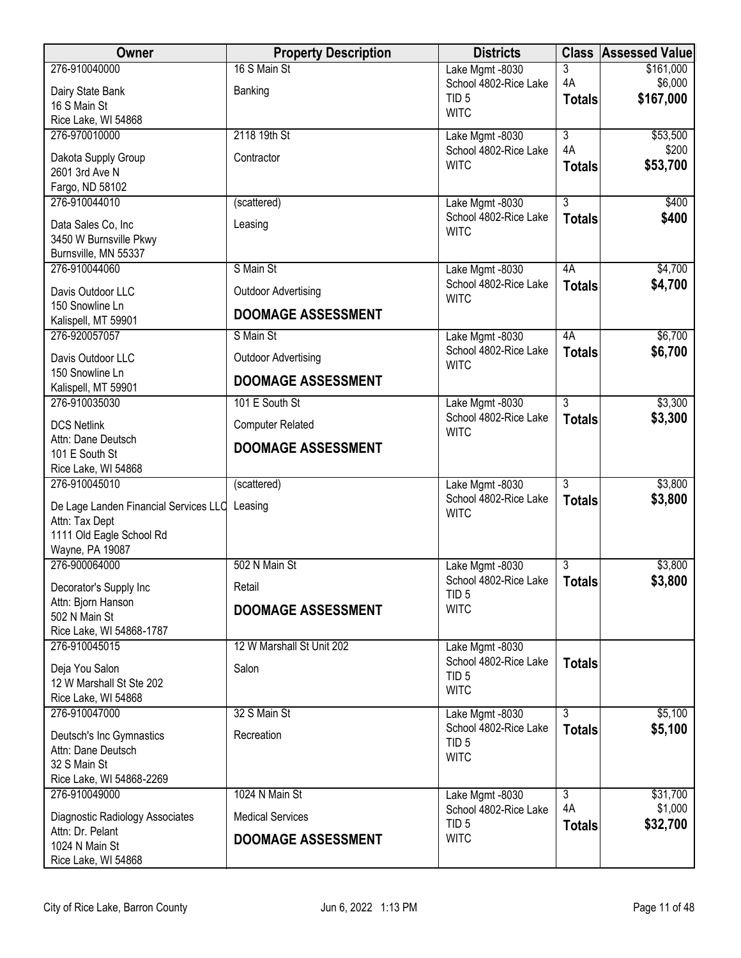| Owner                                          | <b>Property Description</b> | <b>Districts</b>                          |                     | <b>Class Assessed Value</b> |
|------------------------------------------------|-----------------------------|-------------------------------------------|---------------------|-----------------------------|
| 276-910040000                                  | 16 S Main St                | Lake Mgmt -8030                           | 3                   | \$161,000                   |
| Dairy State Bank                               | Banking                     | School 4802-Rice Lake<br>TID <sub>5</sub> | 4A<br><b>Totals</b> | \$6,000<br>\$167,000        |
| 16 S Main St                                   |                             | <b>WITC</b>                               |                     |                             |
| Rice Lake, WI 54868<br>276-970010000           | 2118 19th St                | Lake Mgmt -8030                           | $\overline{3}$      | \$53,500                    |
|                                                |                             | School 4802-Rice Lake                     | 4A                  | \$200                       |
| Dakota Supply Group<br>2601 3rd Ave N          | Contractor                  | <b>WITC</b>                               | <b>Totals</b>       | \$53,700                    |
| Fargo, ND 58102                                |                             |                                           |                     |                             |
| 276-910044010                                  | (scattered)                 | Lake Mgmt -8030                           | $\overline{3}$      | \$400                       |
| Data Sales Co, Inc                             | Leasing                     | School 4802-Rice Lake                     | <b>Totals</b>       | \$400                       |
| 3450 W Burnsville Pkwy                         |                             | <b>WITC</b>                               |                     |                             |
| Burnsville, MN 55337                           |                             |                                           |                     |                             |
| 276-910044060                                  | S Main St                   | Lake Mgmt -8030                           | 4A                  | \$4,700                     |
| Davis Outdoor LLC                              | <b>Outdoor Advertising</b>  | School 4802-Rice Lake<br><b>WITC</b>      | <b>Totals</b>       | \$4,700                     |
| 150 Snowline Ln<br>Kalispell, MT 59901         | <b>DOOMAGE ASSESSMENT</b>   |                                           |                     |                             |
| 276-920057057                                  | S Main St                   | Lake Mgmt -8030                           | 4A                  | \$6,700                     |
| Davis Outdoor LLC                              | <b>Outdoor Advertising</b>  | School 4802-Rice Lake                     | <b>Totals</b>       | \$6,700                     |
| 150 Snowline Ln                                |                             | <b>WITC</b>                               |                     |                             |
| Kalispell, MT 59901                            | <b>DOOMAGE ASSESSMENT</b>   |                                           |                     |                             |
| 276-910035030                                  | 101 E South St              | Lake Mgmt -8030<br>School 4802-Rice Lake  | $\overline{3}$      | \$3,300                     |
| <b>DCS Netlink</b>                             | <b>Computer Related</b>     | <b>WITC</b>                               | <b>Totals</b>       | \$3,300                     |
| Attn: Dane Deutsch<br>101 E South St           | <b>DOOMAGE ASSESSMENT</b>   |                                           |                     |                             |
| Rice Lake, WI 54868                            |                             |                                           |                     |                             |
| 276-910045010                                  | (scattered)                 | Lake Mgmt -8030                           | $\overline{3}$      | \$3,800                     |
| De Lage Landen Financial Services LLC Leasing  |                             | School 4802-Rice Lake                     | <b>Totals</b>       | \$3,800                     |
| Attn: Tax Dept                                 |                             | <b>WITC</b>                               |                     |                             |
| 1111 Old Eagle School Rd                       |                             |                                           |                     |                             |
| Wayne, PA 19087<br>276-900064000               | 502 N Main St               |                                           | 3                   | \$3,800                     |
|                                                |                             | Lake Mgmt -8030<br>School 4802-Rice Lake  | <b>Totals</b>       | \$3,800                     |
| Decorator's Supply Inc                         | Retail                      | TID <sub>5</sub>                          |                     |                             |
| Attn: Bjorn Hanson<br>502 N Main St            | <b>DOOMAGE ASSESSMENT</b>   | <b>WITC</b>                               |                     |                             |
| Rice Lake, WI 54868-1787                       |                             |                                           |                     |                             |
| 276-910045015                                  | 12 W Marshall St Unit 202   | Lake Mgmt -8030                           |                     |                             |
| Deja You Salon                                 | Salon                       | School 4802-Rice Lake<br>TID <sub>5</sub> | <b>Totals</b>       |                             |
| 12 W Marshall St Ste 202                       |                             | <b>WITC</b>                               |                     |                             |
| Rice Lake, WI 54868<br>276-910047000           | 32 S Main St                | Lake Mgmt -8030                           | $\overline{3}$      | \$5,100                     |
|                                                |                             | School 4802-Rice Lake                     | <b>Totals</b>       | \$5,100                     |
| Deutsch's Inc Gymnastics<br>Attn: Dane Deutsch | Recreation                  | TID <sub>5</sub>                          |                     |                             |
| 32 S Main St                                   |                             | <b>WITC</b>                               |                     |                             |
| Rice Lake, WI 54868-2269                       |                             |                                           |                     |                             |
| 276-910049000                                  | 1024 N Main St              | Lake Mgmt -8030                           | $\overline{3}$      | \$31,700                    |
| Diagnostic Radiology Associates                | <b>Medical Services</b>     | School 4802-Rice Lake<br>TID <sub>5</sub> | 4A<br><b>Totals</b> | \$1,000<br>\$32,700         |
| Attn: Dr. Pelant                               | <b>DOOMAGE ASSESSMENT</b>   | <b>WITC</b>                               |                     |                             |
| 1024 N Main St<br>Rice Lake, WI 54868          |                             |                                           |                     |                             |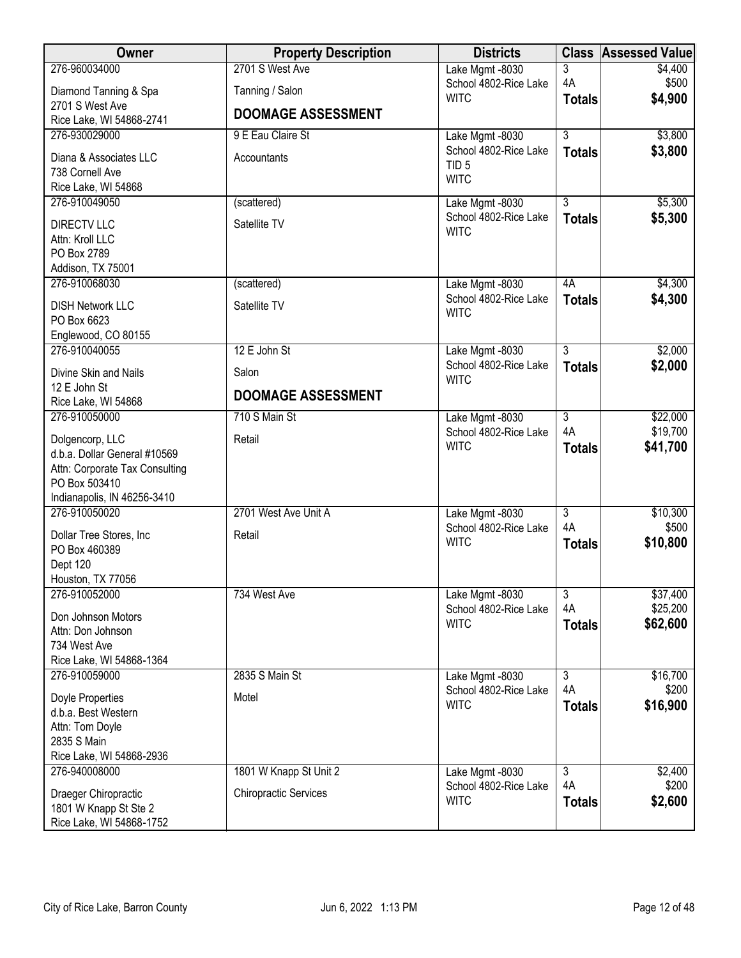| Owner                                                                                                                             | <b>Property Description</b>  | <b>Districts</b>                                         |                     | <b>Class Assessed Value</b> |
|-----------------------------------------------------------------------------------------------------------------------------------|------------------------------|----------------------------------------------------------|---------------------|-----------------------------|
| 276-960034000                                                                                                                     | 2701 S West Ave              | Lake Mgmt -8030                                          | 3                   | \$4,400                     |
| Diamond Tanning & Spa<br>2701 S West Ave                                                                                          | Tanning / Salon              | School 4802-Rice Lake<br><b>WITC</b>                     | 4A<br><b>Totals</b> | \$500<br>\$4,900            |
| Rice Lake, WI 54868-2741                                                                                                          | <b>DOOMAGE ASSESSMENT</b>    |                                                          |                     |                             |
| 276-930029000                                                                                                                     | 9 E Eau Claire St            | Lake Mgmt -8030                                          | $\overline{3}$      | \$3,800                     |
| Diana & Associates LLC<br>738 Cornell Ave                                                                                         | Accountants                  | School 4802-Rice Lake<br>TID <sub>5</sub><br><b>WITC</b> | <b>Totals</b>       | \$3,800                     |
| Rice Lake, WI 54868<br>276-910049050                                                                                              | (scattered)                  | Lake Mgmt -8030                                          | $\overline{3}$      | \$5,300                     |
| <b>DIRECTV LLC</b><br>Attn: Kroll LLC<br>PO Box 2789<br>Addison, TX 75001                                                         | Satellite TV                 | School 4802-Rice Lake<br><b>WITC</b>                     | <b>Totals</b>       | \$5,300                     |
| 276-910068030                                                                                                                     | (scattered)                  | Lake Mgmt -8030                                          | 4A                  | \$4,300                     |
| <b>DISH Network LLC</b><br>PO Box 6623<br>Englewood, CO 80155                                                                     | Satellite TV                 | School 4802-Rice Lake<br><b>WITC</b>                     | <b>Totals</b>       | \$4,300                     |
| 276-910040055                                                                                                                     | 12 E John St                 | Lake Mgmt -8030                                          | $\overline{3}$      | \$2,000                     |
| Divine Skin and Nails                                                                                                             | Salon                        | School 4802-Rice Lake<br><b>WITC</b>                     | <b>Totals</b>       | \$2,000                     |
| 12 E John St<br>Rice Lake, WI 54868                                                                                               | <b>DOOMAGE ASSESSMENT</b>    |                                                          |                     |                             |
| 276-910050000                                                                                                                     | 710 S Main St                | Lake Mgmt -8030                                          | $\overline{3}$      | \$22,000                    |
| Dolgencorp, LLC<br>d.b.a. Dollar General #10569<br>Attn: Corporate Tax Consulting<br>PO Box 503410<br>Indianapolis, IN 46256-3410 | Retail                       | School 4802-Rice Lake<br><b>WITC</b>                     | 4A<br><b>Totals</b> | \$19,700<br>\$41,700        |
| 276-910050020                                                                                                                     | 2701 West Ave Unit A         | Lake Mgmt -8030                                          | $\overline{3}$      | \$10,300                    |
| Dollar Tree Stores, Inc.<br>PO Box 460389<br>Dept 120<br>Houston, TX 77056                                                        | Retail                       | School 4802-Rice Lake<br><b>WITC</b>                     | 4A<br><b>Totals</b> | \$500<br>\$10,800           |
| 276-910052000                                                                                                                     | 734 West Ave                 | Lake Mgmt -8030                                          | $\overline{3}$      | \$37,400                    |
| Don Johnson Motors<br>Attn: Don Johnson<br>734 West Ave<br>Rice Lake, WI 54868-1364                                               |                              | School 4802-Rice Lake<br><b>WITC</b>                     | 4A<br><b>Totals</b> | \$25,200<br>\$62,600        |
| 276-910059000                                                                                                                     | 2835 S Main St               | Lake Mgmt -8030                                          | $\overline{3}$      | \$16,700                    |
| Doyle Properties<br>d.b.a. Best Western<br>Attn: Tom Doyle<br>2835 S Main<br>Rice Lake, WI 54868-2936                             | Motel                        | School 4802-Rice Lake<br><b>WITC</b>                     | 4A<br><b>Totals</b> | \$200<br>\$16,900           |
| 276-940008000                                                                                                                     | 1801 W Knapp St Unit 2       | Lake Mgmt -8030                                          | $\overline{3}$      | \$2,400                     |
| Draeger Chiropractic<br>1801 W Knapp St Ste 2<br>Rice Lake, WI 54868-1752                                                         | <b>Chiropractic Services</b> | School 4802-Rice Lake<br><b>WITC</b>                     | 4A<br><b>Totals</b> | \$200<br>\$2,600            |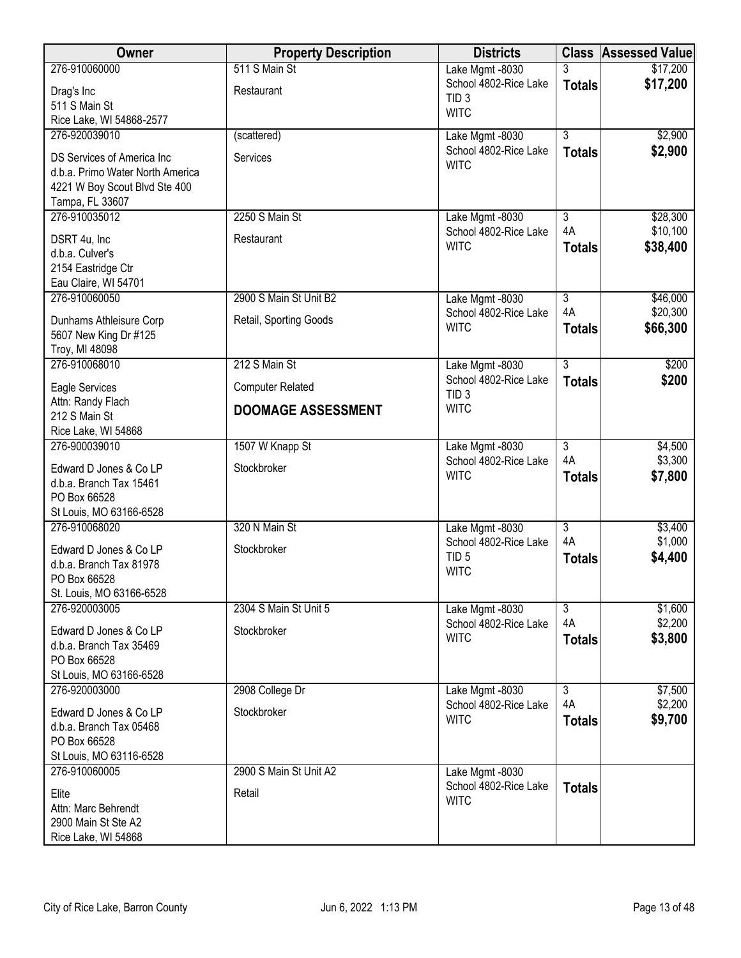| <b>Owner</b>                                      | <b>Property Description</b> | <b>Districts</b>                         |                           | <b>Class Assessed Value</b> |
|---------------------------------------------------|-----------------------------|------------------------------------------|---------------------------|-----------------------------|
| 276-910060000                                     | 511 S Main St               | Lake Mgmt -8030                          | 3                         | \$17,200                    |
| Drag's Inc                                        | Restaurant                  | School 4802-Rice Lake                    | <b>Totals</b>             | \$17,200                    |
| 511 S Main St                                     |                             | TID <sub>3</sub><br><b>WITC</b>          |                           |                             |
| Rice Lake, WI 54868-2577                          |                             |                                          |                           |                             |
| 276-920039010                                     | (scattered)                 | Lake Mgmt -8030                          | $\overline{3}$            | \$2,900                     |
| DS Services of America Inc                        | Services                    | School 4802-Rice Lake                    | <b>Totals</b>             | \$2,900                     |
| d.b.a. Primo Water North America                  |                             | <b>WITC</b>                              |                           |                             |
| 4221 W Boy Scout Blvd Ste 400                     |                             |                                          |                           |                             |
| Tampa, FL 33607                                   |                             |                                          |                           |                             |
| 276-910035012                                     | 2250 S Main St              | Lake Mgmt -8030                          | $\overline{3}$            | \$28,300                    |
| DSRT 4u, Inc                                      | Restaurant                  | School 4802-Rice Lake<br><b>WITC</b>     | 4A                        | \$10,100                    |
| d.b.a. Culver's                                   |                             |                                          | <b>Totals</b>             | \$38,400                    |
| 2154 Eastridge Ctr                                |                             |                                          |                           |                             |
| Eau Claire, WI 54701                              |                             |                                          |                           |                             |
| 276-910060050                                     | 2900 S Main St Unit B2      | Lake Mgmt -8030                          | $\overline{3}$<br>4A      | \$46,000<br>\$20,300        |
| Dunhams Athleisure Corp                           | Retail, Sporting Goods      | School 4802-Rice Lake<br><b>WITC</b>     | <b>Totals</b>             | \$66,300                    |
| 5607 New King Dr #125                             |                             |                                          |                           |                             |
| Troy, MI 48098                                    |                             |                                          |                           |                             |
| 276-910068010                                     | 212 S Main St               | Lake Mgmt -8030<br>School 4802-Rice Lake | $\overline{3}$            | \$200                       |
| Eagle Services                                    | <b>Computer Related</b>     | TID <sub>3</sub>                         | <b>Totals</b>             | \$200                       |
| Attn: Randy Flach                                 | <b>DOOMAGE ASSESSMENT</b>   | <b>WITC</b>                              |                           |                             |
| 212 S Main St<br>Rice Lake, WI 54868              |                             |                                          |                           |                             |
| 276-900039010                                     | 1507 W Knapp St             | Lake Mgmt -8030                          | $\overline{3}$            | \$4,500                     |
|                                                   |                             | School 4802-Rice Lake                    | 4A                        | \$3,300                     |
| Edward D Jones & Co LP                            | Stockbroker                 | <b>WITC</b>                              | <b>Totals</b>             | \$7,800                     |
| d.b.a. Branch Tax 15461<br>PO Box 66528           |                             |                                          |                           |                             |
| St Louis, MO 63166-6528                           |                             |                                          |                           |                             |
| 276-910068020                                     | 320 N Main St               | Lake Mgmt -8030                          | $\overline{\overline{3}}$ | \$3,400                     |
|                                                   |                             | School 4802-Rice Lake                    | 4A                        | \$1,000                     |
| Edward D Jones & Co LP<br>d.b.a. Branch Tax 81978 | Stockbroker                 | TID <sub>5</sub>                         | <b>Totals</b>             | \$4,400                     |
| PO Box 66528                                      |                             | <b>WITC</b>                              |                           |                             |
| St. Louis, MO 63166-6528                          |                             |                                          |                           |                             |
| 276-920003005                                     | 2304 S Main St Unit 5       | Lake Mgmt -8030                          | $\overline{3}$            | \$1,600                     |
| Edward D Jones & Co LP                            | Stockbroker                 | School 4802-Rice Lake                    | 4A                        | \$2,200                     |
| d.b.a. Branch Tax 35469                           |                             | <b>WITC</b>                              | <b>Totals</b>             | \$3,800                     |
| PO Box 66528                                      |                             |                                          |                           |                             |
| St Louis, MO 63166-6528                           |                             |                                          |                           |                             |
| 276-920003000                                     | 2908 College Dr             | Lake Mgmt -8030                          | $\overline{3}$            | \$7,500                     |
| Edward D Jones & Co LP                            | Stockbroker                 | School 4802-Rice Lake                    | 4A                        | \$2,200                     |
| d.b.a. Branch Tax 05468                           |                             | <b>WITC</b>                              | <b>Totals</b>             | \$9,700                     |
| PO Box 66528                                      |                             |                                          |                           |                             |
| St Louis, MO 63116-6528                           |                             |                                          |                           |                             |
| 276-910060005                                     | 2900 S Main St Unit A2      | Lake Mgmt -8030                          |                           |                             |
| Elite                                             | Retail                      | School 4802-Rice Lake                    | <b>Totals</b>             |                             |
| Attn: Marc Behrendt                               |                             | <b>WITC</b>                              |                           |                             |
| 2900 Main St Ste A2                               |                             |                                          |                           |                             |
| Rice Lake, WI 54868                               |                             |                                          |                           |                             |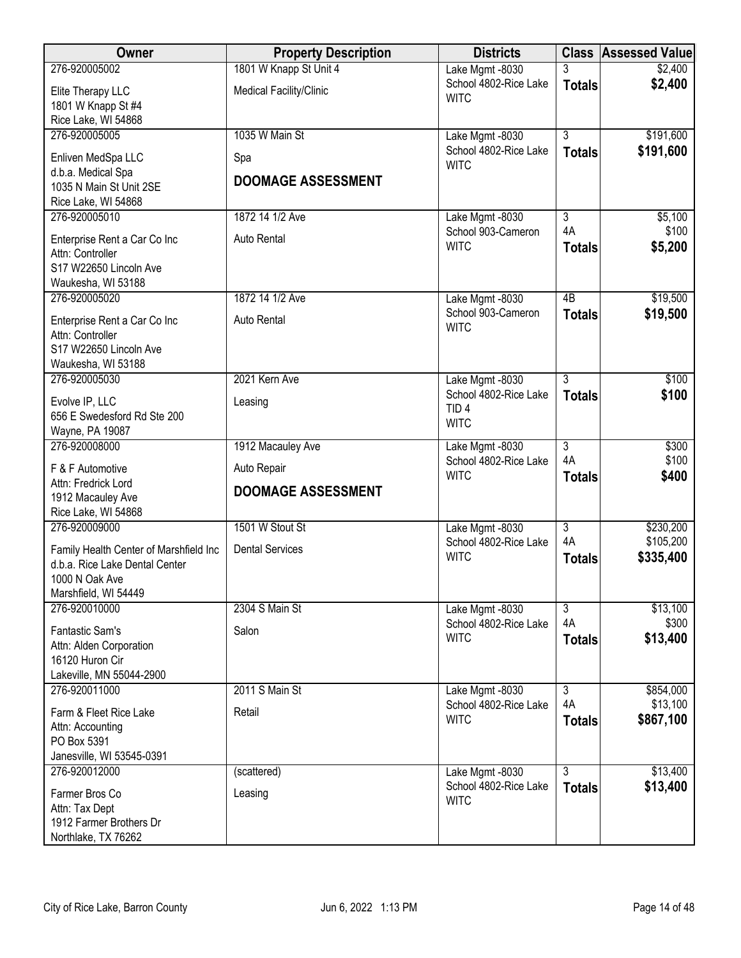| Owner                                            | <b>Property Description</b> | <b>Districts</b>                         |                 | <b>Class Assessed Value</b> |
|--------------------------------------------------|-----------------------------|------------------------------------------|-----------------|-----------------------------|
| 276-920005002                                    | 1801 W Knapp St Unit 4      | Lake Mgmt -8030                          | 3               | \$2,400                     |
| Elite Therapy LLC                                | Medical Facility/Clinic     | School 4802-Rice Lake                    | <b>Totals</b>   | \$2,400                     |
| 1801 W Knapp St #4                               |                             | <b>WITC</b>                              |                 |                             |
| Rice Lake, WI 54868                              |                             |                                          |                 |                             |
| 276-920005005                                    | 1035 W Main St              | Lake Mgmt -8030                          | $\overline{3}$  | \$191,600                   |
| Enliven MedSpa LLC                               | Spa                         | School 4802-Rice Lake                    | <b>Totals</b>   | \$191,600                   |
| d.b.a. Medical Spa                               |                             | <b>WITC</b>                              |                 |                             |
| 1035 N Main St Unit 2SE                          | <b>DOOMAGE ASSESSMENT</b>   |                                          |                 |                             |
| Rice Lake, WI 54868                              |                             |                                          |                 |                             |
| 276-920005010                                    | 1872 14 1/2 Ave             | Lake Mgmt -8030                          | $\overline{3}$  | \$5,100                     |
| Enterprise Rent a Car Co Inc                     | Auto Rental                 | School 903-Cameron                       | 4A              | \$100                       |
| Attn: Controller                                 |                             | <b>WITC</b>                              | <b>Totals</b>   | \$5,200                     |
| S17 W22650 Lincoln Ave                           |                             |                                          |                 |                             |
| Waukesha, WI 53188                               |                             |                                          |                 |                             |
| 276-920005020                                    | 1872 14 1/2 Ave             | Lake Mgmt -8030                          | $\overline{AB}$ | \$19,500                    |
| Enterprise Rent a Car Co Inc                     | Auto Rental                 | School 903-Cameron<br><b>WITC</b>        | <b>Totals</b>   | \$19,500                    |
| Attn: Controller                                 |                             |                                          |                 |                             |
| S17 W22650 Lincoln Ave                           |                             |                                          |                 |                             |
| Waukesha, WI 53188                               |                             |                                          |                 |                             |
| 276-920005030                                    | 2021 Kern Ave               | Lake Mgmt -8030<br>School 4802-Rice Lake | $\overline{3}$  | \$100<br>\$100              |
| Evolve IP, LLC                                   | Leasing                     | TID <sub>4</sub>                         | <b>Totals</b>   |                             |
| 656 E Swedesford Rd Ste 200                      |                             | <b>WITC</b>                              |                 |                             |
| Wayne, PA 19087                                  |                             |                                          | $\overline{3}$  |                             |
| 276-920008000                                    | 1912 Macauley Ave           | Lake Mgmt -8030<br>School 4802-Rice Lake | 4A              | \$300<br>\$100              |
| F & F Automotive                                 | Auto Repair                 | <b>WITC</b>                              | <b>Totals</b>   | \$400                       |
| Attn: Fredrick Lord                              | <b>DOOMAGE ASSESSMENT</b>   |                                          |                 |                             |
| 1912 Macauley Ave<br>Rice Lake, WI 54868         |                             |                                          |                 |                             |
| 276-920009000                                    | 1501 W Stout St             | Lake Mgmt -8030                          | $\overline{3}$  | \$230,200                   |
|                                                  |                             | School 4802-Rice Lake                    | 4A              | \$105,200                   |
| Family Health Center of Marshfield Inc           | <b>Dental Services</b>      | <b>WITC</b>                              | <b>Totals</b>   | \$335,400                   |
| d.b.a. Rice Lake Dental Center<br>1000 N Oak Ave |                             |                                          |                 |                             |
| Marshfield, WI 54449                             |                             |                                          |                 |                             |
| 276-920010000                                    | 2304 S Main St              | Lake Mgmt -8030                          | $\overline{3}$  | \$13,100                    |
| Fantastic Sam's                                  | Salon                       | School 4802-Rice Lake                    | 4A              | \$300                       |
| Attn: Alden Corporation                          |                             | <b>WITC</b>                              | <b>Totals</b>   | \$13,400                    |
| 16120 Huron Cir                                  |                             |                                          |                 |                             |
| Lakeville, MN 55044-2900                         |                             |                                          |                 |                             |
| 276-920011000                                    | 2011 S Main St              | Lake Mgmt -8030                          | $\overline{3}$  | \$854,000                   |
| Farm & Fleet Rice Lake                           | Retail                      | School 4802-Rice Lake                    | 4A              | \$13,100                    |
| Attn: Accounting                                 |                             | <b>WITC</b>                              | <b>Totals</b>   | \$867,100                   |
| PO Box 5391                                      |                             |                                          |                 |                             |
| Janesville, WI 53545-0391                        |                             |                                          |                 |                             |
| 276-920012000                                    | (scattered)                 | Lake Mgmt -8030                          | $\overline{3}$  | \$13,400                    |
| Farmer Bros Co                                   | Leasing                     | School 4802-Rice Lake                    | <b>Totals</b>   | \$13,400                    |
| Attn: Tax Dept                                   |                             | <b>WITC</b>                              |                 |                             |
| 1912 Farmer Brothers Dr                          |                             |                                          |                 |                             |
| Northlake, TX 76262                              |                             |                                          |                 |                             |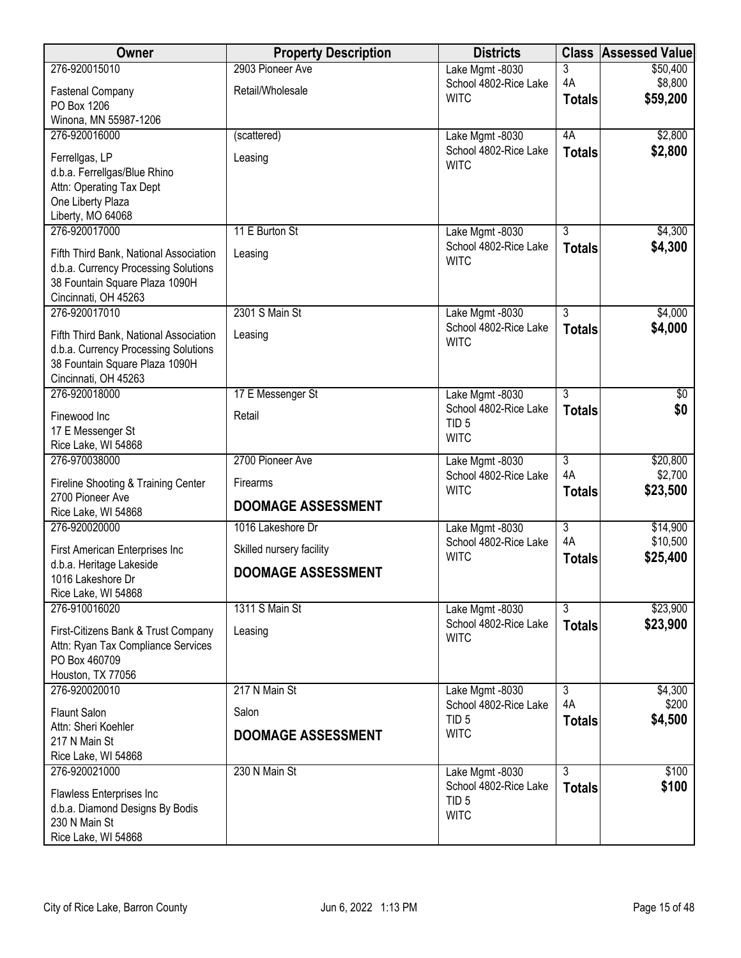| Owner                                                       | <b>Property Description</b> | <b>Districts</b>                         |                           | <b>Class Assessed Value</b> |
|-------------------------------------------------------------|-----------------------------|------------------------------------------|---------------------------|-----------------------------|
| 276-920015010                                               | 2903 Pioneer Ave            | Lake Mgmt -8030                          | 3                         | \$50,400                    |
| <b>Fastenal Company</b>                                     | Retail/Wholesale            | School 4802-Rice Lake<br><b>WITC</b>     | 4A                        | \$8,800<br>\$59,200         |
| PO Box 1206                                                 |                             |                                          | <b>Totals</b>             |                             |
| Winona, MN 55987-1206                                       |                             |                                          |                           |                             |
| 276-920016000                                               | (scattered)                 | Lake Mgmt -8030<br>School 4802-Rice Lake | 4A                        | \$2,800                     |
| Ferrellgas, LP                                              | Leasing                     | <b>WITC</b>                              | <b>Totals</b>             | \$2,800                     |
| d.b.a. Ferrellgas/Blue Rhino                                |                             |                                          |                           |                             |
| Attn: Operating Tax Dept<br>One Liberty Plaza               |                             |                                          |                           |                             |
| Liberty, MO 64068                                           |                             |                                          |                           |                             |
| 276-920017000                                               | 11 E Burton St              | Lake Mgmt -8030                          | 3                         | \$4,300                     |
| Fifth Third Bank, National Association                      | Leasing                     | School 4802-Rice Lake                    | <b>Totals</b>             | \$4,300                     |
| d.b.a. Currency Processing Solutions                        |                             | <b>WITC</b>                              |                           |                             |
| 38 Fountain Square Plaza 1090H                              |                             |                                          |                           |                             |
| Cincinnati, OH 45263                                        |                             |                                          |                           |                             |
| 276-920017010                                               | 2301 S Main St              | Lake Mgmt -8030                          | $\overline{3}$            | \$4,000                     |
| Fifth Third Bank, National Association                      | Leasing                     | School 4802-Rice Lake<br><b>WITC</b>     | <b>Totals</b>             | \$4,000                     |
| d.b.a. Currency Processing Solutions                        |                             |                                          |                           |                             |
| 38 Fountain Square Plaza 1090H<br>Cincinnati, OH 45263      |                             |                                          |                           |                             |
| 276-920018000                                               | 17 E Messenger St           | Lake Mgmt -8030                          | $\overline{3}$            | $\overline{60}$             |
| Finewood Inc                                                | Retail                      | School 4802-Rice Lake                    | <b>Totals</b>             | \$0                         |
| 17 E Messenger St                                           |                             | TID <sub>5</sub>                         |                           |                             |
| Rice Lake, WI 54868                                         |                             | <b>WITC</b>                              |                           |                             |
| 276-970038000                                               | 2700 Pioneer Ave            | Lake Mgmt -8030                          | $\overline{3}$            | \$20,800                    |
| Fireline Shooting & Training Center                         | <b>Firearms</b>             | School 4802-Rice Lake<br><b>WITC</b>     | 4A<br><b>Totals</b>       | \$2,700<br>\$23,500         |
| 2700 Pioneer Ave                                            | <b>DOOMAGE ASSESSMENT</b>   |                                          |                           |                             |
| Rice Lake, WI 54868<br>276-920020000                        | 1016 Lakeshore Dr           | Lake Mgmt -8030                          | $\overline{\overline{3}}$ | \$14,900                    |
|                                                             |                             | School 4802-Rice Lake                    | 4A                        | \$10,500                    |
| First American Enterprises Inc<br>d.b.a. Heritage Lakeside  | Skilled nursery facility    | <b>WITC</b>                              | <b>Totals</b>             | \$25,400                    |
| 1016 Lakeshore Dr                                           | <b>DOOMAGE ASSESSMENT</b>   |                                          |                           |                             |
| Rice Lake, WI 54868                                         |                             |                                          |                           |                             |
| 276-910016020                                               | 1311 S Main St              | Lake Mgmt -8030                          | $\overline{3}$            | \$23,900                    |
| First-Citizens Bank & Trust Company                         | Leasing                     | School 4802-Rice Lake                    | <b>Totals</b>             | \$23,900                    |
| Attn: Ryan Tax Compliance Services                          |                             | <b>WITC</b>                              |                           |                             |
| PO Box 460709                                               |                             |                                          |                           |                             |
| Houston, TX 77056                                           |                             |                                          |                           |                             |
| 276-920020010                                               | 217 N Main St               | Lake Mgmt -8030<br>School 4802-Rice Lake | $\overline{3}$<br>4A      | \$4,300<br>\$200            |
| <b>Flaunt Salon</b>                                         | Salon                       | TID <sub>5</sub>                         | <b>Totals</b>             | \$4,500                     |
| Attn: Sheri Koehler                                         | <b>DOOMAGE ASSESSMENT</b>   | <b>WITC</b>                              |                           |                             |
| 217 N Main St<br>Rice Lake, WI 54868                        |                             |                                          |                           |                             |
| 276-920021000                                               | 230 N Main St               | Lake Mgmt -8030                          | $\overline{3}$            | \$100                       |
|                                                             |                             | School 4802-Rice Lake                    | <b>Totals</b>             | \$100                       |
| Flawless Enterprises Inc<br>d.b.a. Diamond Designs By Bodis |                             | TID <sub>5</sub>                         |                           |                             |
| 230 N Main St                                               |                             | <b>WITC</b>                              |                           |                             |
| Rice Lake, WI 54868                                         |                             |                                          |                           |                             |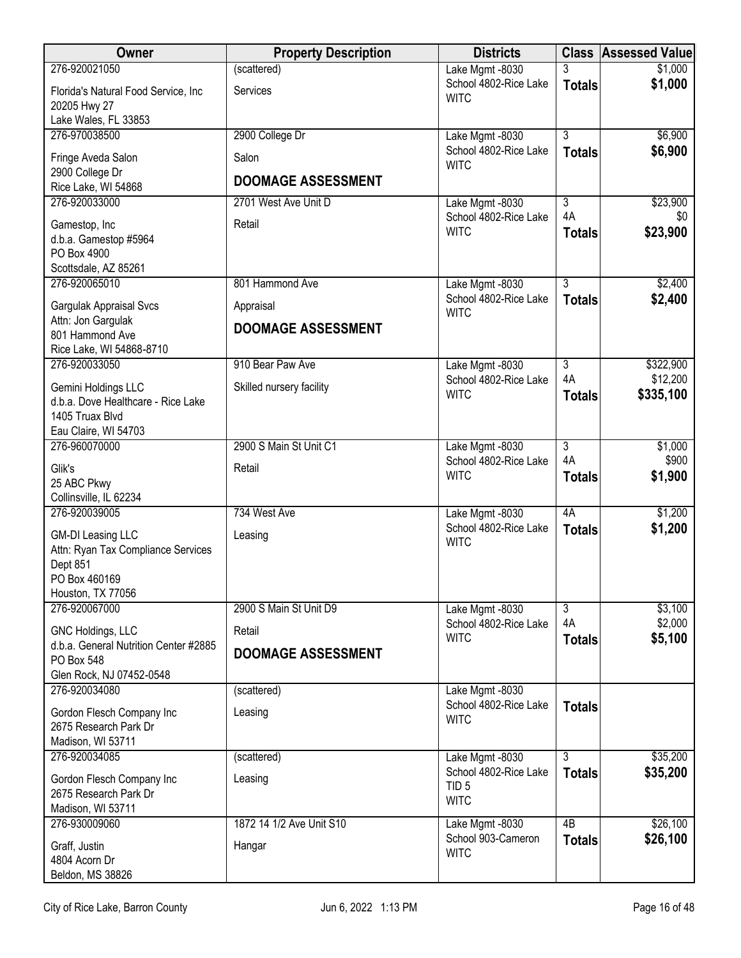| Owner                                               | <b>Property Description</b> | <b>Districts</b>                          |                           | <b>Class Assessed Value</b> |
|-----------------------------------------------------|-----------------------------|-------------------------------------------|---------------------------|-----------------------------|
| 276-920021050                                       | (scattered)                 | Lake Mgmt -8030                           | 3                         | \$1,000                     |
| Florida's Natural Food Service, Inc<br>20205 Hwy 27 | Services                    | School 4802-Rice Lake<br><b>WITC</b>      | <b>Totals</b>             | \$1,000                     |
| Lake Wales, FL 33853<br>276-970038500               | 2900 College Dr             | Lake Mgmt -8030                           | $\overline{3}$            | \$6,900                     |
|                                                     |                             | School 4802-Rice Lake                     | <b>Totals</b>             | \$6,900                     |
| Fringe Aveda Salon<br>2900 College Dr               | Salon                       | <b>WITC</b>                               |                           |                             |
| Rice Lake, WI 54868                                 | <b>DOOMAGE ASSESSMENT</b>   |                                           |                           |                             |
| 276-920033000                                       | 2701 West Ave Unit D        | Lake Mgmt -8030                           | $\overline{\overline{3}}$ | \$23,900                    |
| Gamestop, Inc                                       | Retail                      | School 4802-Rice Lake                     | 4A                        | \$0                         |
| d.b.a. Gamestop #5964                               |                             | <b>WITC</b>                               | <b>Totals</b>             | \$23,900                    |
| PO Box 4900                                         |                             |                                           |                           |                             |
| Scottsdale, AZ 85261<br>276-920065010               | 801 Hammond Ave             | Lake Mgmt -8030                           | $\overline{3}$            | \$2,400                     |
|                                                     |                             | School 4802-Rice Lake                     | <b>Totals</b>             | \$2,400                     |
| Gargulak Appraisal Svcs<br>Attn: Jon Gargulak       | Appraisal                   | <b>WITC</b>                               |                           |                             |
| 801 Hammond Ave                                     | <b>DOOMAGE ASSESSMENT</b>   |                                           |                           |                             |
| Rice Lake, WI 54868-8710                            |                             |                                           |                           |                             |
| 276-920033050                                       | 910 Bear Paw Ave            | Lake Mgmt -8030                           | $\overline{3}$            | \$322,900                   |
| Gemini Holdings LLC                                 | Skilled nursery facility    | School 4802-Rice Lake<br><b>WITC</b>      | 4A<br><b>Totals</b>       | \$12,200<br>\$335,100       |
| d.b.a. Dove Healthcare - Rice Lake                  |                             |                                           |                           |                             |
| 1405 Truax Blvd<br>Eau Claire, WI 54703             |                             |                                           |                           |                             |
| 276-960070000                                       | 2900 S Main St Unit C1      | Lake Mgmt -8030                           | $\overline{3}$            | \$1,000                     |
| Glik's                                              | Retail                      | School 4802-Rice Lake                     | 4A                        | \$900                       |
| 25 ABC Pkwy                                         |                             | <b>WITC</b>                               | <b>Totals</b>             | \$1,900                     |
| Collinsville, IL 62234                              |                             |                                           |                           |                             |
| 276-920039005                                       | 734 West Ave                | Lake Mgmt -8030<br>School 4802-Rice Lake  | 4A                        | \$1,200                     |
| <b>GM-DI Leasing LLC</b>                            | Leasing                     | <b>WITC</b>                               | <b>Totals</b>             | \$1,200                     |
| Attn: Ryan Tax Compliance Services                  |                             |                                           |                           |                             |
| Dept 851<br>PO Box 460169                           |                             |                                           |                           |                             |
| Houston, TX 77056                                   |                             |                                           |                           |                             |
| 276-920067000                                       | 2900 S Main St Unit D9      | Lake Mgmt -8030                           | $\overline{3}$            | \$3,100                     |
| GNC Holdings, LLC                                   | Retail                      | School 4802-Rice Lake<br><b>WITC</b>      | 4A<br><b>Totals</b>       | \$2,000<br>\$5,100          |
| d.b.a. General Nutrition Center #2885               | <b>DOOMAGE ASSESSMENT</b>   |                                           |                           |                             |
| PO Box 548<br>Glen Rock, NJ 07452-0548              |                             |                                           |                           |                             |
| 276-920034080                                       | (scattered)                 | Lake Mgmt -8030                           |                           |                             |
| Gordon Flesch Company Inc                           | Leasing                     | School 4802-Rice Lake                     | <b>Totals</b>             |                             |
| 2675 Research Park Dr                               |                             | <b>WITC</b>                               |                           |                             |
| Madison, WI 53711                                   |                             |                                           |                           |                             |
| 276-920034085                                       | (scattered)                 | Lake Mgmt -8030                           | $\overline{3}$            | \$35,200                    |
| Gordon Flesch Company Inc                           | Leasing                     | School 4802-Rice Lake<br>TID <sub>5</sub> | <b>Totals</b>             | \$35,200                    |
| 2675 Research Park Dr                               |                             | <b>WITC</b>                               |                           |                             |
| Madison, WI 53711<br>276-930009060                  | 1872 14 1/2 Ave Unit S10    | Lake Mgmt -8030                           | $\overline{AB}$           | \$26,100                    |
|                                                     |                             | School 903-Cameron                        | <b>Totals</b>             | \$26,100                    |
| Graff, Justin<br>4804 Acorn Dr                      | Hangar                      | <b>WITC</b>                               |                           |                             |
| Beldon, MS 38826                                    |                             |                                           |                           |                             |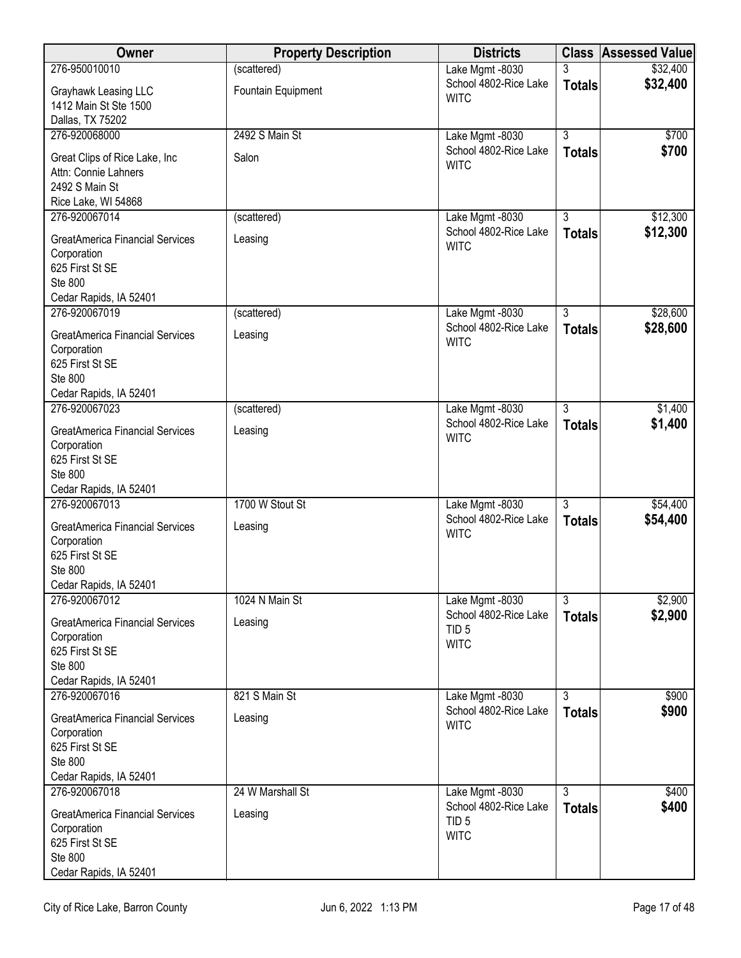| <b>Owner</b>                                                                                                         | <b>Property Description</b> | <b>Districts</b>                                         |                | <b>Class Assessed Value</b> |
|----------------------------------------------------------------------------------------------------------------------|-----------------------------|----------------------------------------------------------|----------------|-----------------------------|
| 276-950010010                                                                                                        | (scattered)                 | Lake Mgmt -8030                                          |                | \$32,400                    |
| Grayhawk Leasing LLC<br>1412 Main St Ste 1500<br>Dallas, TX 75202                                                    | Fountain Equipment          | School 4802-Rice Lake<br><b>WITC</b>                     | <b>Totals</b>  | \$32,400                    |
| 276-920068000                                                                                                        | 2492 S Main St              | Lake Mgmt -8030                                          | $\overline{3}$ | \$700                       |
| Great Clips of Rice Lake, Inc<br>Attn: Connie Lahners<br>2492 S Main St<br>Rice Lake, WI 54868                       | Salon                       | School 4802-Rice Lake<br><b>WITC</b>                     | <b>Totals</b>  | \$700                       |
| 276-920067014                                                                                                        | (scattered)                 | Lake Mgmt -8030                                          | $\overline{3}$ | \$12,300                    |
| <b>GreatAmerica Financial Services</b><br>Corporation<br>625 First St SE<br>Ste 800<br>Cedar Rapids, IA 52401        | Leasing                     | School 4802-Rice Lake<br><b>WITC</b>                     | <b>Totals</b>  | \$12,300                    |
| 276-920067019                                                                                                        | (scattered)                 | Lake Mgmt -8030                                          | $\overline{3}$ | \$28,600                    |
| <b>GreatAmerica Financial Services</b><br>Corporation<br>625 First St SE<br><b>Ste 800</b><br>Cedar Rapids, IA 52401 | Leasing                     | School 4802-Rice Lake<br><b>WITC</b>                     | <b>Totals</b>  | \$28,600                    |
| 276-920067023                                                                                                        | (scattered)                 | Lake Mgmt -8030                                          | $\overline{3}$ | \$1,400                     |
| <b>GreatAmerica Financial Services</b><br>Corporation<br>625 First St SE<br>Ste 800<br>Cedar Rapids, IA 52401        | Leasing                     | School 4802-Rice Lake<br><b>WITC</b>                     | <b>Totals</b>  | \$1,400                     |
| 276-920067013                                                                                                        | 1700 W Stout St             | Lake Mgmt -8030                                          | $\overline{3}$ | \$54,400                    |
| <b>GreatAmerica Financial Services</b><br>Corporation<br>625 First St SE<br><b>Ste 800</b><br>Cedar Rapids, IA 52401 | Leasing                     | School 4802-Rice Lake<br><b>WITC</b>                     | <b>Totals</b>  | \$54,400                    |
| 276-920067012                                                                                                        | 1024 N Main St              | Lake Mgmt -8030                                          | $\overline{3}$ | \$2,900                     |
| <b>GreatAmerica Financial Services</b><br>Corporation<br>625 First St SE<br>Ste 800<br>Cedar Rapids, IA 52401        | Leasing                     | School 4802-Rice Lake<br>TID <sub>5</sub><br><b>WITC</b> | <b>Totals</b>  | \$2,900                     |
| 276-920067016                                                                                                        | 821 S Main St               | Lake Mgmt -8030<br>School 4802-Rice Lake                 | $\overline{3}$ | \$900<br>\$900              |
| <b>GreatAmerica Financial Services</b><br>Corporation<br>625 First St SE<br>Ste 800<br>Cedar Rapids, IA 52401        | Leasing                     | <b>WITC</b>                                              | <b>Totals</b>  |                             |
| 276-920067018                                                                                                        | 24 W Marshall St            | Lake Mgmt -8030                                          | $\overline{3}$ | \$400                       |
| <b>GreatAmerica Financial Services</b><br>Corporation<br>625 First St SE<br>Ste 800<br>Cedar Rapids, IA 52401        | Leasing                     | School 4802-Rice Lake<br>TID <sub>5</sub><br><b>WITC</b> | <b>Totals</b>  | \$400                       |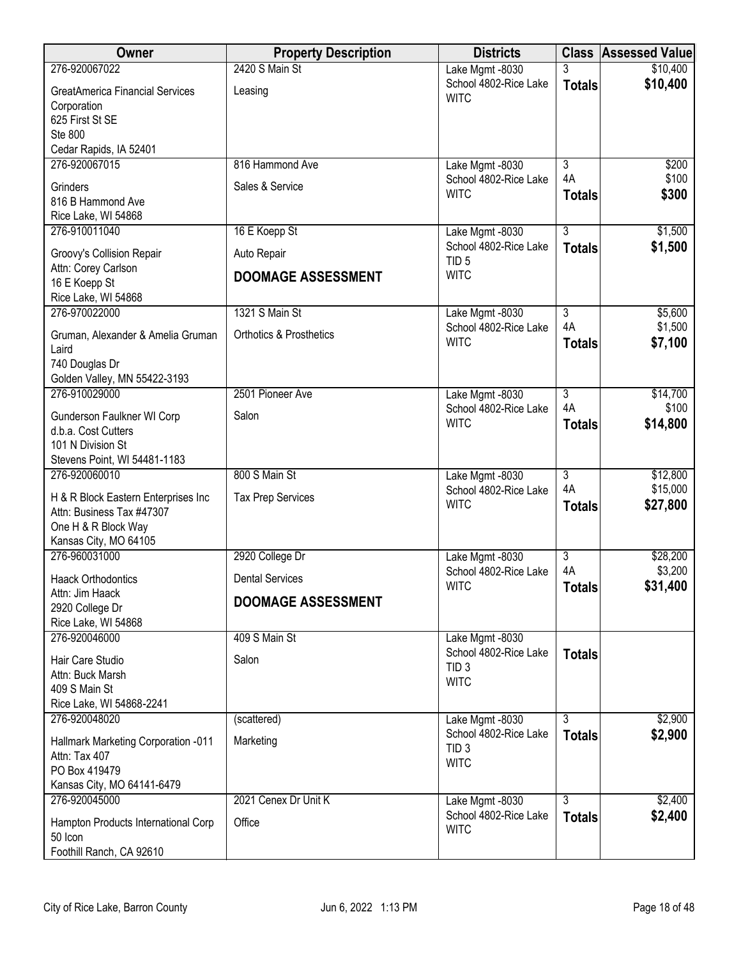| Owner                                             | <b>Property Description</b>        | <b>Districts</b>                         |                      | <b>Class Assessed Value</b> |
|---------------------------------------------------|------------------------------------|------------------------------------------|----------------------|-----------------------------|
| 276-920067022                                     | 2420 S Main St                     | Lake Mgmt -8030                          |                      | \$10,400                    |
| <b>GreatAmerica Financial Services</b>            | Leasing                            | School 4802-Rice Lake<br><b>WITC</b>     | <b>Totals</b>        | \$10,400                    |
| Corporation                                       |                                    |                                          |                      |                             |
| 625 First St SE<br>Ste 800                        |                                    |                                          |                      |                             |
| Cedar Rapids, IA 52401                            |                                    |                                          |                      |                             |
| 276-920067015                                     | 816 Hammond Ave                    | Lake Mgmt -8030                          | $\overline{3}$       | \$200                       |
| Grinders                                          | Sales & Service                    | School 4802-Rice Lake<br><b>WITC</b>     | 4A                   | \$100                       |
| 816 B Hammond Ave                                 |                                    |                                          | <b>Totals</b>        | \$300                       |
| Rice Lake, WI 54868<br>276-910011040              | 16 E Koepp St                      | Lake Mgmt -8030                          | 3                    | \$1,500                     |
|                                                   |                                    | School 4802-Rice Lake                    | <b>Totals</b>        | \$1,500                     |
| Groovy's Collision Repair<br>Attn: Corey Carlson  | Auto Repair                        | TID <sub>5</sub>                         |                      |                             |
| 16 E Koepp St                                     | <b>DOOMAGE ASSESSMENT</b>          | <b>WITC</b>                              |                      |                             |
| Rice Lake, WI 54868                               |                                    |                                          |                      |                             |
| 276-970022000                                     | 1321 S Main St                     | Lake Mgmt -8030<br>School 4802-Rice Lake | $\overline{3}$<br>4A | \$5,600<br>\$1,500          |
| Gruman, Alexander & Amelia Gruman                 | <b>Orthotics &amp; Prosthetics</b> | <b>WITC</b>                              | <b>Totals</b>        | \$7,100                     |
| Laird<br>740 Douglas Dr                           |                                    |                                          |                      |                             |
| Golden Valley, MN 55422-3193                      |                                    |                                          |                      |                             |
| 276-910029000                                     | 2501 Pioneer Ave                   | Lake Mgmt -8030                          | $\overline{3}$       | \$14,700                    |
| Gunderson Faulkner WI Corp                        | Salon                              | School 4802-Rice Lake<br><b>WITC</b>     | 4A<br><b>Totals</b>  | \$100<br>\$14,800           |
| d.b.a. Cost Cutters                               |                                    |                                          |                      |                             |
| 101 N Division St<br>Stevens Point, WI 54481-1183 |                                    |                                          |                      |                             |
| 276-920060010                                     | 800 S Main St                      | Lake Mgmt -8030                          | $\overline{3}$       | \$12,800                    |
| H & R Block Eastern Enterprises Inc               | <b>Tax Prep Services</b>           | School 4802-Rice Lake                    | 4A                   | \$15,000                    |
| Attn: Business Tax #47307                         |                                    | <b>WITC</b>                              | <b>Totals</b>        | \$27,800                    |
| One H & R Block Way                               |                                    |                                          |                      |                             |
| Kansas City, MO 64105<br>276-960031000            | 2920 College Dr                    | Lake Mgmt -8030                          | $\overline{3}$       | \$28,200                    |
| <b>Haack Orthodontics</b>                         | <b>Dental Services</b>             | School 4802-Rice Lake                    | 4A                   | \$3,200                     |
| Attn: Jim Haack                                   |                                    | <b>WITC</b>                              | <b>Totals</b>        | \$31,400                    |
| 2920 College Dr                                   | <b>DOOMAGE ASSESSMENT</b>          |                                          |                      |                             |
| Rice Lake, WI 54868<br>276-920046000              |                                    |                                          |                      |                             |
|                                                   | 409 S Main St                      | Lake Mgmt -8030<br>School 4802-Rice Lake | <b>Totals</b>        |                             |
| Hair Care Studio<br>Attn: Buck Marsh              | Salon                              | TID <sub>3</sub>                         |                      |                             |
| 409 S Main St                                     |                                    | <b>WITC</b>                              |                      |                             |
| Rice Lake, WI 54868-2241                          |                                    |                                          |                      |                             |
| 276-920048020                                     | (scattered)                        | Lake Mgmt -8030<br>School 4802-Rice Lake | $\overline{3}$       | \$2,900                     |
| Hallmark Marketing Corporation -011               | Marketing                          | TID <sub>3</sub>                         | <b>Totals</b>        | \$2,900                     |
| Attn: Tax 407<br>PO Box 419479                    |                                    | <b>WITC</b>                              |                      |                             |
| Kansas City, MO 64141-6479                        |                                    |                                          |                      |                             |
| 276-920045000                                     | 2021 Cenex Dr Unit K               | Lake Mgmt -8030                          | $\overline{3}$       | \$2,400                     |
| Hampton Products International Corp               | Office                             | School 4802-Rice Lake                    | <b>Totals</b>        | \$2,400                     |
| 50 Icon                                           |                                    | <b>WITC</b>                              |                      |                             |
| Foothill Ranch, CA 92610                          |                                    |                                          |                      |                             |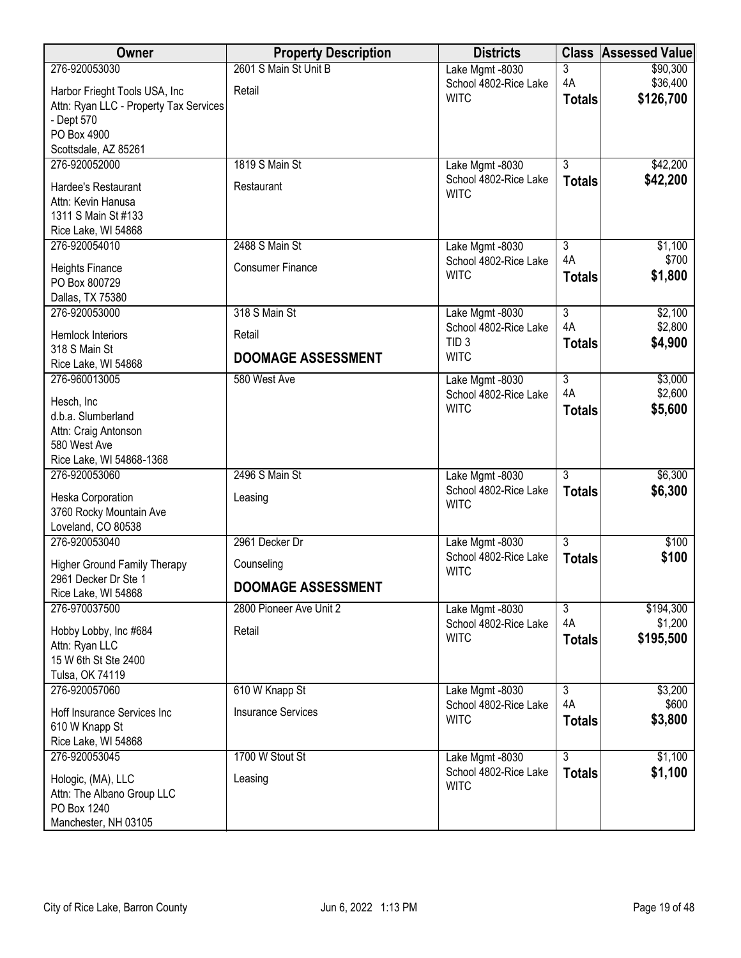| Owner                                  | <b>Property Description</b> | <b>Districts</b>      | <b>Class</b>   | <b>Assessed Value</b> |
|----------------------------------------|-----------------------------|-----------------------|----------------|-----------------------|
| 276-920053030                          | 2601 S Main St Unit B       | Lake Mgmt -8030       | 3              | \$90,300              |
| Harbor Frieght Tools USA, Inc          | Retail                      | School 4802-Rice Lake | 4A             | \$36,400              |
| Attn: Ryan LLC - Property Tax Services |                             | <b>WITC</b>           | <b>Totals</b>  | \$126,700             |
| - Dept 570                             |                             |                       |                |                       |
| PO Box 4900                            |                             |                       |                |                       |
| Scottsdale, AZ 85261                   |                             |                       |                |                       |
| 276-920052000                          | 1819 S Main St              | Lake Mgmt -8030       | $\overline{3}$ | \$42,200              |
| Hardee's Restaurant                    | Restaurant                  | School 4802-Rice Lake | <b>Totals</b>  | \$42,200              |
| Attn: Kevin Hanusa                     |                             | <b>WITC</b>           |                |                       |
| 1311 S Main St #133                    |                             |                       |                |                       |
| Rice Lake, WI 54868                    |                             |                       |                |                       |
| 276-920054010                          | 2488 S Main St              | Lake Mgmt -8030       | $\overline{3}$ | \$1,100               |
| <b>Heights Finance</b>                 | <b>Consumer Finance</b>     | School 4802-Rice Lake | 4A             | \$700                 |
| PO Box 800729                          |                             | <b>WITC</b>           | <b>Totals</b>  | \$1,800               |
| Dallas, TX 75380                       |                             |                       |                |                       |
| 276-920053000                          | 318 S Main St               | Lake Mgmt -8030       | $\overline{3}$ | \$2,100               |
| <b>Hemlock Interiors</b>               | Retail                      | School 4802-Rice Lake | 4A             | \$2,800               |
| 318 S Main St                          |                             | TID <sub>3</sub>      | <b>Totals</b>  | \$4,900               |
| Rice Lake, WI 54868                    | <b>DOOMAGE ASSESSMENT</b>   | <b>WITC</b>           |                |                       |
| 276-960013005                          | 580 West Ave                | Lake Mgmt -8030       | $\overline{3}$ | \$3,000               |
| Hesch, Inc                             |                             | School 4802-Rice Lake | 4A             | \$2,600               |
| d.b.a. Slumberland                     |                             | <b>WITC</b>           | <b>Totals</b>  | \$5,600               |
| Attn: Craig Antonson                   |                             |                       |                |                       |
| 580 West Ave                           |                             |                       |                |                       |
| Rice Lake, WI 54868-1368               |                             |                       |                |                       |
| 276-920053060                          | 2496 S Main St              | Lake Mgmt -8030       | $\overline{3}$ | \$6,300               |
| Heska Corporation                      | Leasing                     | School 4802-Rice Lake | <b>Totals</b>  | \$6,300               |
| 3760 Rocky Mountain Ave                |                             | <b>WITC</b>           |                |                       |
| Loveland, CO 80538                     |                             |                       |                |                       |
| 276-920053040                          | 2961 Decker Dr              | Lake Mgmt -8030       | $\overline{3}$ | \$100                 |
| <b>Higher Ground Family Therapy</b>    | Counseling                  | School 4802-Rice Lake | <b>Totals</b>  | \$100                 |
| 2961 Decker Dr Ste 1                   |                             | <b>WITC</b>           |                |                       |
| Rice Lake, WI 54868                    | <b>DOOMAGE ASSESSMENT</b>   |                       |                |                       |
| 276-970037500                          | 2800 Pioneer Ave Unit 2     | Lake Mgmt -8030       | $\overline{3}$ | \$194,300             |
| Hobby Lobby, Inc #684                  | Retail                      | School 4802-Rice Lake | 4A             | \$1,200               |
| Attn: Ryan LLC                         |                             | <b>WITC</b>           | <b>Totals</b>  | \$195,500             |
| 15 W 6th St Ste 2400                   |                             |                       |                |                       |
| Tulsa, OK 74119                        |                             |                       |                |                       |
| 276-920057060                          | 610 W Knapp St              | Lake Mgmt -8030       | $\overline{3}$ | \$3,200               |
| Hoff Insurance Services Inc            | <b>Insurance Services</b>   | School 4802-Rice Lake | 4A             | \$600                 |
| 610 W Knapp St                         |                             | <b>WITC</b>           | <b>Totals</b>  | \$3,800               |
| Rice Lake, WI 54868                    |                             |                       |                |                       |
| 276-920053045                          | 1700 W Stout St             | Lake Mgmt -8030       | $\overline{3}$ | \$1,100               |
| Hologic, (MA), LLC                     | Leasing                     | School 4802-Rice Lake | <b>Totals</b>  | \$1,100               |
| Attn: The Albano Group LLC             |                             | <b>WITC</b>           |                |                       |
| PO Box 1240                            |                             |                       |                |                       |
| Manchester, NH 03105                   |                             |                       |                |                       |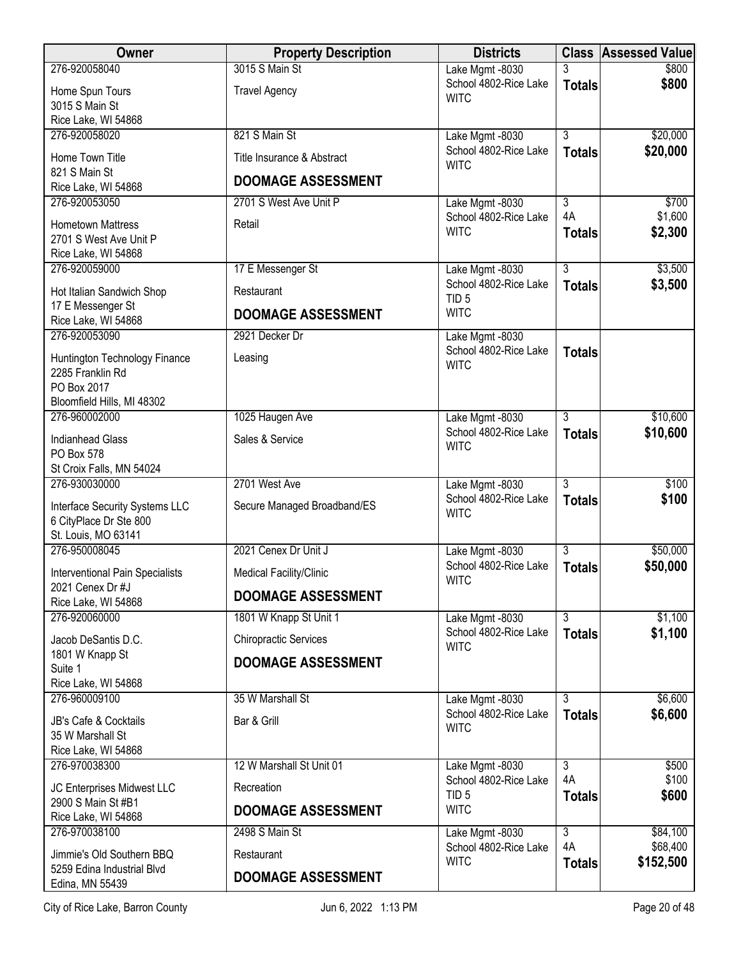| <b>Owner</b>                                     | <b>Property Description</b>  | <b>Districts</b>                          |                    | <b>Class Assessed Value</b> |
|--------------------------------------------------|------------------------------|-------------------------------------------|--------------------|-----------------------------|
| 276-920058040                                    | 3015 S Main St               | Lake Mgmt -8030                           | 3                  | \$800                       |
| Home Spun Tours                                  | <b>Travel Agency</b>         | School 4802-Rice Lake<br><b>WITC</b>      | <b>Totals</b>      | \$800                       |
| 3015 S Main St                                   |                              |                                           |                    |                             |
| Rice Lake, WI 54868<br>276-920058020             | 821 S Main St                |                                           | $\overline{3}$     | \$20,000                    |
|                                                  |                              | Lake Mgmt -8030<br>School 4802-Rice Lake  | <b>Totals</b>      | \$20,000                    |
| Home Town Title                                  | Title Insurance & Abstract   | <b>WITC</b>                               |                    |                             |
| 821 S Main St<br>Rice Lake, WI 54868             | <b>DOOMAGE ASSESSMENT</b>    |                                           |                    |                             |
| 276-920053050                                    | 2701 S West Ave Unit P       | Lake Mgmt -8030                           | 3                  | \$700                       |
| <b>Hometown Mattress</b>                         | Retail                       | School 4802-Rice Lake                     | 4A                 | \$1,600                     |
| 2701 S West Ave Unit P                           |                              | <b>WITC</b>                               | <b>Totals</b>      | \$2,300                     |
| Rice Lake, WI 54868                              |                              |                                           |                    |                             |
| 276-920059000                                    | 17 E Messenger St            | Lake Mgmt -8030                           | $\overline{3}$     | \$3,500                     |
| Hot Italian Sandwich Shop                        | Restaurant                   | School 4802-Rice Lake<br>TID <sub>5</sub> | <b>Totals</b>      | \$3,500                     |
| 17 E Messenger St                                | <b>DOOMAGE ASSESSMENT</b>    | <b>WITC</b>                               |                    |                             |
| Rice Lake, WI 54868                              |                              |                                           |                    |                             |
| 276-920053090                                    | 2921 Decker Dr               | Lake Mgmt -8030<br>School 4802-Rice Lake  | <b>Totals</b>      |                             |
| Huntington Technology Finance                    | Leasing                      | <b>WITC</b>                               |                    |                             |
| 2285 Franklin Rd<br>PO Box 2017                  |                              |                                           |                    |                             |
| Bloomfield Hills, MI 48302                       |                              |                                           |                    |                             |
| 276-960002000                                    | 1025 Haugen Ave              | Lake Mgmt -8030                           | 3                  | \$10,600                    |
| <b>Indianhead Glass</b>                          | Sales & Service              | School 4802-Rice Lake                     | <b>Totals</b>      | \$10,600                    |
| PO Box 578                                       |                              | <b>WITC</b>                               |                    |                             |
| St Croix Falls, MN 54024                         |                              |                                           |                    |                             |
| 276-930030000                                    | 2701 West Ave                | Lake Mgmt -8030                           | $\overline{3}$     | \$100                       |
| Interface Security Systems LLC                   | Secure Managed Broadband/ES  | School 4802-Rice Lake<br><b>WITC</b>      | <b>Totals</b>      | \$100                       |
| 6 CityPlace Dr Ste 800                           |                              |                                           |                    |                             |
| St. Louis, MO 63141                              |                              |                                           |                    |                             |
| 276-950008045                                    | 2021 Cenex Dr Unit J         | Lake Mgmt -8030<br>School 4802-Rice Lake  | 3<br><b>Totals</b> | \$50,000<br>\$50,000        |
| <b>Interventional Pain Specialists</b>           | Medical Facility/Clinic      | <b>WITC</b>                               |                    |                             |
| 2021 Cenex Dr #J<br>Rice Lake, WI 54868          | <b>DOOMAGE ASSESSMENT</b>    |                                           |                    |                             |
| 276-920060000                                    | 1801 W Knapp St Unit 1       | Lake Mgmt -8030                           | $\overline{3}$     | \$1,100                     |
| Jacob DeSantis D.C.                              | <b>Chiropractic Services</b> | School 4802-Rice Lake                     | <b>Totals</b>      | \$1,100                     |
| 1801 W Knapp St                                  |                              | <b>WITC</b>                               |                    |                             |
| Suite 1                                          | <b>DOOMAGE ASSESSMENT</b>    |                                           |                    |                             |
| Rice Lake, WI 54868                              |                              |                                           |                    |                             |
| 276-960009100                                    | 35 W Marshall St             | Lake Mgmt -8030<br>School 4802-Rice Lake  | $\overline{3}$     | \$6,600                     |
| JB's Cafe & Cocktails                            | Bar & Grill                  | <b>WITC</b>                               | <b>Totals</b>      | \$6,600                     |
| 35 W Marshall St                                 |                              |                                           |                    |                             |
| Rice Lake, WI 54868<br>276-970038300             | 12 W Marshall St Unit 01     | Lake Mgmt -8030                           | 3                  | \$500                       |
|                                                  |                              | School 4802-Rice Lake                     | 4A                 | \$100                       |
| JC Enterprises Midwest LLC<br>2900 S Main St #B1 | Recreation                   | TID <sub>5</sub>                          | <b>Totals</b>      | \$600                       |
| Rice Lake, WI 54868                              | <b>DOOMAGE ASSESSMENT</b>    | <b>WITC</b>                               |                    |                             |
| 276-970038100                                    | 2498 S Main St               | Lake Mgmt -8030                           | $\overline{3}$     | \$84,100                    |
| Jimmie's Old Southern BBQ                        | Restaurant                   | School 4802-Rice Lake                     | 4A                 | \$68,400                    |
| 5259 Edina Industrial Blvd                       |                              | <b>WITC</b>                               | <b>Totals</b>      | \$152,500                   |
| Edina, MN 55439                                  | <b>DOOMAGE ASSESSMENT</b>    |                                           |                    |                             |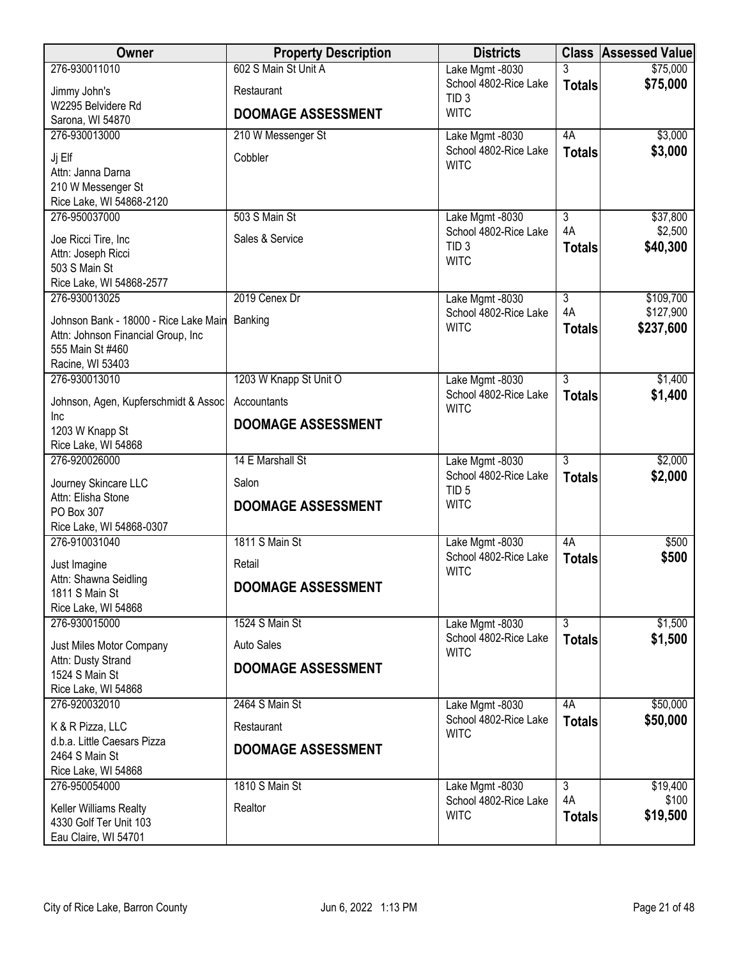| Owner                                          | <b>Property Description</b> | <b>Districts</b>                         |                           | <b>Class Assessed Value</b> |
|------------------------------------------------|-----------------------------|------------------------------------------|---------------------------|-----------------------------|
| 276-930011010                                  | 602 S Main St Unit A        | Lake Mgmt -8030                          | 3                         | \$75,000                    |
| Jimmy John's                                   | Restaurant                  | School 4802-Rice Lake                    | <b>Totals</b>             | \$75,000                    |
| W2295 Belvidere Rd                             | <b>DOOMAGE ASSESSMENT</b>   | TID <sub>3</sub><br><b>WITC</b>          |                           |                             |
| Sarona, WI 54870                               |                             |                                          |                           |                             |
| 276-930013000                                  | 210 W Messenger St          | Lake Mgmt -8030                          | 4A                        | \$3,000                     |
| Jj Elf                                         | Cobbler                     | School 4802-Rice Lake<br><b>WITC</b>     | <b>Totals</b>             | \$3,000                     |
| Attn: Janna Darna                              |                             |                                          |                           |                             |
| 210 W Messenger St                             |                             |                                          |                           |                             |
| Rice Lake, WI 54868-2120<br>276-950037000      | 503 S Main St               | Lake Mgmt -8030                          | $\overline{3}$            | \$37,800                    |
|                                                |                             | School 4802-Rice Lake                    | 4A                        | \$2,500                     |
| Joe Ricci Tire, Inc                            | Sales & Service             | TID <sub>3</sub>                         | <b>Totals</b>             | \$40,300                    |
| Attn: Joseph Ricci<br>503 S Main St            |                             | <b>WITC</b>                              |                           |                             |
| Rice Lake, WI 54868-2577                       |                             |                                          |                           |                             |
| 276-930013025                                  | 2019 Cenex Dr               | Lake Mgmt -8030                          | $\overline{3}$            | \$109,700                   |
| Johnson Bank - 18000 - Rice Lake Main          | Banking                     | School 4802-Rice Lake                    | 4A                        | \$127,900                   |
| Attn: Johnson Financial Group, Inc             |                             | <b>WITC</b>                              | <b>Totals</b>             | \$237,600                   |
| 555 Main St #460                               |                             |                                          |                           |                             |
| Racine, WI 53403                               |                             |                                          |                           |                             |
| 276-930013010                                  | 1203 W Knapp St Unit O      | Lake Mgmt -8030<br>School 4802-Rice Lake | $\overline{3}$            | \$1,400<br>\$1,400          |
| Johnson, Agen, Kupferschmidt & Assoc           | Accountants                 | <b>WITC</b>                              | <b>Totals</b>             |                             |
| Inc<br>1203 W Knapp St                         | <b>DOOMAGE ASSESSMENT</b>   |                                          |                           |                             |
| Rice Lake, WI 54868                            |                             |                                          |                           |                             |
| 276-920026000                                  | 14 E Marshall St            | Lake Mgmt -8030                          | $\overline{3}$            | \$2,000                     |
| Journey Skincare LLC                           | Salon                       | School 4802-Rice Lake                    | <b>Totals</b>             | \$2,000                     |
| Attn: Elisha Stone                             |                             | TID <sub>5</sub>                         |                           |                             |
| PO Box 307                                     | <b>DOOMAGE ASSESSMENT</b>   | <b>WITC</b>                              |                           |                             |
| Rice Lake, WI 54868-0307                       |                             |                                          |                           |                             |
| 276-910031040                                  | 1811 S Main St              | Lake Mgmt -8030                          | 4A                        | \$500                       |
| Just Imagine                                   | Retail                      | School 4802-Rice Lake<br><b>WITC</b>     | <b>Totals</b>             | \$500                       |
| Attn: Shawna Seidling                          | <b>DOOMAGE ASSESSMENT</b>   |                                          |                           |                             |
| 1811 S Main St                                 |                             |                                          |                           |                             |
| Rice Lake, WI 54868<br>276-930015000           | 1524 S Main St              |                                          | $\overline{\overline{3}}$ | \$1,500                     |
|                                                | <b>Auto Sales</b>           | Lake Mgmt -8030<br>School 4802-Rice Lake | <b>Totals</b>             | \$1,500                     |
| Just Miles Motor Company<br>Attn: Dusty Strand |                             | <b>WITC</b>                              |                           |                             |
| 1524 S Main St                                 | <b>DOOMAGE ASSESSMENT</b>   |                                          |                           |                             |
| Rice Lake, WI 54868                            |                             |                                          |                           |                             |
| 276-920032010                                  | 2464 S Main St              | Lake Mgmt -8030                          | 4A                        | \$50,000                    |
| K & R Pizza, LLC                               | Restaurant                  | School 4802-Rice Lake                    | <b>Totals</b>             | \$50,000                    |
| d.b.a. Little Caesars Pizza                    |                             | <b>WITC</b>                              |                           |                             |
| 2464 S Main St                                 | <b>DOOMAGE ASSESSMENT</b>   |                                          |                           |                             |
| Rice Lake, WI 54868                            |                             |                                          |                           |                             |
| 276-950054000                                  | 1810 S Main St              | Lake Mgmt -8030                          | $\overline{3}$<br>4A      | \$19,400<br>\$100           |
| Keller Williams Realty                         | Realtor                     | School 4802-Rice Lake<br><b>WITC</b>     | <b>Totals</b>             | \$19,500                    |
| 4330 Golf Ter Unit 103                         |                             |                                          |                           |                             |
| Eau Claire, WI 54701                           |                             |                                          |                           |                             |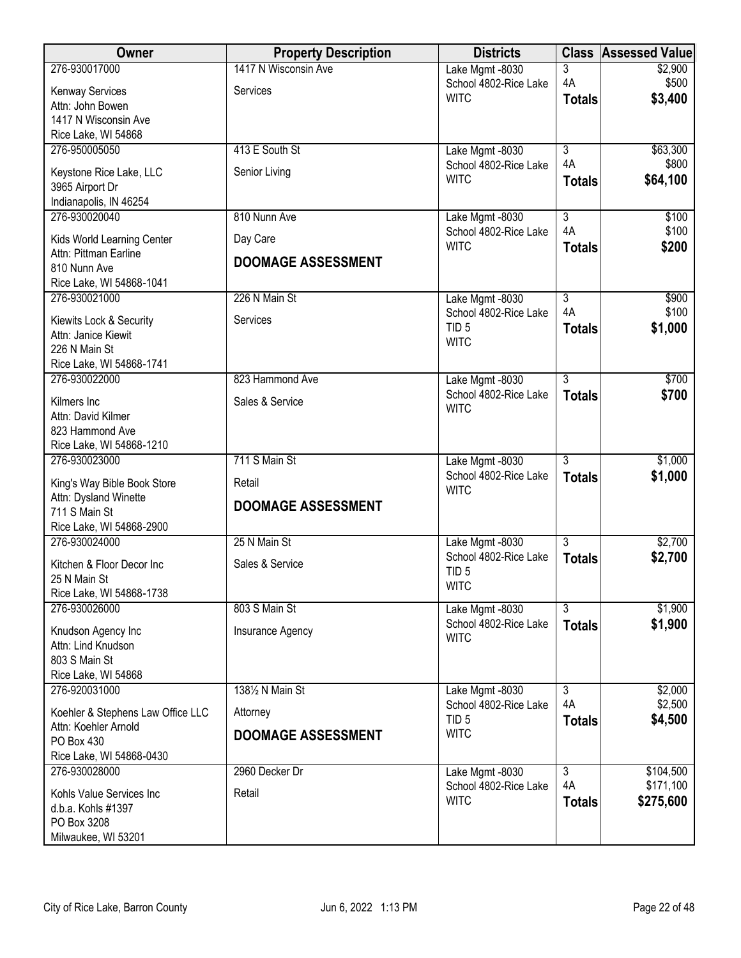| Owner                                                     | <b>Property Description</b> | <b>Districts</b>                          |                      | <b>Class Assessed Value</b> |
|-----------------------------------------------------------|-----------------------------|-------------------------------------------|----------------------|-----------------------------|
| 276-930017000                                             | 1417 N Wisconsin Ave        | Lake Mgmt -8030                           | 3                    | \$2,900                     |
| Kenway Services                                           | Services                    | School 4802-Rice Lake                     | 4A                   | \$500                       |
| Attn: John Bowen                                          |                             | <b>WITC</b>                               | <b>Totals</b>        | \$3,400                     |
| 1417 N Wisconsin Ave                                      |                             |                                           |                      |                             |
| Rice Lake, WI 54868                                       |                             |                                           |                      |                             |
| 276-950005050                                             | 413 E South St              | Lake Mgmt -8030                           | $\overline{3}$<br>4A | \$63,300                    |
| Keystone Rice Lake, LLC                                   | Senior Living               | School 4802-Rice Lake<br><b>WITC</b>      |                      | \$800<br>\$64,100           |
| 3965 Airport Dr                                           |                             |                                           | <b>Totals</b>        |                             |
| Indianapolis, IN 46254                                    |                             |                                           |                      |                             |
| 276-930020040                                             | 810 Nunn Ave                | Lake Mgmt -8030                           | $\overline{3}$       | \$100                       |
| Kids World Learning Center                                | Day Care                    | School 4802-Rice Lake<br><b>WITC</b>      | 4A                   | \$100                       |
| Attn: Pittman Earline                                     | <b>DOOMAGE ASSESSMENT</b>   |                                           | <b>Totals</b>        | \$200                       |
| 810 Nunn Ave                                              |                             |                                           |                      |                             |
| Rice Lake, WI 54868-1041                                  |                             |                                           |                      |                             |
| 276-930021000                                             | 226 N Main St               | Lake Mgmt -8030                           | $\overline{3}$<br>4A | \$900<br>\$100              |
| Kiewits Lock & Security                                   | Services                    | School 4802-Rice Lake<br>TID <sub>5</sub> | <b>Totals</b>        | \$1,000                     |
| Attn: Janice Kiewit                                       |                             | <b>WITC</b>                               |                      |                             |
| 226 N Main St                                             |                             |                                           |                      |                             |
| Rice Lake, WI 54868-1741                                  | 823 Hammond Ave             |                                           |                      |                             |
| 276-930022000                                             |                             | Lake Mgmt -8030<br>School 4802-Rice Lake  | $\overline{3}$       | \$700<br>\$700              |
| Kilmers Inc                                               | Sales & Service             | <b>WITC</b>                               | <b>Totals</b>        |                             |
| Attn: David Kilmer                                        |                             |                                           |                      |                             |
| 823 Hammond Ave                                           |                             |                                           |                      |                             |
| Rice Lake, WI 54868-1210<br>276-930023000                 | 711 S Main St               |                                           | $\overline{3}$       | \$1,000                     |
|                                                           |                             | Lake Mgmt -8030<br>School 4802-Rice Lake  | <b>Totals</b>        | \$1,000                     |
| King's Way Bible Book Store                               | Retail                      | <b>WITC</b>                               |                      |                             |
| Attn: Dysland Winette                                     | <b>DOOMAGE ASSESSMENT</b>   |                                           |                      |                             |
| 711 S Main St<br>Rice Lake, WI 54868-2900                 |                             |                                           |                      |                             |
| 276-930024000                                             | 25 N Main St                | Lake Mgmt -8030                           | $\overline{3}$       | \$2,700                     |
|                                                           |                             | School 4802-Rice Lake                     | <b>Totals</b>        | \$2,700                     |
| Kitchen & Floor Decor Inc                                 | Sales & Service             | TID <sub>5</sub>                          |                      |                             |
| 25 N Main St<br>Rice Lake, WI 54868-1738                  |                             | <b>WITC</b>                               |                      |                             |
| 276-930026000                                             | 803 S Main St               | Lake Mgmt -8030                           | $\overline{3}$       | \$1,900                     |
|                                                           |                             | School 4802-Rice Lake                     | <b>Totals</b>        | \$1,900                     |
| Knudson Agency Inc                                        | Insurance Agency            | <b>WITC</b>                               |                      |                             |
| Attn: Lind Knudson<br>803 S Main St                       |                             |                                           |                      |                             |
| Rice Lake, WI 54868                                       |                             |                                           |                      |                             |
| 276-920031000                                             | 1381/2 N Main St            | Lake Mgmt -8030                           | 3                    | \$2,000                     |
|                                                           |                             | School 4802-Rice Lake                     | 4A                   | \$2,500                     |
| Koehler & Stephens Law Office LLC<br>Attn: Koehler Arnold | Attorney                    | TID <sub>5</sub>                          | <b>Totals</b>        | \$4,500                     |
| PO Box 430                                                | <b>DOOMAGE ASSESSMENT</b>   | <b>WITC</b>                               |                      |                             |
| Rice Lake, WI 54868-0430                                  |                             |                                           |                      |                             |
| 276-930028000                                             | 2960 Decker Dr              | Lake Mgmt -8030                           | $\overline{3}$       | \$104,500                   |
|                                                           |                             | School 4802-Rice Lake                     | 4A                   | \$171,100                   |
| Kohls Value Services Inc<br>d.b.a. Kohls #1397            | Retail                      | <b>WITC</b>                               | <b>Totals</b>        | \$275,600                   |
| PO Box 3208                                               |                             |                                           |                      |                             |
| Milwaukee, WI 53201                                       |                             |                                           |                      |                             |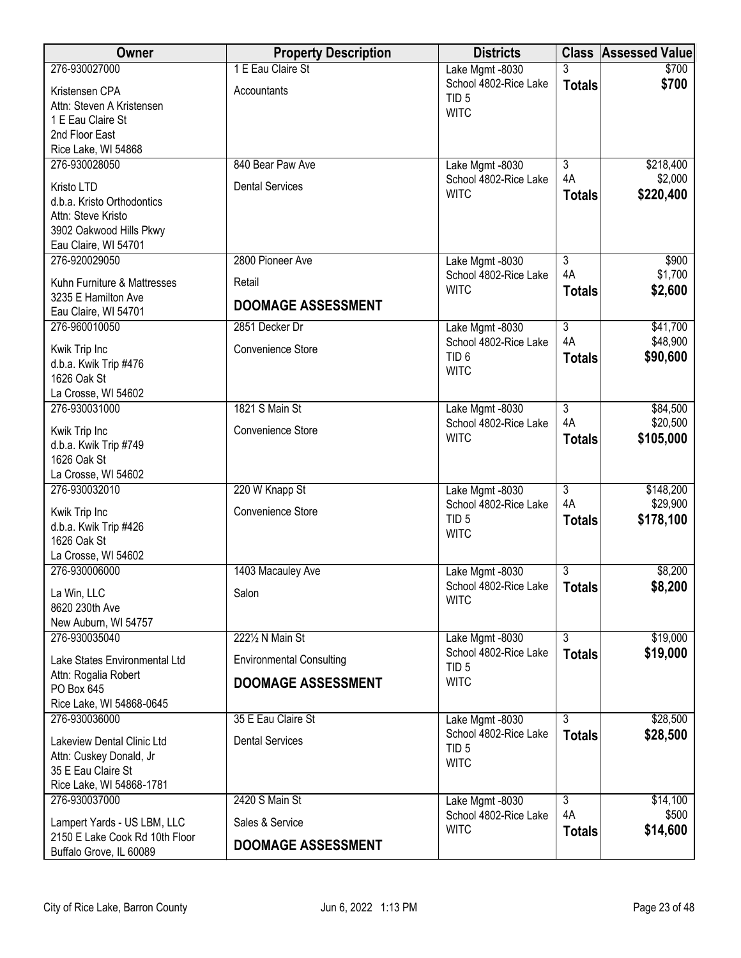| Owner                                                 | <b>Property Description</b>     | <b>Districts</b>                          |                           | <b>Class Assessed Value</b> |
|-------------------------------------------------------|---------------------------------|-------------------------------------------|---------------------------|-----------------------------|
| 276-930027000                                         | 1 E Eau Claire St               | Lake Mgmt -8030                           |                           | \$700                       |
| Kristensen CPA                                        | Accountants                     | School 4802-Rice Lake<br>TID <sub>5</sub> | <b>Totals</b>             | \$700                       |
| Attn: Steven A Kristensen                             |                                 | <b>WITC</b>                               |                           |                             |
| 1 E Eau Claire St                                     |                                 |                                           |                           |                             |
| 2nd Floor East                                        |                                 |                                           |                           |                             |
| Rice Lake, WI 54868<br>276-930028050                  | 840 Bear Paw Ave                |                                           | $\overline{3}$            | \$218,400                   |
|                                                       |                                 | Lake Mgmt -8030<br>School 4802-Rice Lake  | 4A                        | \$2,000                     |
| Kristo LTD                                            | <b>Dental Services</b>          | <b>WITC</b>                               | <b>Totals</b>             | \$220,400                   |
| d.b.a. Kristo Orthodontics                            |                                 |                                           |                           |                             |
| Attn: Steve Kristo<br>3902 Oakwood Hills Pkwy         |                                 |                                           |                           |                             |
| Eau Claire, WI 54701                                  |                                 |                                           |                           |                             |
| 276-920029050                                         | 2800 Pioneer Ave                | Lake Mgmt -8030                           | 3                         | \$900                       |
| Kuhn Furniture & Mattresses                           |                                 | School 4802-Rice Lake                     | 4A                        | \$1,700                     |
| 3235 E Hamilton Ave                                   | Retail                          | <b>WITC</b>                               | <b>Totals</b>             | \$2,600                     |
| Eau Claire, WI 54701                                  | <b>DOOMAGE ASSESSMENT</b>       |                                           |                           |                             |
| 276-960010050                                         | 2851 Decker Dr                  | Lake Mgmt -8030                           | $\overline{3}$            | \$41,700                    |
|                                                       | Convenience Store               | School 4802-Rice Lake                     | 4A                        | \$48,900                    |
| Kwik Trip Inc<br>d.b.a. Kwik Trip #476                |                                 | TID <sub>6</sub>                          | <b>Totals</b>             | \$90,600                    |
| 1626 Oak St                                           |                                 | <b>WITC</b>                               |                           |                             |
| La Crosse, WI 54602                                   |                                 |                                           |                           |                             |
| 276-930031000                                         | 1821 S Main St                  | Lake Mgmt -8030                           | $\overline{3}$            | \$84,500                    |
| Kwik Trip Inc                                         | Convenience Store               | School 4802-Rice Lake                     | 4A                        | \$20,500                    |
| d.b.a. Kwik Trip #749                                 |                                 | <b>WITC</b>                               | <b>Totals</b>             | \$105,000                   |
| 1626 Oak St                                           |                                 |                                           |                           |                             |
| La Crosse, WI 54602                                   |                                 |                                           |                           |                             |
| 276-930032010                                         | 220 W Knapp St                  | Lake Mgmt -8030                           | $\overline{3}$            | \$148,200                   |
| Kwik Trip Inc                                         | Convenience Store               | School 4802-Rice Lake                     | 4A                        | \$29,900                    |
| d.b.a. Kwik Trip #426                                 |                                 | TID <sub>5</sub><br><b>WITC</b>           | <b>Totals</b>             | \$178,100                   |
| 1626 Oak St                                           |                                 |                                           |                           |                             |
| La Crosse, WI 54602                                   |                                 |                                           |                           |                             |
| 276-930006000                                         | 1403 Macauley Ave               | Lake Mgmt -8030<br>School 4802-Rice Lake  | 3                         | \$8,200<br>\$8,200          |
| La Win, LLC                                           | Salon                           | <b>WITC</b>                               | <b>Totals</b>             |                             |
| 8620 230th Ave                                        |                                 |                                           |                           |                             |
| New Auburn, WI 54757<br>276-930035040                 | 2221/2 N Main St                | Lake Mgmt -8030                           | $\overline{\overline{3}}$ | \$19,000                    |
|                                                       |                                 | School 4802-Rice Lake                     | <b>Totals</b>             | \$19,000                    |
| Lake States Environmental Ltd                         | <b>Environmental Consulting</b> | TID <sub>5</sub>                          |                           |                             |
| Attn: Rogalia Robert<br>PO Box 645                    | <b>DOOMAGE ASSESSMENT</b>       | <b>WITC</b>                               |                           |                             |
| Rice Lake, WI 54868-0645                              |                                 |                                           |                           |                             |
| 276-930036000                                         | 35 E Eau Claire St              | Lake Mgmt -8030                           | $\overline{3}$            | \$28,500                    |
|                                                       | <b>Dental Services</b>          | School 4802-Rice Lake                     | <b>Totals</b>             | \$28,500                    |
| Lakeview Dental Clinic Ltd<br>Attn: Cuskey Donald, Jr |                                 | TID <sub>5</sub>                          |                           |                             |
| 35 E Eau Claire St                                    |                                 | <b>WITC</b>                               |                           |                             |
| Rice Lake, WI 54868-1781                              |                                 |                                           |                           |                             |
| 276-930037000                                         | 2420 S Main St                  | Lake Mgmt -8030                           | $\overline{3}$            | \$14,100                    |
| Lampert Yards - US LBM, LLC                           | Sales & Service                 | School 4802-Rice Lake                     | 4A                        | \$500                       |
| 2150 E Lake Cook Rd 10th Floor                        | <b>DOOMAGE ASSESSMENT</b>       | <b>WITC</b>                               | <b>Totals</b>             | \$14,600                    |
| Buffalo Grove, IL 60089                               |                                 |                                           |                           |                             |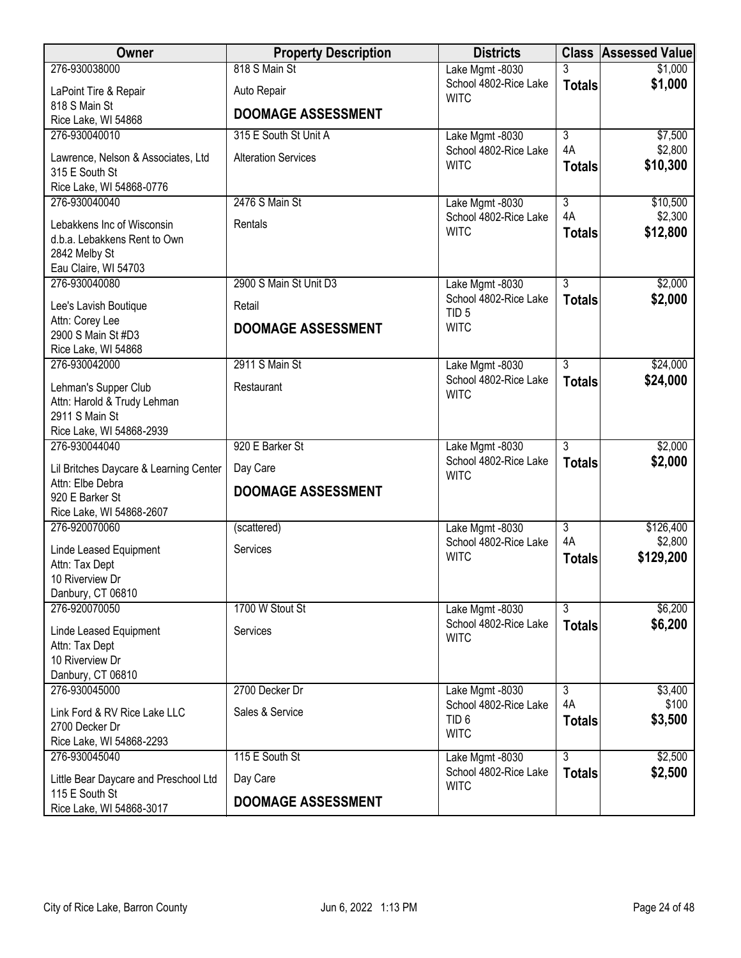| Owner                                                                                               | <b>Property Description</b> | <b>Districts</b>                                         |                     | <b>Class Assessed Value</b> |
|-----------------------------------------------------------------------------------------------------|-----------------------------|----------------------------------------------------------|---------------------|-----------------------------|
| 276-930038000                                                                                       | 818 S Main St               | Lake Mgmt -8030                                          | 3                   | \$1,000                     |
| LaPoint Tire & Repair                                                                               | Auto Repair                 | School 4802-Rice Lake<br><b>WITC</b>                     | <b>Totals</b>       | \$1,000                     |
| 818 S Main St<br>Rice Lake, WI 54868                                                                | <b>DOOMAGE ASSESSMENT</b>   |                                                          |                     |                             |
| 276-930040010                                                                                       | 315 E South St Unit A       | Lake Mgmt -8030                                          | $\overline{3}$      | \$7,500                     |
| Lawrence, Nelson & Associates, Ltd<br>315 E South St<br>Rice Lake, WI 54868-0776                    | <b>Alteration Services</b>  | School 4802-Rice Lake<br><b>WITC</b>                     | 4A<br><b>Totals</b> | \$2,800<br>\$10,300         |
| 276-930040040                                                                                       | 2476 S Main St              | Lake Mgmt -8030                                          | $\overline{3}$      | \$10,500                    |
| Lebakkens Inc of Wisconsin<br>d.b.a. Lebakkens Rent to Own<br>2842 Melby St<br>Eau Claire, WI 54703 | Rentals                     | School 4802-Rice Lake<br><b>WITC</b>                     | 4A<br><b>Totals</b> | \$2,300<br>\$12,800         |
| 276-930040080                                                                                       | 2900 S Main St Unit D3      | Lake Mgmt -8030                                          | $\overline{3}$      | \$2,000                     |
| Lee's Lavish Boutique                                                                               | Retail                      | School 4802-Rice Lake                                    | <b>Totals</b>       | \$2,000                     |
| Attn: Corey Lee<br>2900 S Main St #D3<br>Rice Lake, WI 54868                                        | <b>DOOMAGE ASSESSMENT</b>   | TID <sub>5</sub><br><b>WITC</b>                          |                     |                             |
| 276-930042000                                                                                       | 2911 S Main St              | Lake Mgmt -8030                                          | $\overline{3}$      | \$24,000                    |
| Lehman's Supper Club<br>Attn: Harold & Trudy Lehman<br>2911 S Main St<br>Rice Lake, WI 54868-2939   | Restaurant                  | School 4802-Rice Lake<br><b>WITC</b>                     | <b>Totals</b>       | \$24,000                    |
| 276-930044040                                                                                       | 920 E Barker St             | Lake Mgmt -8030                                          | $\overline{3}$      | \$2,000                     |
| Lil Britches Daycare & Learning Center                                                              | Day Care                    | School 4802-Rice Lake<br><b>WITC</b>                     | <b>Totals</b>       | \$2,000                     |
| Attn: Elbe Debra<br>920 E Barker St<br>Rice Lake, WI 54868-2607                                     | <b>DOOMAGE ASSESSMENT</b>   |                                                          |                     |                             |
| 276-920070060                                                                                       | (scattered)                 | Lake Mgmt -8030                                          | $\overline{3}$      | \$126,400                   |
| Linde Leased Equipment<br>Attn: Tax Dept<br>10 Riverview Dr<br>Danbury, CT 06810                    | Services                    | School 4802-Rice Lake<br><b>WITC</b>                     | 4A<br><b>Totals</b> | \$2,800<br>\$129,200        |
| 276-920070050                                                                                       | 1700 W Stout St             | Lake Mgmt -8030                                          | $\overline{3}$      | \$6,200                     |
| Linde Leased Equipment<br>Attn: Tax Dept<br>10 Riverview Dr<br>Danbury, CT 06810                    | Services                    | School 4802-Rice Lake<br><b>WITC</b>                     | <b>Totals</b>       | \$6,200                     |
| 276-930045000                                                                                       | 2700 Decker Dr              | Lake Mgmt -8030                                          | 3                   | \$3,400                     |
| Link Ford & RV Rice Lake LLC<br>2700 Decker Dr<br>Rice Lake, WI 54868-2293                          | Sales & Service             | School 4802-Rice Lake<br>TID <sub>6</sub><br><b>WITC</b> | 4A<br><b>Totals</b> | \$100<br>\$3,500            |
| 276-930045040                                                                                       | 115 E South St              | Lake Mgmt -8030                                          | $\overline{3}$      | \$2,500                     |
| Little Bear Daycare and Preschool Ltd                                                               | Day Care                    | School 4802-Rice Lake<br><b>WITC</b>                     | <b>Totals</b>       | \$2,500                     |
| 115 E South St<br>Rice Lake, WI 54868-3017                                                          | <b>DOOMAGE ASSESSMENT</b>   |                                                          |                     |                             |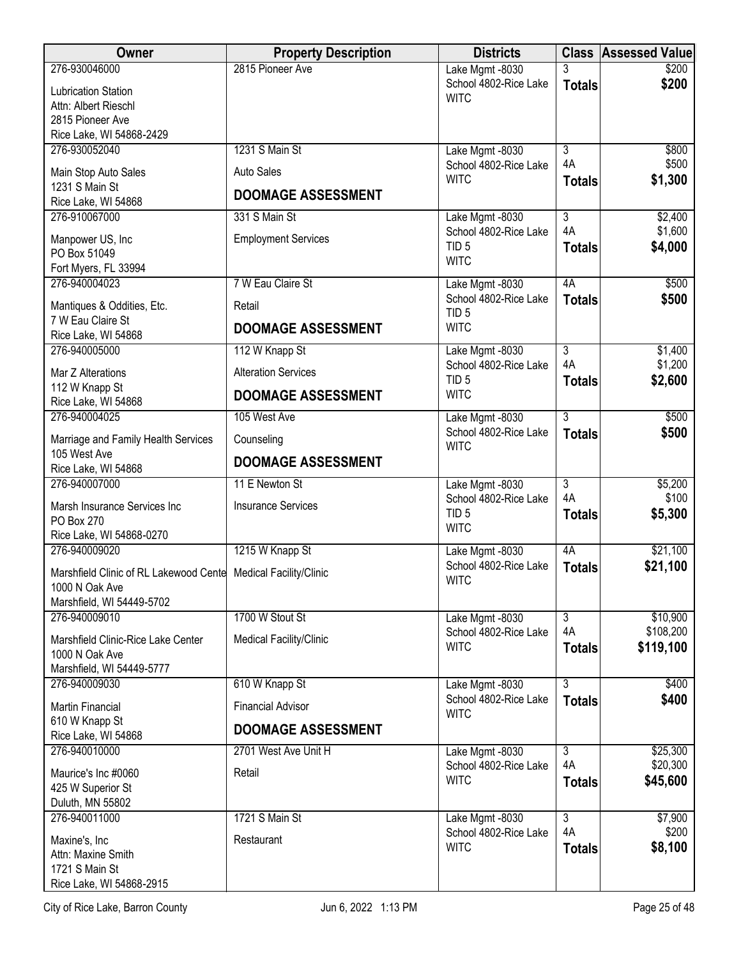| Owner<br><b>Property Description</b>                                  | <b>Districts</b>                          |                           | <b>Class Assessed Value</b> |
|-----------------------------------------------------------------------|-------------------------------------------|---------------------------|-----------------------------|
| 2815 Pioneer Ave<br>276-930046000                                     | Lake Mgmt -8030                           | 3                         | \$200                       |
| Lubrication Station                                                   | School 4802-Rice Lake<br><b>WITC</b>      | <b>Totals</b>             | \$200                       |
| Attn: Albert Rieschl                                                  |                                           |                           |                             |
| 2815 Pioneer Ave<br>Rice Lake, WI 54868-2429                          |                                           |                           |                             |
| 1231 S Main St<br>276-930052040                                       | Lake Mgmt -8030                           | $\overline{3}$            | \$800                       |
| <b>Auto Sales</b>                                                     | School 4802-Rice Lake                     | 4A                        | \$500                       |
| Main Stop Auto Sales<br>1231 S Main St                                | <b>WITC</b>                               | <b>Totals</b>             | \$1,300                     |
| <b>DOOMAGE ASSESSMENT</b><br>Rice Lake, WI 54868                      |                                           |                           |                             |
| 276-910067000<br>331 S Main St                                        | Lake Mgmt -8030                           | $\overline{\overline{3}}$ | \$2,400                     |
| <b>Employment Services</b><br>Manpower US, Inc                        | School 4802-Rice Lake                     | 4A                        | \$1,600                     |
| PO Box 51049                                                          | TID <sub>5</sub><br><b>WITC</b>           | <b>Totals</b>             | \$4,000                     |
| Fort Myers, FL 33994                                                  |                                           |                           |                             |
| 276-940004023<br>7 W Eau Claire St                                    | Lake Mgmt -8030                           | 4A                        | \$500                       |
| Mantiques & Oddities, Etc.<br>Retail                                  | School 4802-Rice Lake<br>TID <sub>5</sub> | <b>Totals</b>             | \$500                       |
| 7 W Eau Claire St<br><b>DOOMAGE ASSESSMENT</b>                        | <b>WITC</b>                               |                           |                             |
| Rice Lake, WI 54868<br>276-940005000<br>112 W Knapp St                | Lake Mgmt -8030                           | $\overline{3}$            | \$1,400                     |
|                                                                       | School 4802-Rice Lake                     | 4A                        | \$1,200                     |
| <b>Alteration Services</b><br>Mar Z Alterations                       | TID <sub>5</sub>                          | <b>Totals</b>             | \$2,600                     |
| 112 W Knapp St<br><b>DOOMAGE ASSESSMENT</b><br>Rice Lake, WI 54868    | <b>WITC</b>                               |                           |                             |
| 276-940004025<br>105 West Ave                                         | Lake Mgmt -8030                           | $\overline{3}$            | \$500                       |
| Marriage and Family Health Services<br>Counseling                     | School 4802-Rice Lake<br><b>WITC</b>      | <b>Totals</b>             | \$500                       |
| 105 West Ave<br><b>DOOMAGE ASSESSMENT</b>                             |                                           |                           |                             |
| Rice Lake, WI 54868<br>276-940007000<br>11 E Newton St                |                                           | $\overline{3}$            | \$5,200                     |
|                                                                       | Lake Mgmt -8030<br>School 4802-Rice Lake  | 4A                        | \$100                       |
| <b>Insurance Services</b><br>Marsh Insurance Services Inc             | TID <sub>5</sub>                          | <b>Totals</b>             | \$5,300                     |
| PO Box 270<br>Rice Lake, WI 54868-0270                                | <b>WITC</b>                               |                           |                             |
| 276-940009020<br>1215 W Knapp St                                      | Lake Mgmt -8030                           | 4A                        | \$21,100                    |
| Marshfield Clinic of RL Lakewood Cente Medical Facility/Clinic        | School 4802-Rice Lake                     | <b>Totals</b>             | \$21,100                    |
| 1000 N Oak Ave                                                        | <b>WITC</b>                               |                           |                             |
| Marshfield, WI 54449-5702                                             |                                           |                           |                             |
| 1700 W Stout St<br>276-940009010                                      | Lake Mgmt -8030                           | $\overline{3}$            | \$10,900                    |
| Marshfield Clinic-Rice Lake Center<br>Medical Facility/Clinic         | School 4802-Rice Lake<br><b>WITC</b>      | 4A                        | \$108,200                   |
| 1000 N Oak Ave                                                        |                                           | <b>Totals</b>             | \$119,100                   |
| Marshfield, WI 54449-5777<br>610 W Knapp St<br>276-940009030          |                                           | $\overline{3}$            | \$400                       |
|                                                                       | Lake Mgmt -8030<br>School 4802-Rice Lake  | <b>Totals</b>             | \$400                       |
| <b>Financial Advisor</b><br><b>Martin Financial</b><br>610 W Knapp St | <b>WITC</b>                               |                           |                             |
| <b>DOOMAGE ASSESSMENT</b><br>Rice Lake, WI 54868                      |                                           |                           |                             |
| 276-940010000<br>2701 West Ave Unit H                                 | Lake Mgmt -8030                           | $\overline{3}$            | \$25,300                    |
| Maurice's Inc #0060<br>Retail                                         | School 4802-Rice Lake                     | 4A                        | \$20,300                    |
| 425 W Superior St                                                     | <b>WITC</b>                               | <b>Totals</b>             | \$45,600                    |
| Duluth, MN 55802                                                      |                                           |                           |                             |
| 1721 S Main St<br>276-940011000                                       | Lake Mgmt -8030                           | $\overline{3}$<br>4A      | \$7,900                     |
| Restaurant<br>Maxine's, Inc                                           | School 4802-Rice Lake<br><b>WITC</b>      | <b>Totals</b>             | \$200<br>\$8,100            |
| Attn: Maxine Smith                                                    |                                           |                           |                             |
| 1721 S Main St<br>Rice Lake, WI 54868-2915                            |                                           |                           |                             |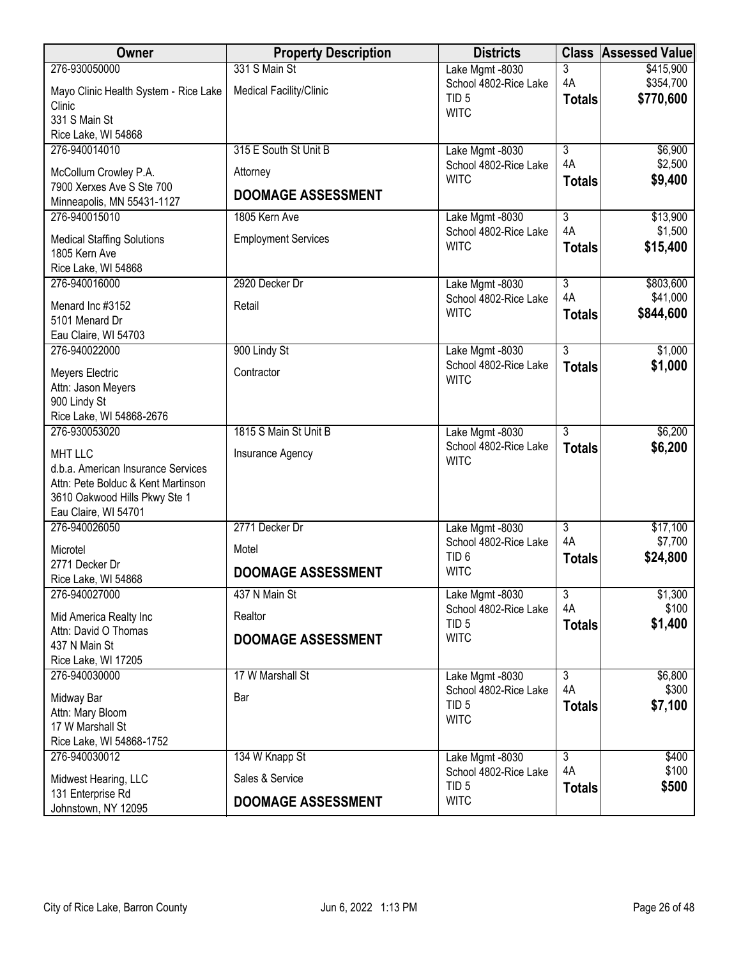| <b>Owner</b>                                          | <b>Property Description</b> | <b>Districts</b>                          |                      | <b>Class Assessed Value</b> |
|-------------------------------------------------------|-----------------------------|-------------------------------------------|----------------------|-----------------------------|
| 276-930050000                                         | 331 S Main St               | Lake Mgmt -8030                           | 3                    | \$415,900                   |
| Mayo Clinic Health System - Rice Lake                 | Medical Facility/Clinic     | School 4802-Rice Lake<br>TID <sub>5</sub> | 4A<br><b>Totals</b>  | \$354,700<br>\$770,600      |
| Clinic<br>331 S Main St                               |                             | <b>WITC</b>                               |                      |                             |
| Rice Lake, WI 54868                                   |                             |                                           |                      |                             |
| 276-940014010                                         | 315 E South St Unit B       | Lake Mgmt -8030                           | $\overline{3}$       | \$6,900                     |
| McCollum Crowley P.A.                                 | Attorney                    | School 4802-Rice Lake                     | 4A                   | \$2,500                     |
| 7900 Xerxes Ave S Ste 700                             |                             | <b>WITC</b>                               | <b>Totals</b>        | \$9,400                     |
| Minneapolis, MN 55431-1127                            | <b>DOOMAGE ASSESSMENT</b>   |                                           |                      |                             |
| 276-940015010                                         | 1805 Kern Ave               | Lake Mgmt -8030<br>School 4802-Rice Lake  | $\overline{3}$<br>4A | \$13,900<br>\$1,500         |
| <b>Medical Staffing Solutions</b>                     | <b>Employment Services</b>  | <b>WITC</b>                               | <b>Totals</b>        | \$15,400                    |
| 1805 Kern Ave<br>Rice Lake, WI 54868                  |                             |                                           |                      |                             |
| 276-940016000                                         | 2920 Decker Dr              | Lake Mgmt -8030                           | $\overline{3}$       | \$803,600                   |
| Menard Inc #3152                                      | Retail                      | School 4802-Rice Lake                     | 4A                   | \$41,000                    |
| 5101 Menard Dr                                        |                             | <b>WITC</b>                               | <b>Totals</b>        | \$844,600                   |
| Eau Claire, WI 54703                                  |                             |                                           |                      |                             |
| 276-940022000                                         | 900 Lindy St                | Lake Mgmt -8030                           | $\overline{3}$       | \$1,000                     |
| Meyers Electric                                       | Contractor                  | School 4802-Rice Lake<br><b>WITC</b>      | <b>Totals</b>        | \$1,000                     |
| Attn: Jason Meyers<br>900 Lindy St                    |                             |                                           |                      |                             |
| Rice Lake, WI 54868-2676                              |                             |                                           |                      |                             |
| 276-930053020                                         | 1815 S Main St Unit B       | Lake Mgmt -8030                           | $\overline{3}$       | \$6,200                     |
| <b>MHT LLC</b>                                        | Insurance Agency            | School 4802-Rice Lake                     | <b>Totals</b>        | \$6,200                     |
| d.b.a. American Insurance Services                    |                             | <b>WITC</b>                               |                      |                             |
| Attn: Pete Bolduc & Kent Martinson                    |                             |                                           |                      |                             |
| 3610 Oakwood Hills Pkwy Ste 1<br>Eau Claire, WI 54701 |                             |                                           |                      |                             |
| 276-940026050                                         | 2771 Decker Dr              | Lake Mgmt -8030                           | $\overline{3}$       | \$17,100                    |
| Microtel                                              | Motel                       | School 4802-Rice Lake                     | 4A                   | \$7,700                     |
| 2771 Decker Dr                                        | <b>DOOMAGE ASSESSMENT</b>   | TID <sub>6</sub><br><b>WITC</b>           | <b>Totals</b>        | \$24,800                    |
| Rice Lake, WI 54868<br>276-940027000                  | 437 N Main St               |                                           | $\overline{3}$       |                             |
|                                                       |                             | Lake Mgmt -8030<br>School 4802-Rice Lake  | 4A                   | \$1,300<br>\$100            |
| Mid America Realty Inc<br>Attn: David O Thomas        | Realtor                     | TID <sub>5</sub>                          | <b>Totals</b>        | \$1,400                     |
| 437 N Main St                                         | <b>DOOMAGE ASSESSMENT</b>   | <b>WITC</b>                               |                      |                             |
| Rice Lake, WI 17205                                   |                             |                                           |                      |                             |
| 276-940030000                                         | 17 W Marshall St            | Lake Mgmt -8030                           | $\overline{3}$       | \$6,800                     |
| Midway Bar                                            | Bar                         | School 4802-Rice Lake<br>TID <sub>5</sub> | 4A<br><b>Totals</b>  | \$300<br>\$7,100            |
| Attn: Mary Bloom<br>17 W Marshall St                  |                             | <b>WITC</b>                               |                      |                             |
| Rice Lake, WI 54868-1752                              |                             |                                           |                      |                             |
| 276-940030012                                         | 134 W Knapp St              | Lake Mgmt -8030                           | $\overline{3}$       | \$400                       |
| Midwest Hearing, LLC                                  | Sales & Service             | School 4802-Rice Lake                     | 4A                   | \$100                       |
| 131 Enterprise Rd                                     |                             | TID <sub>5</sub><br><b>WITC</b>           | <b>Totals</b>        | \$500                       |
| Johnstown, NY 12095                                   | <b>DOOMAGE ASSESSMENT</b>   |                                           |                      |                             |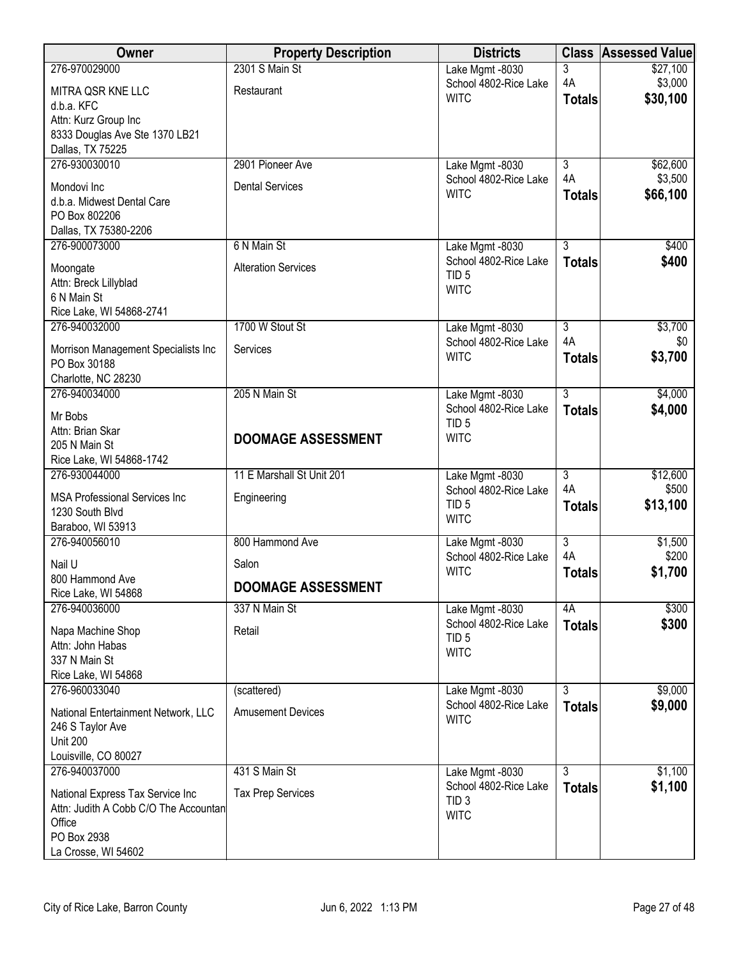| Owner                                                   | <b>Property Description</b> | <b>Districts</b>                         | <b>Class</b>              | <b>Assessed Value</b> |
|---------------------------------------------------------|-----------------------------|------------------------------------------|---------------------------|-----------------------|
| 276-970029000                                           | 2301 S Main St              | Lake Mgmt -8030                          | 3                         | \$27,100              |
| MITRA QSR KNE LLC                                       | Restaurant                  | School 4802-Rice Lake<br><b>WITC</b>     | 4A                        | \$3,000<br>\$30,100   |
| d.b.a. KFC                                              |                             |                                          | <b>Totals</b>             |                       |
| Attn: Kurz Group Inc                                    |                             |                                          |                           |                       |
| 8333 Douglas Ave Ste 1370 LB21<br>Dallas, TX 75225      |                             |                                          |                           |                       |
| 276-930030010                                           | 2901 Pioneer Ave            | Lake Mgmt -8030                          | $\overline{3}$            | \$62,600              |
| Mondovi Inc                                             | <b>Dental Services</b>      | School 4802-Rice Lake                    | 4A                        | \$3,500               |
| d.b.a. Midwest Dental Care                              |                             | <b>WITC</b>                              | <b>Totals</b>             | \$66,100              |
| PO Box 802206                                           |                             |                                          |                           |                       |
| Dallas, TX 75380-2206                                   |                             |                                          |                           |                       |
| 276-900073000                                           | 6 N Main St                 | Lake Mgmt -8030<br>School 4802-Rice Lake | $\overline{3}$            | \$400                 |
| Moongate                                                | <b>Alteration Services</b>  | TID <sub>5</sub>                         | <b>Totals</b>             | \$400                 |
| Attn: Breck Lillyblad                                   |                             | <b>WITC</b>                              |                           |                       |
| 6 N Main St<br>Rice Lake, WI 54868-2741                 |                             |                                          |                           |                       |
| 276-940032000                                           | 1700 W Stout St             | Lake Mgmt -8030                          | $\overline{3}$            | \$3,700               |
| Morrison Management Specialists Inc                     | Services                    | School 4802-Rice Lake                    | 4A                        | \$0                   |
| PO Box 30188                                            |                             | <b>WITC</b>                              | <b>Totals</b>             | \$3,700               |
| Charlotte, NC 28230                                     |                             |                                          |                           |                       |
| 276-940034000                                           | 205 N Main St               | Lake Mgmt -8030                          | $\overline{3}$            | \$4,000               |
| Mr Bobs                                                 |                             | School 4802-Rice Lake                    | <b>Totals</b>             | \$4,000               |
| Attn: Brian Skar                                        | <b>DOOMAGE ASSESSMENT</b>   | TID <sub>5</sub><br><b>WITC</b>          |                           |                       |
| 205 N Main St                                           |                             |                                          |                           |                       |
| Rice Lake, WI 54868-1742<br>276-930044000               | 11 E Marshall St Unit 201   | Lake Mgmt -8030                          | $\overline{3}$            | \$12,600              |
|                                                         |                             | School 4802-Rice Lake                    | 4A                        | \$500                 |
| <b>MSA Professional Services Inc</b><br>1230 South Blvd | Engineering                 | TID <sub>5</sub>                         | <b>Totals</b>             | \$13,100              |
| Baraboo, WI 53913                                       |                             | <b>WITC</b>                              |                           |                       |
| 276-940056010                                           | 800 Hammond Ave             | Lake Mgmt -8030                          | $\overline{\overline{3}}$ | \$1,500               |
| Nail U                                                  | Salon                       | School 4802-Rice Lake                    | 4A                        | \$200                 |
| 800 Hammond Ave                                         | <b>DOOMAGE ASSESSMENT</b>   | <b>WITC</b>                              | <b>Totals</b>             | \$1,700               |
| Rice Lake, WI 54868                                     |                             |                                          |                           |                       |
| 276-940036000                                           | 337 N Main St               | Lake Mgmt -8030<br>School 4802-Rice Lake | 4A                        | \$300                 |
| Napa Machine Shop                                       | Retail                      | TID <sub>5</sub>                         | <b>Totals</b>             | \$300                 |
| Attn: John Habas<br>337 N Main St                       |                             | <b>WITC</b>                              |                           |                       |
| Rice Lake, WI 54868                                     |                             |                                          |                           |                       |
| 276-960033040                                           | (scattered)                 | Lake Mgmt -8030                          | $\overline{3}$            | \$9,000               |
| National Entertainment Network, LLC                     | <b>Amusement Devices</b>    | School 4802-Rice Lake                    | <b>Totals</b>             | \$9,000               |
| 246 S Taylor Ave                                        |                             | <b>WITC</b>                              |                           |                       |
| <b>Unit 200</b>                                         |                             |                                          |                           |                       |
| Louisville, CO 80027                                    |                             |                                          |                           |                       |
| 276-940037000                                           | 431 S Main St               | Lake Mgmt -8030<br>School 4802-Rice Lake | $\overline{3}$            | \$1,100<br>\$1,100    |
| National Express Tax Service Inc                        | <b>Tax Prep Services</b>    | TID <sub>3</sub>                         | <b>Totals</b>             |                       |
| Attn: Judith A Cobb C/O The Accountan<br>Office         |                             | <b>WITC</b>                              |                           |                       |
| PO Box 2938                                             |                             |                                          |                           |                       |
| La Crosse, WI 54602                                     |                             |                                          |                           |                       |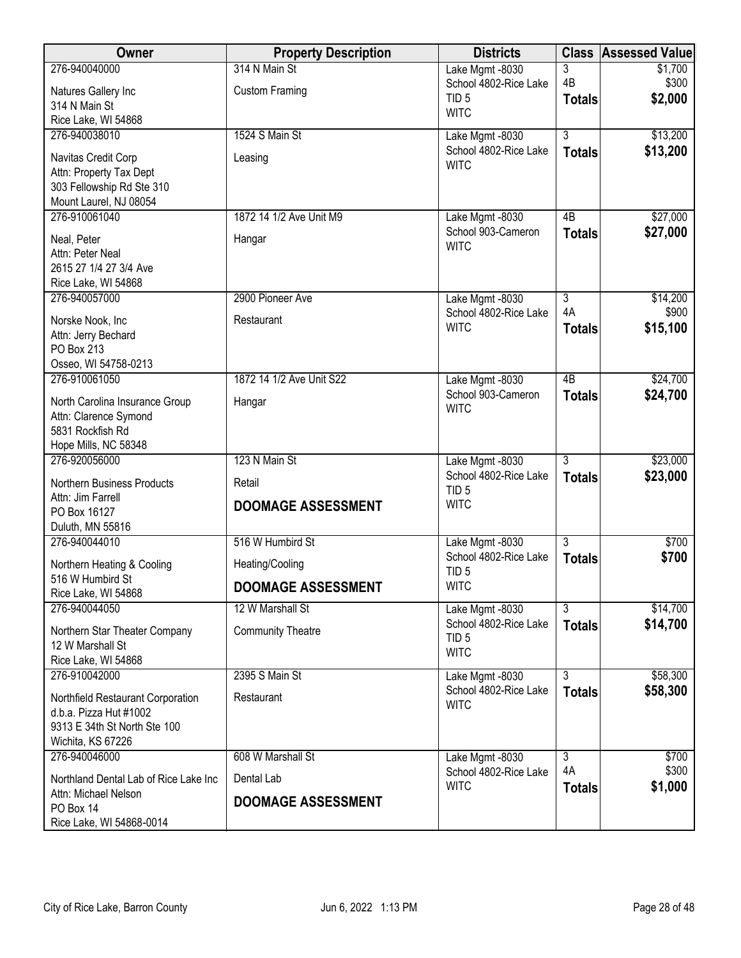| <b>Owner</b>                          | <b>Property Description</b> | <b>Districts</b>                          | <b>Class</b>         | <b>Assessed Value</b> |
|---------------------------------------|-----------------------------|-------------------------------------------|----------------------|-----------------------|
| 276-940040000                         | 314 N Main St               | Lake Mgmt -8030                           | 3                    | \$1,700               |
| Natures Gallery Inc                   | <b>Custom Framing</b>       | School 4802-Rice Lake<br>TID <sub>5</sub> | 4B                   | \$300                 |
| 314 N Main St                         |                             | <b>WITC</b>                               | <b>Totals</b>        | \$2,000               |
| Rice Lake, WI 54868                   |                             |                                           |                      |                       |
| 276-940038010                         | 1524 S Main St              | Lake Mgmt -8030                           | $\overline{3}$       | \$13,200              |
| Navitas Credit Corp                   | Leasing                     | School 4802-Rice Lake<br><b>WITC</b>      | <b>Totals</b>        | \$13,200              |
| Attn: Property Tax Dept               |                             |                                           |                      |                       |
| 303 Fellowship Rd Ste 310             |                             |                                           |                      |                       |
| Mount Laurel, NJ 08054                |                             |                                           |                      |                       |
| 276-910061040                         | 1872 14 1/2 Ave Unit M9     | Lake Mgmt -8030<br>School 903-Cameron     | 4B                   | \$27,000              |
| Neal, Peter                           | Hangar                      | <b>WITC</b>                               | <b>Totals</b>        | \$27,000              |
| Attn: Peter Neal                      |                             |                                           |                      |                       |
| 2615 27 1/4 27 3/4 Ave                |                             |                                           |                      |                       |
| Rice Lake, WI 54868                   |                             |                                           |                      |                       |
| 276-940057000                         | 2900 Pioneer Ave            | Lake Mgmt -8030<br>School 4802-Rice Lake  | $\overline{3}$<br>4A | \$14,200<br>\$900     |
| Norske Nook, Inc                      | Restaurant                  | <b>WITC</b>                               | <b>Totals</b>        | \$15,100              |
| Attn: Jerry Bechard                   |                             |                                           |                      |                       |
| PO Box 213                            |                             |                                           |                      |                       |
| Osseo, WI 54758-0213                  |                             |                                           | $\overline{AB}$      |                       |
| 276-910061050                         | 1872 14 1/2 Ave Unit S22    | Lake Mgmt -8030<br>School 903-Cameron     |                      | \$24,700<br>\$24,700  |
| North Carolina Insurance Group        | Hangar                      | <b>WITC</b>                               | <b>Totals</b>        |                       |
| Attn: Clarence Symond                 |                             |                                           |                      |                       |
| 5831 Rockfish Rd                      |                             |                                           |                      |                       |
| Hope Mills, NC 58348<br>276-920056000 | 123 N Main St               |                                           | $\overline{3}$       | \$23,000              |
|                                       |                             | Lake Mgmt -8030<br>School 4802-Rice Lake  | <b>Totals</b>        | \$23,000              |
| <b>Northern Business Products</b>     | Retail                      | TID <sub>5</sub>                          |                      |                       |
| Attn: Jim Farrell                     | <b>DOOMAGE ASSESSMENT</b>   | <b>WITC</b>                               |                      |                       |
| PO Box 16127<br>Duluth, MN 55816      |                             |                                           |                      |                       |
| 276-940044010                         | 516 W Humbird St            | Lake Mgmt -8030                           | $\overline{3}$       | \$700                 |
|                                       |                             | School 4802-Rice Lake                     | <b>Totals</b>        | \$700                 |
| Northern Heating & Cooling            | Heating/Cooling             | TID <sub>5</sub>                          |                      |                       |
| 516 W Humbird St                      | <b>DOOMAGE ASSESSMENT</b>   | <b>WITC</b>                               |                      |                       |
| Rice Lake, WI 54868<br>276-940044050  | 12 W Marshall St            |                                           | $\overline{3}$       | \$14,700              |
|                                       |                             | Lake Mgmt -8030<br>School 4802-Rice Lake  | <b>Totals</b>        | \$14,700              |
| Northern Star Theater Company         | <b>Community Theatre</b>    | TID <sub>5</sub>                          |                      |                       |
| 12 W Marshall St                      |                             | <b>WITC</b>                               |                      |                       |
| Rice Lake, WI 54868<br>276-910042000  | 2395 S Main St              |                                           | $\overline{3}$       |                       |
|                                       |                             | Lake Mgmt -8030<br>School 4802-Rice Lake  |                      | \$58,300<br>\$58,300  |
| Northfield Restaurant Corporation     | Restaurant                  | <b>WITC</b>                               | <b>Totals</b>        |                       |
| d.b.a. Pizza Hut #1002                |                             |                                           |                      |                       |
| 9313 E 34th St North Ste 100          |                             |                                           |                      |                       |
| Wichita, KS 67226<br>276-940046000    | 608 W Marshall St           |                                           | $\overline{3}$       | \$700                 |
|                                       |                             | Lake Mgmt -8030<br>School 4802-Rice Lake  | 4A                   | \$300                 |
| Northland Dental Lab of Rice Lake Inc | Dental Lab                  | <b>WITC</b>                               | <b>Totals</b>        | \$1,000               |
| Attn: Michael Nelson                  | <b>DOOMAGE ASSESSMENT</b>   |                                           |                      |                       |
| PO Box 14<br>Rice Lake, WI 54868-0014 |                             |                                           |                      |                       |
|                                       |                             |                                           |                      |                       |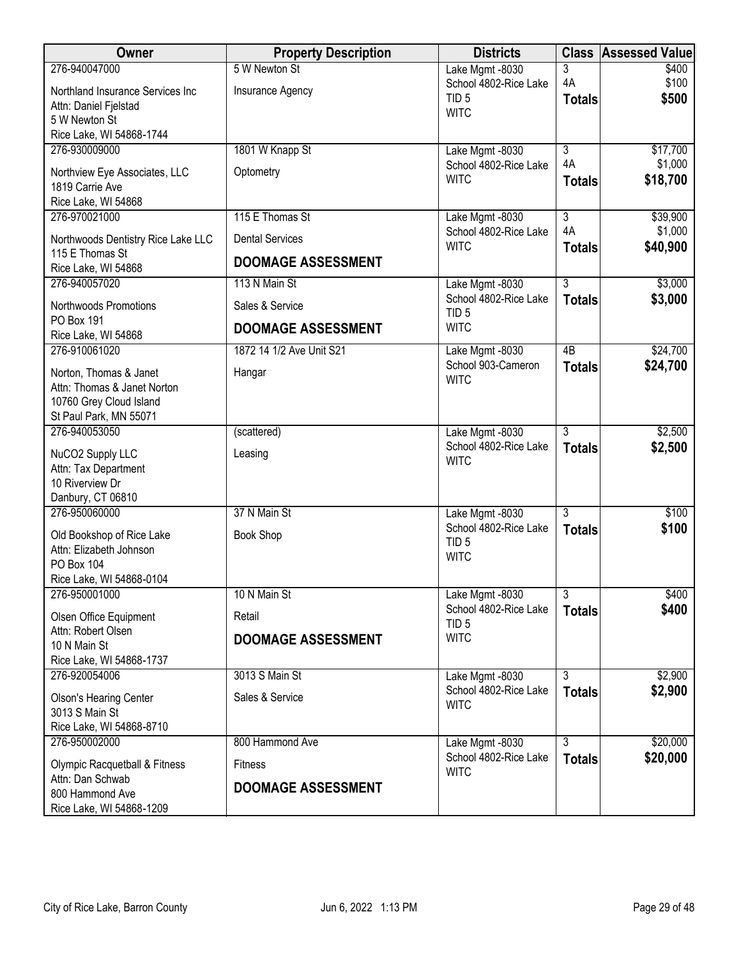| <b>Owner</b>                                                                                          | <b>Property Description</b>       | <b>Districts</b>                                             |                           | <b>Class Assessed Value</b> |
|-------------------------------------------------------------------------------------------------------|-----------------------------------|--------------------------------------------------------------|---------------------------|-----------------------------|
| 276-940047000<br>Northland Insurance Services Inc                                                     | 5 W Newton St<br>Insurance Agency | Lake Mgmt -8030<br>School 4802-Rice Lake<br>TID <sub>5</sub> | 3<br>4A<br><b>Totals</b>  | \$400<br>\$100<br>\$500     |
| Attn: Daniel Fjelstad<br>5 W Newton St                                                                |                                   | <b>WITC</b>                                                  |                           |                             |
| Rice Lake, WI 54868-1744                                                                              |                                   |                                                              |                           |                             |
| 276-930009000                                                                                         | 1801 W Knapp St                   | Lake Mgmt -8030<br>School 4802-Rice Lake                     | $\overline{3}$<br>4A      | \$17,700<br>\$1,000         |
| Northview Eye Associates, LLC<br>1819 Carrie Ave                                                      | Optometry                         | <b>WITC</b>                                                  | <b>Totals</b>             | \$18,700                    |
| Rice Lake, WI 54868<br>276-970021000                                                                  | 115 E Thomas St                   |                                                              | $\overline{\overline{3}}$ | \$39,900                    |
| Northwoods Dentistry Rice Lake LLC                                                                    | <b>Dental Services</b>            | Lake Mgmt -8030<br>School 4802-Rice Lake                     | 4A                        | \$1,000                     |
| 115 E Thomas St                                                                                       | <b>DOOMAGE ASSESSMENT</b>         | <b>WITC</b>                                                  | <b>Totals</b>             | \$40,900                    |
| Rice Lake, WI 54868<br>276-940057020                                                                  | 113 N Main St                     | Lake Mgmt -8030                                              | $\overline{3}$            | \$3,000                     |
| Northwoods Promotions                                                                                 | Sales & Service                   | School 4802-Rice Lake                                        | <b>Totals</b>             | \$3,000                     |
| PO Box 191                                                                                            | <b>DOOMAGE ASSESSMENT</b>         | TID <sub>5</sub><br><b>WITC</b>                              |                           |                             |
| Rice Lake, WI 54868<br>276-910061020                                                                  | 1872 14 1/2 Ave Unit S21          | Lake Mgmt -8030                                              | $\overline{AB}$           | \$24,700                    |
| Norton, Thomas & Janet<br>Attn: Thomas & Janet Norton<br>10760 Grey Cloud Island                      | Hangar                            | School 903-Cameron<br><b>WITC</b>                            | <b>Totals</b>             | \$24,700                    |
| St Paul Park, MN 55071                                                                                |                                   |                                                              |                           |                             |
| 276-940053050                                                                                         | (scattered)                       | Lake Mgmt -8030<br>School 4802-Rice Lake                     | $\overline{3}$            | \$2,500                     |
| NuCO2 Supply LLC<br>Attn: Tax Department<br>10 Riverview Dr<br>Danbury, CT 06810                      | Leasing                           | <b>WITC</b>                                                  | <b>Totals</b>             | \$2,500                     |
| 276-950060000                                                                                         | 37 N Main St                      | Lake Mgmt -8030                                              | $\overline{3}$            | \$100                       |
| Old Bookshop of Rice Lake<br>Attn: Elizabeth Johnson<br><b>PO Box 104</b><br>Rice Lake, WI 54868-0104 | <b>Book Shop</b>                  | School 4802-Rice Lake<br>TID <sub>5</sub><br><b>WITC</b>     | <b>Totals</b>             | \$100                       |
| 276-950001000                                                                                         | 10 N Main St                      | Lake Mgmt -8030                                              | $\overline{3}$            | \$400                       |
| Olsen Office Equipment                                                                                | Retail                            | School 4802-Rice Lake<br>TID <sub>5</sub>                    | <b>Totals</b>             | \$400                       |
| Attn: Robert Olsen<br>10 N Main St<br>Rice Lake, WI 54868-1737                                        | <b>DOOMAGE ASSESSMENT</b>         | <b>WITC</b>                                                  |                           |                             |
| 276-920054006                                                                                         | 3013 S Main St                    | Lake Mgmt -8030                                              | $\overline{3}$            | \$2,900                     |
| <b>Olson's Hearing Center</b><br>3013 S Main St<br>Rice Lake, WI 54868-8710                           | Sales & Service                   | School 4802-Rice Lake<br><b>WITC</b>                         | <b>Totals</b>             | \$2,900                     |
| 276-950002000                                                                                         | 800 Hammond Ave                   | Lake Mgmt -8030                                              | $\overline{3}$            | \$20,000                    |
| <b>Olympic Racquetball &amp; Fitness</b>                                                              | <b>Fitness</b>                    | School 4802-Rice Lake<br><b>WITC</b>                         | <b>Totals</b>             | \$20,000                    |
| Attn: Dan Schwab<br>800 Hammond Ave<br>Rice Lake, WI 54868-1209                                       | <b>DOOMAGE ASSESSMENT</b>         |                                                              |                           |                             |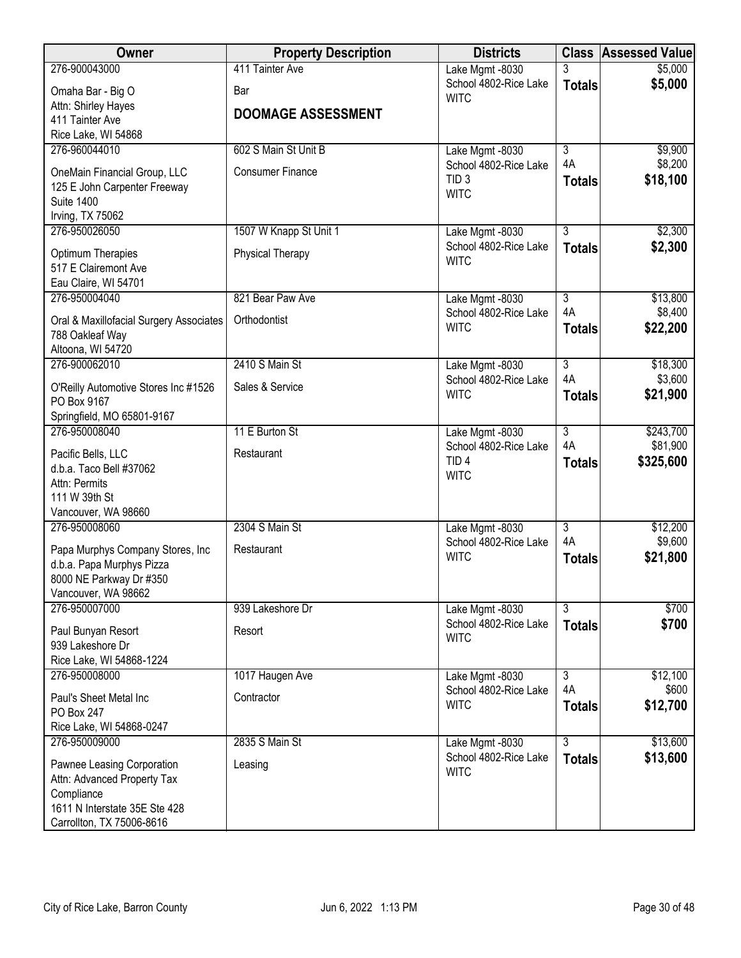| Owner                                                | <b>Property Description</b> | <b>Districts</b>                          |                           | <b>Class Assessed Value</b> |
|------------------------------------------------------|-----------------------------|-------------------------------------------|---------------------------|-----------------------------|
| 276-900043000                                        | 411 Tainter Ave             | Lake Mgmt -8030                           | 3                         | \$5,000                     |
| Omaha Bar - Big O                                    | Bar                         | School 4802-Rice Lake<br><b>WITC</b>      | <b>Totals</b>             | \$5,000                     |
| Attn: Shirley Hayes                                  | <b>DOOMAGE ASSESSMENT</b>   |                                           |                           |                             |
| 411 Tainter Ave                                      |                             |                                           |                           |                             |
| Rice Lake, WI 54868                                  |                             |                                           |                           |                             |
| 276-960044010                                        | 602 S Main St Unit B        | Lake Mgmt -8030                           | $\overline{3}$<br>4A      | \$9,900                     |
| OneMain Financial Group, LLC                         | <b>Consumer Finance</b>     | School 4802-Rice Lake<br>TID <sub>3</sub> |                           | \$8,200                     |
| 125 E John Carpenter Freeway                         |                             | <b>WITC</b>                               | <b>Totals</b>             | \$18,100                    |
| <b>Suite 1400</b>                                    |                             |                                           |                           |                             |
| Irving, TX 75062                                     |                             |                                           |                           |                             |
| 276-950026050                                        | 1507 W Knapp St Unit 1      | Lake Mgmt -8030                           | $\overline{3}$            | \$2,300                     |
| Optimum Therapies                                    | Physical Therapy            | School 4802-Rice Lake                     | <b>Totals</b>             | \$2,300                     |
| 517 E Clairemont Ave                                 |                             | <b>WITC</b>                               |                           |                             |
| Eau Claire, WI 54701                                 |                             |                                           |                           |                             |
| 276-950004040                                        | 821 Bear Paw Ave            | Lake Mgmt -8030                           | $\overline{3}$            | \$13,800                    |
| Oral & Maxillofacial Surgery Associates              | Orthodontist                | School 4802-Rice Lake                     | 4A                        | \$8,400                     |
| 788 Oakleaf Way                                      |                             | <b>WITC</b>                               | <b>Totals</b>             | \$22,200                    |
| Altoona, WI 54720                                    |                             |                                           |                           |                             |
| 276-900062010                                        | 2410 S Main St              | Lake Mgmt -8030                           | $\overline{3}$            | \$18,300                    |
|                                                      | Sales & Service             | School 4802-Rice Lake                     | 4A                        | \$3,600                     |
| O'Reilly Automotive Stores Inc #1526<br>PO Box 9167  |                             | <b>WITC</b>                               | <b>Totals</b>             | \$21,900                    |
| Springfield, MO 65801-9167                           |                             |                                           |                           |                             |
| 276-950008040                                        | 11 E Burton St              | Lake Mgmt -8030                           | $\overline{3}$            | \$243,700                   |
|                                                      |                             | School 4802-Rice Lake                     | 4A                        | \$81,900                    |
| Pacific Bells, LLC                                   | Restaurant                  | TID <sub>4</sub>                          | <b>Totals</b>             | \$325,600                   |
| d.b.a. Taco Bell #37062<br>Attn: Permits             |                             | <b>WITC</b>                               |                           |                             |
| 111 W 39th St                                        |                             |                                           |                           |                             |
| Vancouver, WA 98660                                  |                             |                                           |                           |                             |
| 276-950008060                                        | 2304 S Main St              | Lake Mgmt -8030                           | $\overline{\overline{3}}$ | \$12,200                    |
|                                                      |                             | School 4802-Rice Lake                     | 4A                        | \$9,600                     |
| Papa Murphys Company Stores, Inc                     | Restaurant                  | <b>WITC</b>                               | <b>Totals</b>             | \$21,800                    |
| d.b.a. Papa Murphys Pizza<br>8000 NE Parkway Dr #350 |                             |                                           |                           |                             |
| Vancouver, WA 98662                                  |                             |                                           |                           |                             |
| 276-950007000                                        | 939 Lakeshore Dr            | Lake Mgmt -8030                           | $\overline{3}$            | \$700                       |
|                                                      |                             | School 4802-Rice Lake                     | <b>Totals</b>             | \$700                       |
| Paul Bunyan Resort                                   | Resort                      | <b>WITC</b>                               |                           |                             |
| 939 Lakeshore Dr                                     |                             |                                           |                           |                             |
| Rice Lake, WI 54868-1224<br>276-950008000            | 1017 Haugen Ave             |                                           | $\overline{3}$            | \$12,100                    |
|                                                      |                             | Lake Mgmt -8030<br>School 4802-Rice Lake  | 4A                        | \$600                       |
| Paul's Sheet Metal Inc                               | Contractor                  | <b>WITC</b>                               | <b>Totals</b>             | \$12,700                    |
| <b>PO Box 247</b>                                    |                             |                                           |                           |                             |
| Rice Lake, WI 54868-0247                             |                             |                                           |                           |                             |
| 276-950009000                                        | 2835 S Main St              | Lake Mgmt -8030                           | $\overline{3}$            | \$13,600                    |
| Pawnee Leasing Corporation                           | Leasing                     | School 4802-Rice Lake                     | <b>Totals</b>             | \$13,600                    |
| Attn: Advanced Property Tax                          |                             | <b>WITC</b>                               |                           |                             |
| Compliance                                           |                             |                                           |                           |                             |
| 1611 N Interstate 35E Ste 428                        |                             |                                           |                           |                             |
| Carrollton, TX 75006-8616                            |                             |                                           |                           |                             |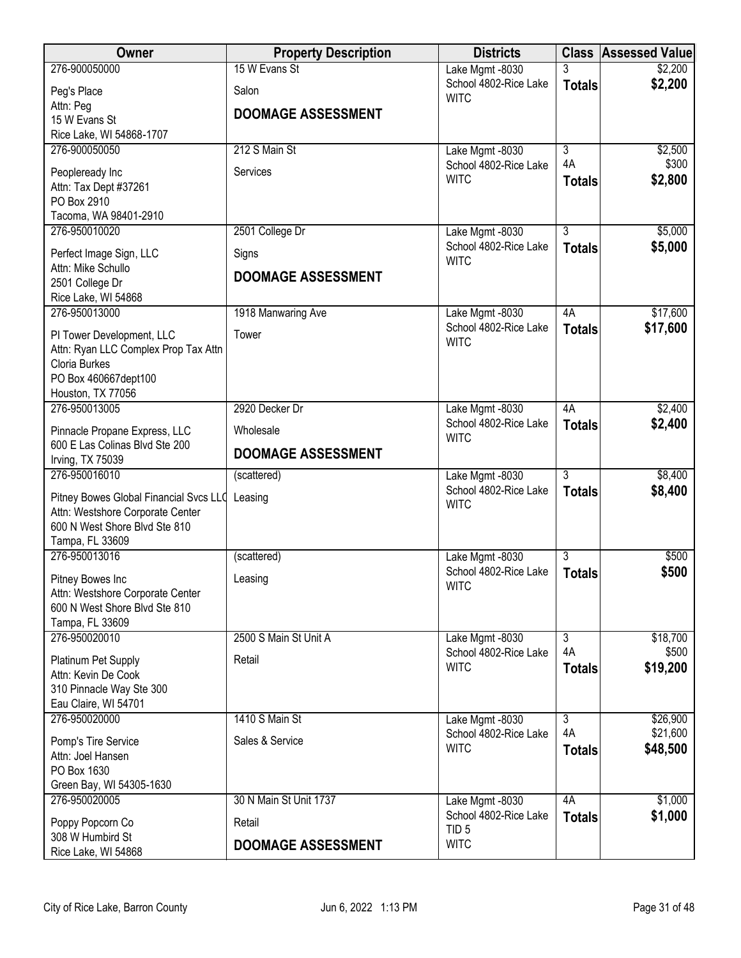| <b>Owner</b>                                                      | <b>Property Description</b> | <b>Districts</b>                         | <b>Class</b>   | <b>Assessed Value</b> |
|-------------------------------------------------------------------|-----------------------------|------------------------------------------|----------------|-----------------------|
| 276-900050000                                                     | 15 W Evans St               | Lake Mgmt -8030                          |                | \$2,200               |
| Peg's Place                                                       | Salon                       | School 4802-Rice Lake<br><b>WITC</b>     | <b>Totals</b>  | \$2,200               |
| Attn: Peg                                                         | <b>DOOMAGE ASSESSMENT</b>   |                                          |                |                       |
| 15 W Evans St<br>Rice Lake, WI 54868-1707                         |                             |                                          |                |                       |
| 276-900050050                                                     | 212 S Main St               | Lake Mgmt -8030                          | $\overline{3}$ | \$2,500               |
|                                                                   |                             | School 4802-Rice Lake                    | 4A             | \$300                 |
| Peopleready Inc                                                   | Services                    | <b>WITC</b>                              | <b>Totals</b>  | \$2,800               |
| Attn: Tax Dept #37261<br>PO Box 2910                              |                             |                                          |                |                       |
| Tacoma, WA 98401-2910                                             |                             |                                          |                |                       |
| 276-950010020                                                     | 2501 College Dr             | Lake Mgmt -8030                          | $\overline{3}$ | \$5,000               |
| Perfect Image Sign, LLC                                           | Signs                       | School 4802-Rice Lake<br><b>WITC</b>     | <b>Totals</b>  | \$5,000               |
| Attn: Mike Schullo                                                | <b>DOOMAGE ASSESSMENT</b>   |                                          |                |                       |
| 2501 College Dr<br>Rice Lake, WI 54868                            |                             |                                          |                |                       |
| 276-950013000                                                     | 1918 Manwaring Ave          | Lake Mgmt -8030                          | 4A             | \$17,600              |
|                                                                   |                             | School 4802-Rice Lake                    | <b>Totals</b>  | \$17,600              |
| PI Tower Development, LLC                                         | Tower                       | <b>WITC</b>                              |                |                       |
| Attn: Ryan LLC Complex Prop Tax Attn<br>Cloria Burkes             |                             |                                          |                |                       |
| PO Box 460667dept100                                              |                             |                                          |                |                       |
| Houston, TX 77056                                                 |                             |                                          |                |                       |
| 276-950013005                                                     | 2920 Decker Dr              | Lake Mgmt -8030                          | 4A             | \$2,400               |
| Pinnacle Propane Express, LLC                                     | Wholesale                   | School 4802-Rice Lake<br><b>WITC</b>     | <b>Totals</b>  | \$2,400               |
| 600 E Las Colinas Blvd Ste 200                                    | <b>DOOMAGE ASSESSMENT</b>   |                                          |                |                       |
| Irving, TX 75039<br>276-950016010                                 |                             |                                          | $\overline{3}$ | \$8,400               |
|                                                                   | (scattered)                 | Lake Mgmt -8030<br>School 4802-Rice Lake | <b>Totals</b>  | \$8,400               |
| Pitney Bowes Global Financial Svcs LLQ                            | Leasing                     | <b>WITC</b>                              |                |                       |
| Attn: Westshore Corporate Center<br>600 N West Shore Blvd Ste 810 |                             |                                          |                |                       |
| Tampa, FL 33609                                                   |                             |                                          |                |                       |
| 276-950013016                                                     | (scattered)                 | Lake Mgmt -8030                          | $\overline{3}$ | \$500                 |
| Pitney Bowes Inc                                                  | Leasing                     | School 4802-Rice Lake                    | <b>Totals</b>  | \$500                 |
| Attn: Westshore Corporate Center                                  |                             | <b>WITC</b>                              |                |                       |
| 600 N West Shore Blvd Ste 810                                     |                             |                                          |                |                       |
| Tampa, FL 33609                                                   |                             |                                          |                |                       |
| 276-950020010                                                     | 2500 S Main St Unit A       | Lake Mgmt -8030                          | $\overline{3}$ | \$18,700              |
| Platinum Pet Supply                                               | Retail                      | School 4802-Rice Lake<br><b>WITC</b>     | 4A             | \$500                 |
| Attn: Kevin De Cook                                               |                             |                                          | <b>Totals</b>  | \$19,200              |
| 310 Pinnacle Way Ste 300                                          |                             |                                          |                |                       |
| Eau Claire, WI 54701<br>276-950020000                             | 1410 S Main St              |                                          | $\overline{3}$ | \$26,900              |
|                                                                   |                             | Lake Mgmt -8030<br>School 4802-Rice Lake | 4A             | \$21,600              |
| Pomp's Tire Service                                               | Sales & Service             | <b>WITC</b>                              | <b>Totals</b>  | \$48,500              |
| Attn: Joel Hansen<br>PO Box 1630                                  |                             |                                          |                |                       |
| Green Bay, WI 54305-1630                                          |                             |                                          |                |                       |
| 276-950020005                                                     | 30 N Main St Unit 1737      | Lake Mgmt -8030                          | 4A             | \$1,000               |
| Poppy Popcorn Co                                                  | Retail                      | School 4802-Rice Lake                    | <b>Totals</b>  | \$1,000               |
| 308 W Humbird St                                                  |                             | TID <sub>5</sub>                         |                |                       |
| Rice Lake, WI 54868                                               | <b>DOOMAGE ASSESSMENT</b>   | <b>WITC</b>                              |                |                       |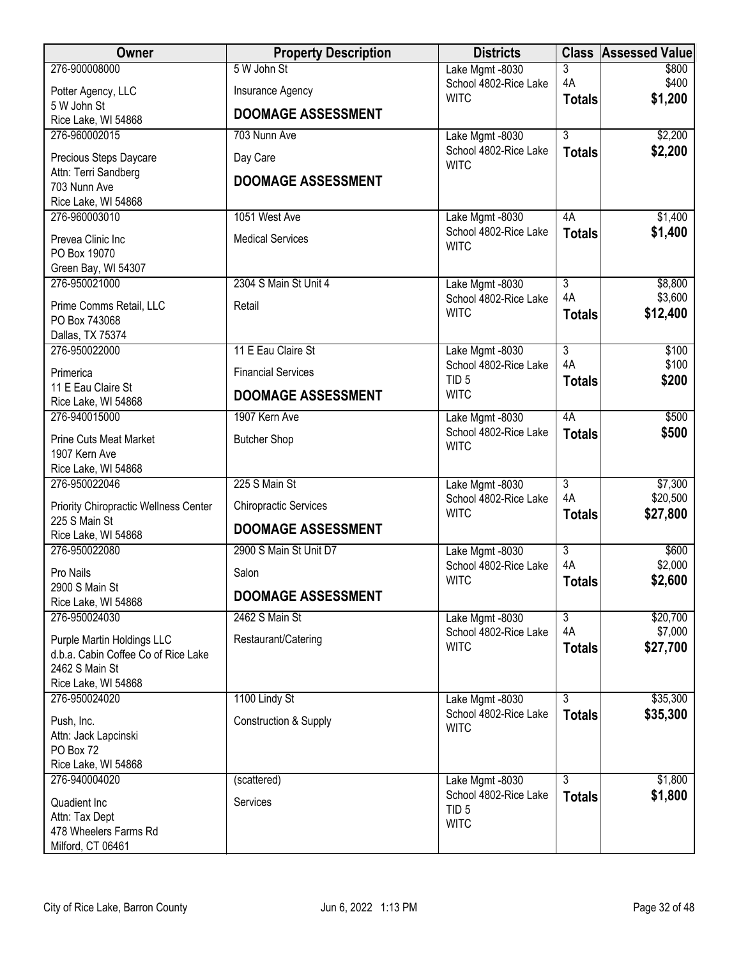| Owner                                                             | <b>Property Description</b>  | <b>Districts</b>                          |                                 | <b>Class Assessed Value</b> |
|-------------------------------------------------------------------|------------------------------|-------------------------------------------|---------------------------------|-----------------------------|
| 276-900008000                                                     | 5 W John St                  | Lake Mgmt -8030                           | 3                               | \$800                       |
| Potter Agency, LLC                                                | Insurance Agency             | School 4802-Rice Lake<br><b>WITC</b>      | 4A<br><b>Totals</b>             | \$400<br>\$1,200            |
| 5 W John St<br>Rice Lake, WI 54868                                | <b>DOOMAGE ASSESSMENT</b>    |                                           |                                 |                             |
| 276-960002015                                                     | 703 Nunn Ave                 | Lake Mgmt -8030                           | $\overline{3}$                  | \$2,200                     |
| Precious Steps Daycare                                            | Day Care                     | School 4802-Rice Lake                     | <b>Totals</b>                   | \$2,200                     |
| Attn: Terri Sandberg                                              |                              | <b>WITC</b>                               |                                 |                             |
| 703 Nunn Ave                                                      | <b>DOOMAGE ASSESSMENT</b>    |                                           |                                 |                             |
| Rice Lake, WI 54868<br>276-960003010                              | 1051 West Ave                | Lake Mgmt -8030                           | 4A                              | \$1,400                     |
|                                                                   | <b>Medical Services</b>      | School 4802-Rice Lake                     | <b>Totals</b>                   | \$1,400                     |
| Prevea Clinic Inc<br>PO Box 19070                                 |                              | <b>WITC</b>                               |                                 |                             |
| Green Bay, WI 54307                                               |                              |                                           |                                 |                             |
| 276-950021000                                                     | 2304 S Main St Unit 4        | Lake Mgmt -8030                           | $\overline{3}$                  | \$8,800                     |
| Prime Comms Retail, LLC                                           | Retail                       | School 4802-Rice Lake<br><b>WITC</b>      | 4A<br><b>Totals</b>             | \$3,600<br>\$12,400         |
| PO Box 743068<br>Dallas, TX 75374                                 |                              |                                           |                                 |                             |
| 276-950022000                                                     | 11 E Eau Claire St           | Lake Mgmt -8030                           | $\overline{3}$                  | \$100                       |
| Primerica                                                         | <b>Financial Services</b>    | School 4802-Rice Lake                     | 4A                              | \$100                       |
| 11 E Eau Claire St                                                | <b>DOOMAGE ASSESSMENT</b>    | TID <sub>5</sub><br><b>WITC</b>           | <b>Totals</b>                   | \$200                       |
| Rice Lake, WI 54868                                               |                              |                                           |                                 |                             |
| 276-940015000                                                     | 1907 Kern Ave                | Lake Mgmt -8030<br>School 4802-Rice Lake  | 4A<br><b>Totals</b>             | \$500<br>\$500              |
| <b>Prine Cuts Meat Market</b><br>1907 Kern Ave                    | <b>Butcher Shop</b>          | <b>WITC</b>                               |                                 |                             |
| Rice Lake, WI 54868                                               |                              |                                           |                                 |                             |
| 276-950022046                                                     | 225 S Main St                | Lake Mgmt -8030                           | $\overline{3}$                  | \$7,300                     |
| Priority Chiropractic Wellness Center                             | <b>Chiropractic Services</b> | School 4802-Rice Lake<br><b>WITC</b>      | 4A<br><b>Totals</b>             | \$20,500<br>\$27,800        |
| 225 S Main St<br>Rice Lake, WI 54868                              | <b>DOOMAGE ASSESSMENT</b>    |                                           |                                 |                             |
| 276-950022080                                                     | 2900 S Main St Unit D7       | Lake Mgmt -8030                           | $\overline{3}$                  | \$600                       |
| Pro Nails                                                         | Salon                        | School 4802-Rice Lake                     | 4A                              | \$2,000                     |
| 2900 S Main St                                                    | <b>DOOMAGE ASSESSMENT</b>    | <b>WITC</b>                               | <b>Totals</b>                   | \$2,600                     |
| Rice Lake, WI 54868                                               |                              |                                           |                                 |                             |
| 276-950024030                                                     | 2462 S Main St               | Lake Mgmt -8030<br>School 4802-Rice Lake  | $\overline{3}$<br>4A            | \$20,700<br>\$7,000         |
| Purple Martin Holdings LLC<br>d.b.a. Cabin Coffee Co of Rice Lake | Restaurant/Catering          | <b>WITC</b>                               | <b>Totals</b>                   | \$27,700                    |
| 2462 S Main St                                                    |                              |                                           |                                 |                             |
| Rice Lake, WI 54868                                               |                              |                                           |                                 |                             |
| 276-950024020                                                     | 1100 Lindy St                | Lake Mgmt -8030<br>School 4802-Rice Lake  | $\overline{3}$<br><b>Totals</b> | \$35,300<br>\$35,300        |
| Push, Inc.<br>Attn: Jack Lapcinski                                | Construction & Supply        | <b>WITC</b>                               |                                 |                             |
| PO Box 72                                                         |                              |                                           |                                 |                             |
| Rice Lake, WI 54868                                               |                              |                                           |                                 |                             |
| 276-940004020                                                     | (scattered)                  | Lake Mgmt -8030                           | $\overline{3}$                  | \$1,800                     |
| Quadient Inc                                                      | Services                     | School 4802-Rice Lake<br>TID <sub>5</sub> | <b>Totals</b>                   | \$1,800                     |
| Attn: Tax Dept<br>478 Wheelers Farms Rd                           |                              | <b>WITC</b>                               |                                 |                             |
| Milford, CT 06461                                                 |                              |                                           |                                 |                             |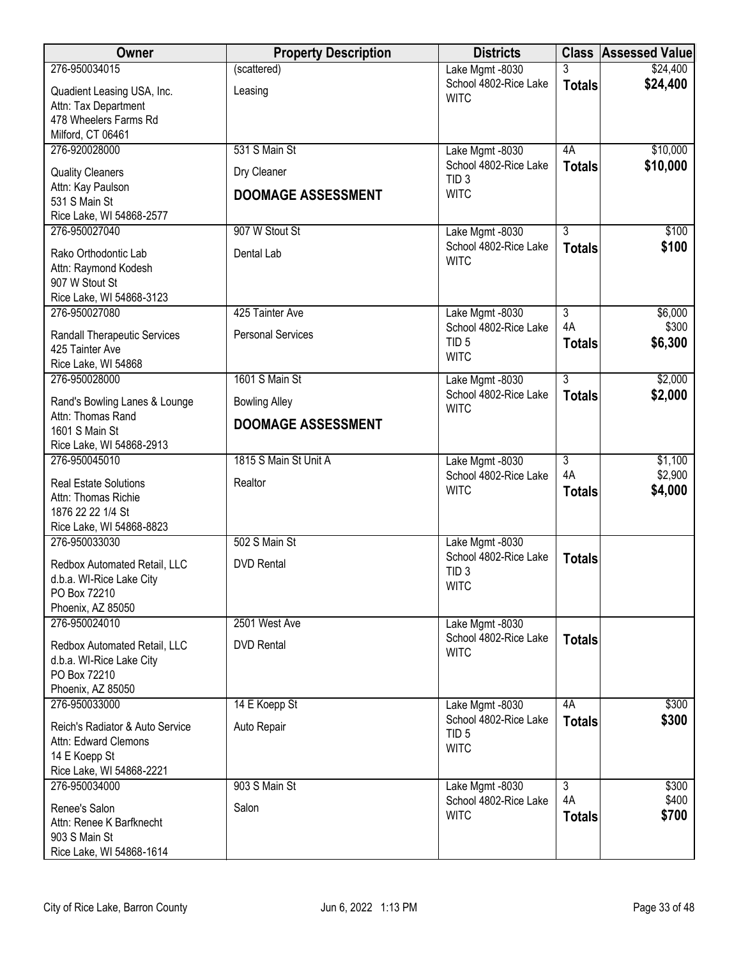| Owner                                     | <b>Property Description</b> | <b>Districts</b>                         |                | <b>Class Assessed Value</b> |
|-------------------------------------------|-----------------------------|------------------------------------------|----------------|-----------------------------|
| 276-950034015                             | (scattered)                 | Lake Mgmt -8030                          |                | \$24,400                    |
| Quadient Leasing USA, Inc.                | Leasing                     | School 4802-Rice Lake<br><b>WITC</b>     | <b>Totals</b>  | \$24,400                    |
| Attn: Tax Department                      |                             |                                          |                |                             |
| 478 Wheelers Farms Rd                     |                             |                                          |                |                             |
| Milford, CT 06461<br>276-920028000        | 531 S Main St               |                                          | 4A             | \$10,000                    |
|                                           |                             | Lake Mgmt -8030<br>School 4802-Rice Lake | <b>Totals</b>  | \$10,000                    |
| <b>Quality Cleaners</b>                   | Dry Cleaner                 | TID <sub>3</sub>                         |                |                             |
| Attn: Kay Paulson<br>531 S Main St        | <b>DOOMAGE ASSESSMENT</b>   | <b>WITC</b>                              |                |                             |
| Rice Lake, WI 54868-2577                  |                             |                                          |                |                             |
| 276-950027040                             | 907 W Stout St              | Lake Mgmt -8030                          | $\overline{3}$ | \$100                       |
| Rako Orthodontic Lab                      | Dental Lab                  | School 4802-Rice Lake                    | <b>Totals</b>  | \$100                       |
| Attn: Raymond Kodesh                      |                             | <b>WITC</b>                              |                |                             |
| 907 W Stout St                            |                             |                                          |                |                             |
| Rice Lake, WI 54868-3123                  |                             |                                          |                |                             |
| 276-950027080                             | 425 Tainter Ave             | Lake Mgmt -8030                          | $\overline{3}$ | \$6,000                     |
| <b>Randall Therapeutic Services</b>       | <b>Personal Services</b>    | School 4802-Rice Lake                    | 4A             | \$300                       |
| 425 Tainter Ave                           |                             | TID <sub>5</sub><br><b>WITC</b>          | <b>Totals</b>  | \$6,300                     |
| Rice Lake, WI 54868                       |                             |                                          |                |                             |
| 276-950028000                             | 1601 S Main St              | Lake Mgmt -8030                          | $\overline{3}$ | \$2,000                     |
| Rand's Bowling Lanes & Lounge             | <b>Bowling Alley</b>        | School 4802-Rice Lake<br><b>WITC</b>     | <b>Totals</b>  | \$2,000                     |
| Attn: Thomas Rand                         | <b>DOOMAGE ASSESSMENT</b>   |                                          |                |                             |
| 1601 S Main St                            |                             |                                          |                |                             |
| Rice Lake, WI 54868-2913<br>276-950045010 | 1815 S Main St Unit A       | Lake Mgmt -8030                          | $\overline{3}$ | \$1,100                     |
|                                           |                             | School 4802-Rice Lake                    | 4A             | \$2,900                     |
| <b>Real Estate Solutions</b>              | Realtor                     | <b>WITC</b>                              | <b>Totals</b>  | \$4,000                     |
| Attn: Thomas Richie<br>1876 22 22 1/4 St  |                             |                                          |                |                             |
| Rice Lake, WI 54868-8823                  |                             |                                          |                |                             |
| 276-950033030                             | 502 S Main St               | Lake Mgmt -8030                          |                |                             |
| Redbox Automated Retail, LLC              | <b>DVD</b> Rental           | School 4802-Rice Lake                    | <b>Totals</b>  |                             |
| d.b.a. WI-Rice Lake City                  |                             | TID <sub>3</sub>                         |                |                             |
| PO Box 72210                              |                             | <b>WITC</b>                              |                |                             |
| Phoenix, AZ 85050                         |                             |                                          |                |                             |
| 276-950024010                             | 2501 West Ave               | Lake Mgmt -8030                          |                |                             |
| Redbox Automated Retail, LLC              | <b>DVD Rental</b>           | School 4802-Rice Lake<br><b>WITC</b>     | <b>Totals</b>  |                             |
| d.b.a. WI-Rice Lake City                  |                             |                                          |                |                             |
| PO Box 72210                              |                             |                                          |                |                             |
| Phoenix, AZ 85050<br>276-950033000        | 14 E Koepp St               | Lake Mgmt -8030                          | 4A             | \$300                       |
|                                           |                             | School 4802-Rice Lake                    | <b>Totals</b>  | \$300                       |
| Reich's Radiator & Auto Service           | Auto Repair                 | TID <sub>5</sub>                         |                |                             |
| Attn: Edward Clemons<br>14 E Koepp St     |                             | <b>WITC</b>                              |                |                             |
| Rice Lake, WI 54868-2221                  |                             |                                          |                |                             |
| 276-950034000                             | 903 S Main St               | Lake Mgmt -8030                          | $\overline{3}$ | \$300                       |
| Renee's Salon                             | Salon                       | School 4802-Rice Lake                    | 4A             | \$400                       |
| Attn: Renee K Barfknecht                  |                             | <b>WITC</b>                              | <b>Totals</b>  | \$700                       |
| 903 S Main St                             |                             |                                          |                |                             |
| Rice Lake, WI 54868-1614                  |                             |                                          |                |                             |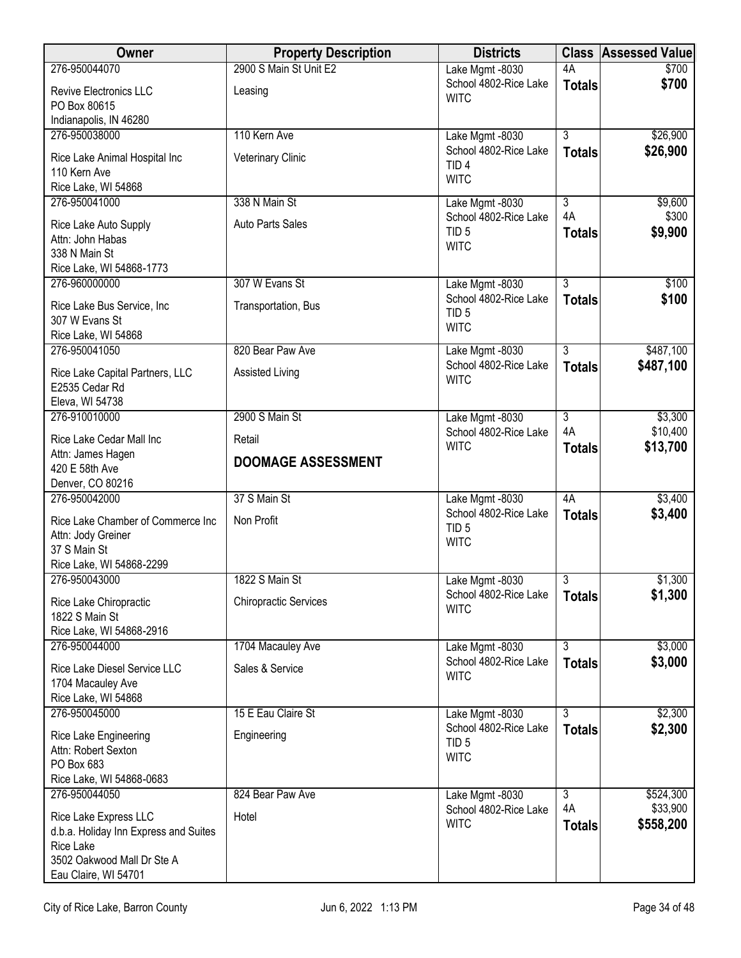| Owner                                              | <b>Property Description</b>  | <b>Districts</b>                          |                | <b>Class Assessed Value</b> |
|----------------------------------------------------|------------------------------|-------------------------------------------|----------------|-----------------------------|
| 276-950044070                                      | 2900 S Main St Unit E2       | Lake Mgmt -8030                           | 4A             | \$700                       |
| Revive Electronics LLC                             | Leasing                      | School 4802-Rice Lake<br><b>WITC</b>      | <b>Totals</b>  | \$700                       |
| PO Box 80615                                       |                              |                                           |                |                             |
| Indianapolis, IN 46280                             |                              |                                           |                |                             |
| 276-950038000                                      | 110 Kern Ave                 | Lake Mgmt -8030<br>School 4802-Rice Lake  | $\overline{3}$ | \$26,900                    |
| Rice Lake Animal Hospital Inc                      | Veterinary Clinic            | TID <sub>4</sub>                          | <b>Totals</b>  | \$26,900                    |
| 110 Kern Ave                                       |                              | <b>WITC</b>                               |                |                             |
| Rice Lake, WI 54868<br>276-950041000               | 338 N Main St                | Lake Mgmt -8030                           | $\overline{3}$ | \$9,600                     |
|                                                    |                              | School 4802-Rice Lake                     | 4A             | \$300                       |
| Rice Lake Auto Supply                              | <b>Auto Parts Sales</b>      | TID <sub>5</sub>                          | <b>Totals</b>  | \$9,900                     |
| Attn: John Habas<br>338 N Main St                  |                              | <b>WITC</b>                               |                |                             |
| Rice Lake, WI 54868-1773                           |                              |                                           |                |                             |
| 276-960000000                                      | 307 W Evans St               | Lake Mgmt -8030                           | $\overline{3}$ | \$100                       |
| Rice Lake Bus Service, Inc                         | Transportation, Bus          | School 4802-Rice Lake                     | <b>Totals</b>  | \$100                       |
| 307 W Evans St                                     |                              | TID <sub>5</sub>                          |                |                             |
| Rice Lake, WI 54868                                |                              | <b>WITC</b>                               |                |                             |
| 276-950041050                                      | 820 Bear Paw Ave             | Lake Mgmt -8030                           | $\overline{3}$ | \$487,100                   |
| Rice Lake Capital Partners, LLC                    | Assisted Living              | School 4802-Rice Lake                     | <b>Totals</b>  | \$487,100                   |
| E2535 Cedar Rd                                     |                              | <b>WITC</b>                               |                |                             |
| Eleva, WI 54738                                    |                              |                                           |                |                             |
| 276-910010000                                      | 2900 S Main St               | Lake Mgmt -8030                           | $\overline{3}$ | \$3,300                     |
| Rice Lake Cedar Mall Inc                           | Retail                       | School 4802-Rice Lake<br><b>WITC</b>      | 4A             | \$10,400                    |
| Attn: James Hagen                                  | <b>DOOMAGE ASSESSMENT</b>    |                                           | <b>Totals</b>  | \$13,700                    |
| 420 E 58th Ave                                     |                              |                                           |                |                             |
| Denver, CO 80216<br>276-950042000                  | 37 S Main St                 |                                           | 4A             | \$3,400                     |
|                                                    |                              | Lake Mgmt -8030<br>School 4802-Rice Lake  | <b>Totals</b>  | \$3,400                     |
| Rice Lake Chamber of Commerce Inc                  | Non Profit                   | TID <sub>5</sub>                          |                |                             |
| Attn: Jody Greiner<br>37 S Main St                 |                              | <b>WITC</b>                               |                |                             |
| Rice Lake, WI 54868-2299                           |                              |                                           |                |                             |
| 276-950043000                                      | 1822 S Main St               | Lake Mgmt -8030                           | 3              | \$1,300                     |
| Rice Lake Chiropractic                             | <b>Chiropractic Services</b> | School 4802-Rice Lake                     | <b>Totals</b>  | \$1,300                     |
| 1822 S Main St                                     |                              | <b>WITC</b>                               |                |                             |
| Rice Lake, WI 54868-2916                           |                              |                                           |                |                             |
| 276-950044000                                      | 1704 Macauley Ave            | Lake Mgmt -8030                           | $\overline{3}$ | \$3,000                     |
| Rice Lake Diesel Service LLC                       | Sales & Service              | School 4802-Rice Lake                     | <b>Totals</b>  | \$3,000                     |
| 1704 Macauley Ave                                  |                              | <b>WITC</b>                               |                |                             |
| Rice Lake, WI 54868                                |                              |                                           |                |                             |
| 276-950045000                                      | 15 E Eau Claire St           | Lake Mgmt -8030                           | $\overline{3}$ | \$2,300                     |
| Rice Lake Engineering                              | Engineering                  | School 4802-Rice Lake<br>TID <sub>5</sub> | <b>Totals</b>  | \$2,300                     |
| Attn: Robert Sexton                                |                              | <b>WITC</b>                               |                |                             |
| PO Box 683                                         |                              |                                           |                |                             |
| Rice Lake, WI 54868-0683<br>276-950044050          | 824 Bear Paw Ave             | Lake Mgmt -8030                           | $\overline{3}$ | \$524,300                   |
|                                                    |                              | School 4802-Rice Lake                     | 4A             | \$33,900                    |
| Rice Lake Express LLC                              | Hotel                        | <b>WITC</b>                               | <b>Totals</b>  | \$558,200                   |
| d.b.a. Holiday Inn Express and Suites<br>Rice Lake |                              |                                           |                |                             |
| 3502 Oakwood Mall Dr Ste A                         |                              |                                           |                |                             |
| Eau Claire, WI 54701                               |                              |                                           |                |                             |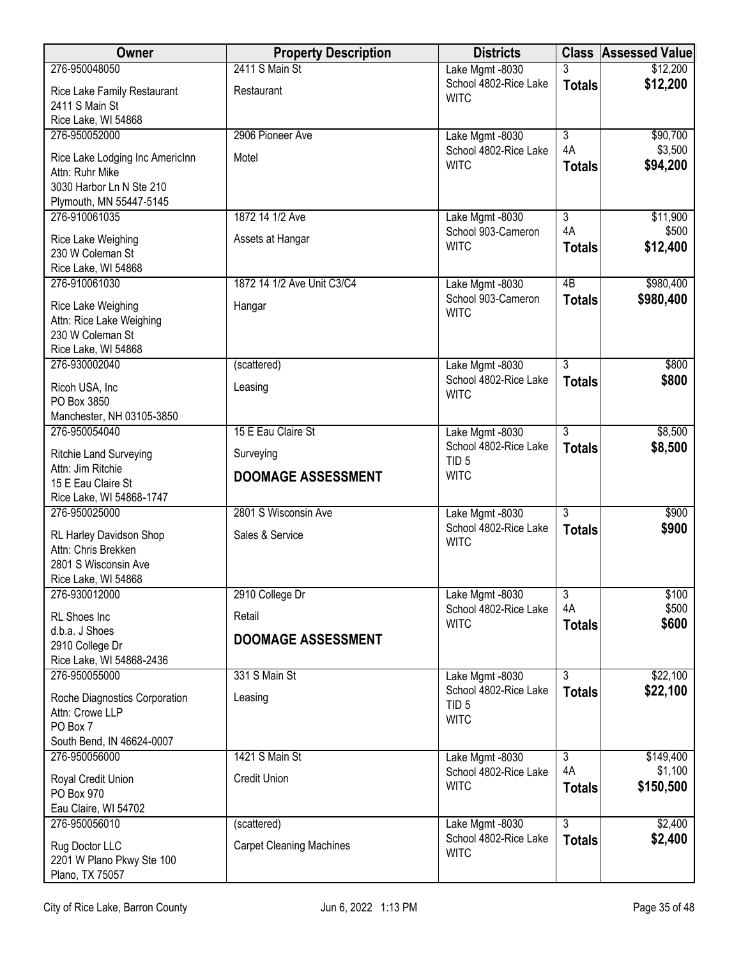| <b>Owner</b>                                                                                  | <b>Property Description</b>           | <b>Districts</b>                                         |                                       | <b>Class Assessed Value</b>       |
|-----------------------------------------------------------------------------------------------|---------------------------------------|----------------------------------------------------------|---------------------------------------|-----------------------------------|
| 276-950048050                                                                                 | 2411 S Main St                        | Lake Mgmt -8030                                          |                                       | \$12,200                          |
| Rice Lake Family Restaurant<br>2411 S Main St                                                 | Restaurant                            | School 4802-Rice Lake<br><b>WITC</b>                     | <b>Totals</b>                         | \$12,200                          |
| Rice Lake, WI 54868                                                                           |                                       |                                                          |                                       |                                   |
| 276-950052000                                                                                 | 2906 Pioneer Ave                      | Lake Mgmt -8030                                          | $\overline{3}$<br>4A                  | \$90,700<br>\$3,500               |
| Rice Lake Lodging Inc AmericInn<br>Attn: Ruhr Mike<br>3030 Harbor Ln N Ste 210                | Motel                                 | School 4802-Rice Lake<br><b>WITC</b>                     | <b>Totals</b>                         | \$94,200                          |
| Plymouth, MN 55447-5145                                                                       |                                       |                                                          |                                       |                                   |
| 276-910061035                                                                                 | 1872 14 1/2 Ave                       | Lake Mgmt -8030                                          | $\overline{\overline{3}}$             | \$11,900                          |
| Rice Lake Weighing<br>230 W Coleman St                                                        | Assets at Hangar                      | School 903-Cameron<br><b>WITC</b>                        | 4A<br><b>Totals</b>                   | \$500<br>\$12,400                 |
| Rice Lake, WI 54868<br>276-910061030                                                          | 1872 14 1/2 Ave Unit C3/C4            | Lake Mgmt -8030                                          | $\overline{AB}$                       | \$980,400                         |
| Rice Lake Weighing<br>Attn: Rice Lake Weighing<br>230 W Coleman St<br>Rice Lake, WI 54868     | Hangar                                | School 903-Cameron<br><b>WITC</b>                        | <b>Totals</b>                         | \$980,400                         |
| 276-930002040                                                                                 | (scattered)                           | Lake Mgmt -8030                                          | 3                                     | \$800                             |
| Ricoh USA, Inc<br>PO Box 3850<br>Manchester, NH 03105-3850                                    | Leasing                               | School 4802-Rice Lake<br><b>WITC</b>                     | <b>Totals</b>                         | \$800                             |
| 276-950054040                                                                                 | 15 E Eau Claire St                    | Lake Mgmt -8030                                          | $\overline{3}$                        | \$8,500                           |
| <b>Ritchie Land Surveying</b>                                                                 | Surveying                             | School 4802-Rice Lake<br>TID <sub>5</sub>                | <b>Totals</b>                         | \$8,500                           |
| Attn: Jim Ritchie<br>15 E Eau Claire St<br>Rice Lake, WI 54868-1747                           | <b>DOOMAGE ASSESSMENT</b>             | <b>WITC</b>                                              |                                       |                                   |
| 276-950025000                                                                                 | 2801 S Wisconsin Ave                  | Lake Mgmt -8030                                          | $\overline{3}$                        | \$900                             |
| RL Harley Davidson Shop<br>Attn: Chris Brekken<br>2801 S Wisconsin Ave<br>Rice Lake, WI 54868 | Sales & Service                       | School 4802-Rice Lake<br><b>WITC</b>                     | <b>Totals</b>                         | \$900                             |
| 276-930012000                                                                                 | 2910 College Dr                       | Lake Mgmt -8030                                          | $\overline{3}$                        | \$100                             |
| RL Shoes Inc                                                                                  | Retail                                | School 4802-Rice Lake<br><b>WITC</b>                     | 4A<br><b>Totals</b>                   | \$500<br>\$600                    |
| d.b.a. J Shoes<br>2910 College Dr<br>Rice Lake, WI 54868-2436                                 | <b>DOOMAGE ASSESSMENT</b>             |                                                          |                                       |                                   |
| 276-950055000                                                                                 | 331 S Main St                         | Lake Mgmt -8030                                          | $\overline{3}$                        | \$22,100                          |
| Roche Diagnostics Corporation<br>Attn: Crowe LLP<br>PO Box 7                                  | Leasing                               | School 4802-Rice Lake<br>TID <sub>5</sub><br><b>WITC</b> | <b>Totals</b>                         | \$22,100                          |
| South Bend, IN 46624-0007                                                                     |                                       |                                                          |                                       |                                   |
| 276-950056000<br>Royal Credit Union<br>PO Box 970<br>Eau Claire, WI 54702                     | 1421 S Main St<br><b>Credit Union</b> | Lake Mgmt -8030<br>School 4802-Rice Lake<br><b>WITC</b>  | $\overline{3}$<br>4A<br><b>Totals</b> | \$149,400<br>\$1,100<br>\$150,500 |
| 276-950056010                                                                                 | (scattered)                           | Lake Mgmt -8030                                          | $\overline{3}$                        | \$2,400                           |
| Rug Doctor LLC<br>2201 W Plano Pkwy Ste 100<br>Plano, TX 75057                                | <b>Carpet Cleaning Machines</b>       | School 4802-Rice Lake<br><b>WITC</b>                     | <b>Totals</b>                         | \$2,400                           |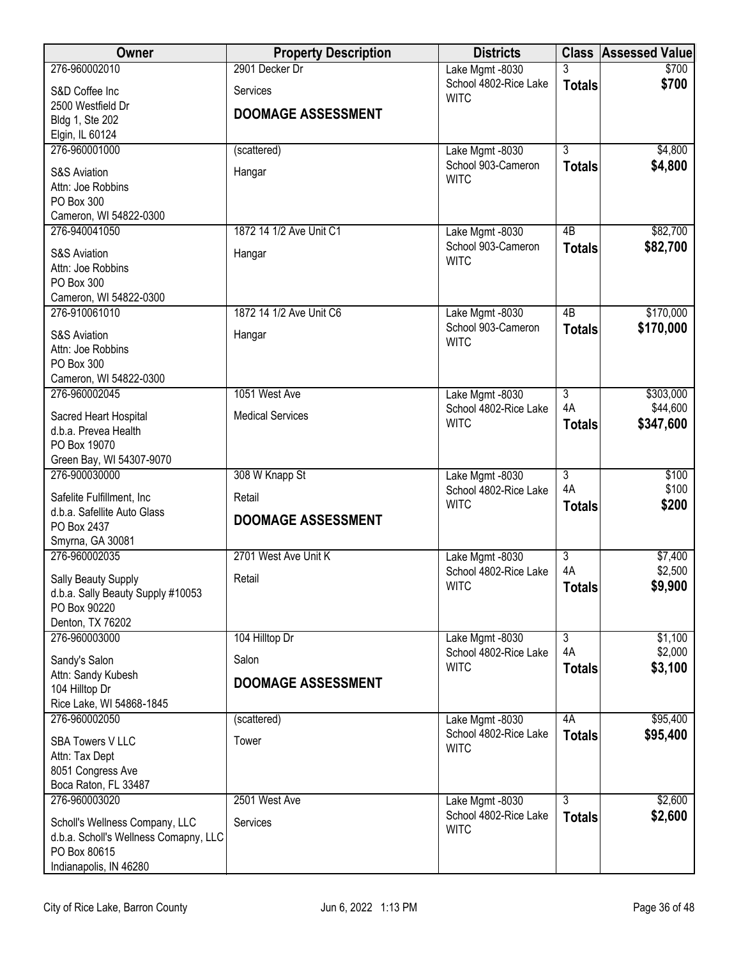| Owner                                                 | <b>Property Description</b> | <b>Districts</b>                         |                                 | <b>Class Assessed Value</b> |
|-------------------------------------------------------|-----------------------------|------------------------------------------|---------------------------------|-----------------------------|
| 276-960002010                                         | 2901 Decker Dr              | Lake Mgmt -8030                          | 3                               | \$700                       |
| S&D Coffee Inc                                        | Services                    | School 4802-Rice Lake<br><b>WITC</b>     | <b>Totals</b>                   | \$700                       |
| 2500 Westfield Dr<br>Bldg 1, Ste 202                  | <b>DOOMAGE ASSESSMENT</b>   |                                          |                                 |                             |
| Elgin, IL 60124                                       |                             |                                          |                                 |                             |
| 276-960001000                                         | (scattered)                 | Lake Mgmt -8030                          | $\overline{3}$                  | \$4,800                     |
| <b>S&amp;S Aviation</b>                               | Hangar                      | School 903-Cameron<br><b>WITC</b>        | <b>Totals</b>                   | \$4,800                     |
| Attn: Joe Robbins                                     |                             |                                          |                                 |                             |
| PO Box 300<br>Cameron, WI 54822-0300                  |                             |                                          |                                 |                             |
| 276-940041050                                         | 1872 14 1/2 Ave Unit C1     | Lake Mgmt -8030                          | 4B                              | \$82,700                    |
| <b>S&amp;S Aviation</b>                               | Hangar                      | School 903-Cameron                       | <b>Totals</b>                   | \$82,700                    |
| Attn: Joe Robbins                                     |                             | <b>WITC</b>                              |                                 |                             |
| PO Box 300                                            |                             |                                          |                                 |                             |
| Cameron, WI 54822-0300<br>276-910061010               | 1872 14 1/2 Ave Unit C6     | Lake Mgmt -8030                          | $\overline{AB}$                 | \$170,000                   |
|                                                       |                             | School 903-Cameron                       | <b>Totals</b>                   | \$170,000                   |
| <b>S&amp;S Aviation</b><br>Attn: Joe Robbins          | Hangar                      | <b>WITC</b>                              |                                 |                             |
| PO Box 300                                            |                             |                                          |                                 |                             |
| Cameron, WI 54822-0300                                |                             |                                          |                                 |                             |
| 276-960002045                                         | 1051 West Ave               | Lake Mgmt -8030<br>School 4802-Rice Lake | $\overline{3}$<br>4A            | \$303,000<br>\$44,600       |
| Sacred Heart Hospital                                 | <b>Medical Services</b>     | <b>WITC</b>                              | <b>Totals</b>                   | \$347,600                   |
| d.b.a. Prevea Health<br>PO Box 19070                  |                             |                                          |                                 |                             |
| Green Bay, WI 54307-9070                              |                             |                                          |                                 |                             |
| 276-900030000                                         | 308 W Knapp St              | Lake Mgmt -8030                          | $\overline{3}$                  | \$100                       |
| Safelite Fulfillment, Inc.                            | Retail                      | School 4802-Rice Lake<br><b>WITC</b>     | 4A<br><b>Totals</b>             | \$100<br>\$200              |
| d.b.a. Safellite Auto Glass                           | <b>DOOMAGE ASSESSMENT</b>   |                                          |                                 |                             |
| PO Box 2437<br>Smyrna, GA 30081                       |                             |                                          |                                 |                             |
| 276-960002035                                         | 2701 West Ave Unit K        | Lake Mgmt -8030                          | $\overline{3}$                  | \$7,400                     |
| Sally Beauty Supply                                   | Retail                      | School 4802-Rice Lake                    | 4A                              | \$2,500                     |
| d.b.a. Sally Beauty Supply #10053                     |                             | <b>WITC</b>                              | <b>Totals</b>                   | \$9,900                     |
| PO Box 90220<br>Denton, TX 76202                      |                             |                                          |                                 |                             |
| 276-960003000                                         | 104 Hilltop Dr              | Lake Mgmt -8030                          | $\overline{3}$                  | \$1,100                     |
| Sandy's Salon                                         | Salon                       | School 4802-Rice Lake                    | 4A                              | \$2,000                     |
| Attn: Sandy Kubesh                                    |                             | <b>WITC</b>                              | <b>Totals</b>                   | \$3,100                     |
| 104 Hilltop Dr                                        | <b>DOOMAGE ASSESSMENT</b>   |                                          |                                 |                             |
| Rice Lake, WI 54868-1845<br>276-960002050             | (scattered)                 | Lake Mgmt -8030                          | 4A                              | \$95,400                    |
|                                                       |                             | School 4802-Rice Lake                    | <b>Totals</b>                   | \$95,400                    |
| <b>SBA Towers V LLC</b><br>Attn: Tax Dept             | Tower                       | <b>WITC</b>                              |                                 |                             |
| 8051 Congress Ave                                     |                             |                                          |                                 |                             |
| Boca Raton, FL 33487                                  |                             |                                          |                                 |                             |
| 276-960003020                                         | 2501 West Ave               | Lake Mgmt -8030<br>School 4802-Rice Lake | $\overline{3}$<br><b>Totals</b> | \$2,600<br>\$2,600          |
| Scholl's Wellness Company, LLC                        | <b>Services</b>             | <b>WITC</b>                              |                                 |                             |
| d.b.a. Scholl's Wellness Comapny, LLC<br>PO Box 80615 |                             |                                          |                                 |                             |
| Indianapolis, IN 46280                                |                             |                                          |                                 |                             |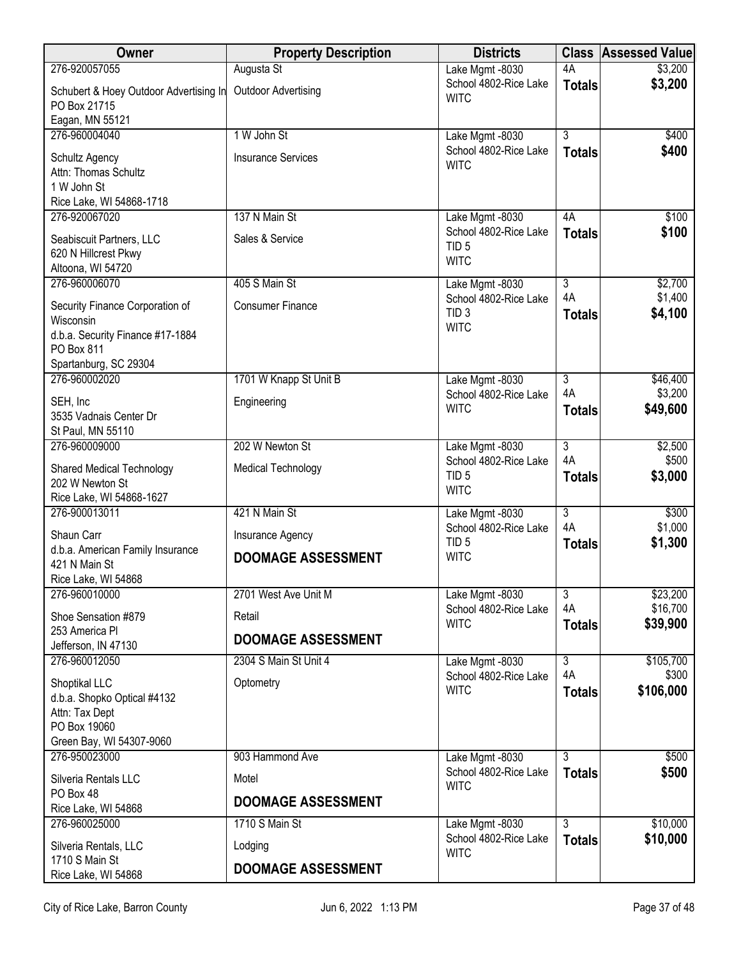| Owner                                                                                          | <b>Property Description</b> | <b>Districts</b>                                         |                      | <b>Class Assessed Value</b> |
|------------------------------------------------------------------------------------------------|-----------------------------|----------------------------------------------------------|----------------------|-----------------------------|
| 276-920057055                                                                                  | Augusta St                  | Lake Mgmt -8030                                          | 4A                   | \$3,200                     |
| Schubert & Hoey Outdoor Advertising In<br>PO Box 21715<br>Eagan, MN 55121                      | <b>Outdoor Advertising</b>  | School 4802-Rice Lake<br><b>WITC</b>                     | <b>Totals</b>        | \$3,200                     |
| 276-960004040                                                                                  | 1 W John St                 | Lake Mgmt -8030                                          | $\overline{3}$       | \$400                       |
| Schultz Agency<br>Attn: Thomas Schultz<br>1 W John St<br>Rice Lake, WI 54868-1718              | <b>Insurance Services</b>   | School 4802-Rice Lake<br><b>WITC</b>                     | <b>Totals</b>        | \$400                       |
| 276-920067020                                                                                  | 137 N Main St               | Lake Mgmt -8030                                          | 4A                   | \$100                       |
| Seabiscuit Partners, LLC<br>620 N Hillcrest Pkwy<br>Altoona, WI 54720                          | Sales & Service             | School 4802-Rice Lake<br>TID <sub>5</sub><br><b>WITC</b> | <b>Totals</b>        | \$100                       |
| 276-960006070                                                                                  | 405 S Main St               | Lake Mgmt -8030                                          | $\overline{3}$       | \$2,700                     |
| Security Finance Corporation of<br>Wisconsin<br>d.b.a. Security Finance #17-1884<br>PO Box 811 | <b>Consumer Finance</b>     | School 4802-Rice Lake<br>TID <sub>3</sub><br><b>WITC</b> | 4A<br><b>Totals</b>  | \$1,400<br>\$4,100          |
| Spartanburg, SC 29304                                                                          |                             |                                                          |                      |                             |
| 276-960002020                                                                                  | 1701 W Knapp St Unit B      | Lake Mgmt -8030                                          | $\overline{3}$<br>4A | \$46,400                    |
| SEH, Inc<br>3535 Vadnais Center Dr<br>St Paul, MN 55110                                        | Engineering                 | School 4802-Rice Lake<br><b>WITC</b>                     | <b>Totals</b>        | \$3,200<br>\$49,600         |
| 276-960009000                                                                                  | 202 W Newton St             | Lake Mgmt -8030                                          | $\overline{3}$       | \$2,500                     |
| <b>Shared Medical Technology</b><br>202 W Newton St<br>Rice Lake, WI 54868-1627                | <b>Medical Technology</b>   | School 4802-Rice Lake<br>TID <sub>5</sub><br><b>WITC</b> | 4A<br><b>Totals</b>  | \$500<br>\$3,000            |
| 276-900013011                                                                                  | 421 N Main St               | Lake Mgmt -8030                                          | $\overline{3}$       | \$300                       |
| Shaun Carr                                                                                     | Insurance Agency            | School 4802-Rice Lake<br>TID <sub>5</sub>                | 4A                   | \$1,000<br>\$1,300          |
| d.b.a. American Family Insurance<br>421 N Main St<br>Rice Lake, WI 54868                       | <b>DOOMAGE ASSESSMENT</b>   | <b>WITC</b>                                              | <b>Totals</b>        |                             |
| 276-960010000                                                                                  | 2701 West Ave Unit M        | Lake Mgmt -8030                                          | $\overline{3}$       | \$23,200                    |
| Shoe Sensation #879                                                                            | Retail                      | School 4802-Rice Lake                                    | 4A                   | \$16,700                    |
| 253 America Pl                                                                                 | <b>DOOMAGE ASSESSMENT</b>   | <b>WITC</b>                                              | <b>Totals</b>        | \$39,900                    |
| Jefferson, IN 47130<br>276-960012050                                                           | 2304 S Main St Unit 4       | Lake Mgmt -8030                                          | $\overline{3}$       | \$105,700                   |
| Shoptikal LLC<br>d.b.a. Shopko Optical #4132<br>Attn: Tax Dept<br>PO Box 19060                 | Optometry                   | School 4802-Rice Lake<br><b>WITC</b>                     | 4A<br><b>Totals</b>  | \$300<br>\$106,000          |
| Green Bay, WI 54307-9060                                                                       |                             |                                                          |                      |                             |
| 276-950023000                                                                                  | 903 Hammond Ave             | Lake Mgmt -8030<br>School 4802-Rice Lake                 | 3<br><b>Totals</b>   | \$500<br>\$500              |
| Silveria Rentals LLC<br>PO Box 48                                                              | Motel                       | <b>WITC</b>                                              |                      |                             |
| Rice Lake, WI 54868                                                                            | <b>DOOMAGE ASSESSMENT</b>   |                                                          |                      |                             |
| 276-960025000                                                                                  | 1710 S Main St              | Lake Mgmt -8030                                          | $\overline{3}$       | \$10,000                    |
| Silveria Rentals, LLC                                                                          | Lodging                     | School 4802-Rice Lake<br><b>WITC</b>                     | <b>Totals</b>        | \$10,000                    |
| 1710 S Main St<br>Rice Lake, WI 54868                                                          | <b>DOOMAGE ASSESSMENT</b>   |                                                          |                      |                             |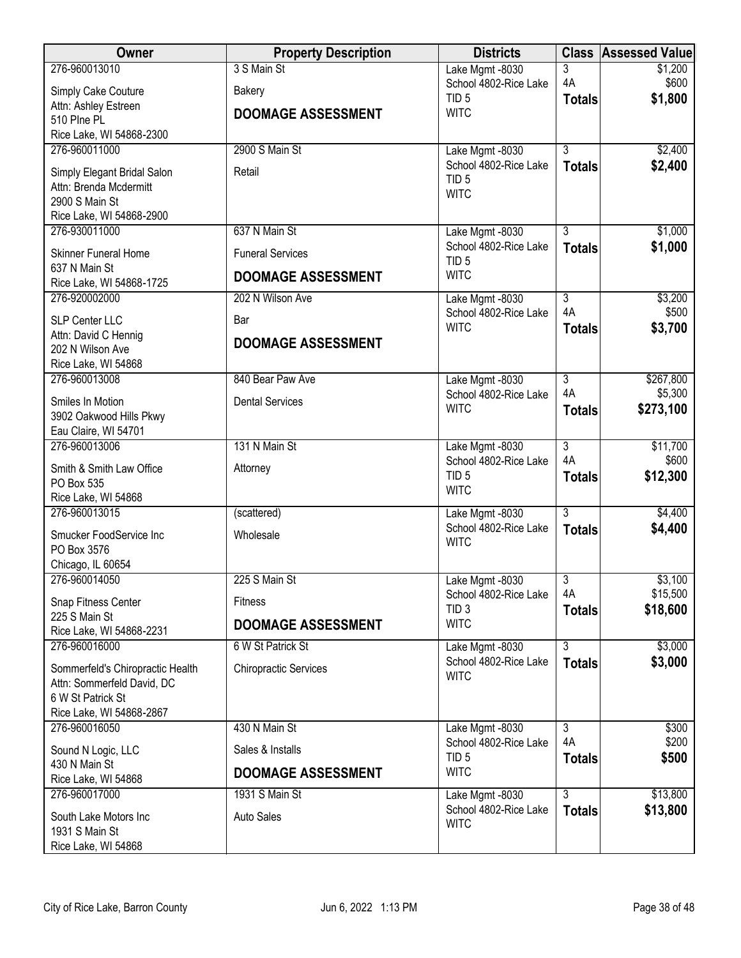| Owner                                     | <b>Property Description</b>  | <b>Districts</b>                          |                      | <b>Class Assessed Value</b> |
|-------------------------------------------|------------------------------|-------------------------------------------|----------------------|-----------------------------|
| 276-960013010                             | 3 S Main St                  | Lake Mgmt -8030                           | 3                    | \$1,200                     |
| Simply Cake Couture                       | <b>Bakery</b>                | School 4802-Rice Lake                     | 4A                   | \$600                       |
| Attn: Ashley Estreen                      |                              | TID <sub>5</sub>                          | <b>Totals</b>        | \$1,800                     |
| 510 Plne PL                               | <b>DOOMAGE ASSESSMENT</b>    | <b>WITC</b>                               |                      |                             |
| Rice Lake, WI 54868-2300                  |                              |                                           |                      |                             |
| 276-960011000                             | 2900 S Main St               | Lake Mgmt -8030                           | $\overline{3}$       | \$2,400                     |
| Simply Elegant Bridal Salon               | Retail                       | School 4802-Rice Lake                     | <b>Totals</b>        | \$2,400                     |
| Attn: Brenda Mcdermitt                    |                              | TID <sub>5</sub>                          |                      |                             |
| 2900 S Main St                            |                              | <b>WITC</b>                               |                      |                             |
| Rice Lake, WI 54868-2900                  |                              |                                           |                      |                             |
| 276-930011000                             | 637 N Main St                | Lake Mgmt -8030                           | $\overline{3}$       | \$1,000                     |
| <b>Skinner Funeral Home</b>               | <b>Funeral Services</b>      | School 4802-Rice Lake<br>TID <sub>5</sub> | <b>Totals</b>        | \$1,000                     |
| 637 N Main St<br>Rice Lake, WI 54868-1725 | <b>DOOMAGE ASSESSMENT</b>    | <b>WITC</b>                               |                      |                             |
| 276-920002000                             | 202 N Wilson Ave             | Lake Mgmt -8030                           | $\overline{3}$       | \$3,200                     |
| SLP Center LLC                            | Bar                          | School 4802-Rice Lake                     | 4A                   | \$500                       |
| Attn: David C Hennig                      | <b>DOOMAGE ASSESSMENT</b>    | <b>WITC</b>                               | <b>Totals</b>        | \$3,700                     |
| 202 N Wilson Ave                          |                              |                                           |                      |                             |
| Rice Lake, WI 54868                       |                              |                                           |                      |                             |
| 276-960013008                             | 840 Bear Paw Ave             | Lake Mgmt -8030                           | $\overline{3}$<br>4A | \$267,800<br>\$5,300        |
| Smiles In Motion                          | <b>Dental Services</b>       | School 4802-Rice Lake<br><b>WITC</b>      | <b>Totals</b>        | \$273,100                   |
| 3902 Oakwood Hills Pkwy                   |                              |                                           |                      |                             |
| Eau Claire, WI 54701                      |                              |                                           |                      |                             |
| 276-960013006                             | 131 N Main St                | Lake Mgmt -8030                           | $\overline{3}$       | \$11,700                    |
| Smith & Smith Law Office                  | Attorney                     | School 4802-Rice Lake                     | 4A                   | \$600                       |
| PO Box 535                                |                              | TID <sub>5</sub><br><b>WITC</b>           | <b>Totals</b>        | \$12,300                    |
| Rice Lake, WI 54868                       |                              |                                           |                      |                             |
| 276-960013015                             | (scattered)                  | Lake Mgmt -8030                           | $\overline{3}$       | \$4,400                     |
| Smucker FoodService Inc                   | Wholesale                    | School 4802-Rice Lake                     | <b>Totals</b>        | \$4,400                     |
| PO Box 3576                               |                              | <b>WITC</b>                               |                      |                             |
| Chicago, IL 60654                         |                              |                                           |                      |                             |
| 276-960014050                             | 225 S Main St                | Lake Mgmt -8030                           | $\overline{3}$       | \$3,100                     |
| Snap Fitness Center                       | <b>Fitness</b>               | School 4802-Rice Lake<br>TID <sub>3</sub> | 4A                   | \$15,500                    |
| 225 S Main St                             | <b>DOOMAGE ASSESSMENT</b>    | <b>WITC</b>                               | <b>Totals</b>        | \$18,600                    |
| Rice Lake, WI 54868-2231                  |                              |                                           |                      |                             |
| 276-960016000                             | 6 W St Patrick St            | Lake Mgmt -8030                           | $\overline{3}$       | \$3,000                     |
| Sommerfeld's Chiropractic Health          | <b>Chiropractic Services</b> | School 4802-Rice Lake<br><b>WITC</b>      | <b>Totals</b>        | \$3,000                     |
| Attn: Sommerfeld David, DC                |                              |                                           |                      |                             |
| 6 W St Patrick St                         |                              |                                           |                      |                             |
| Rice Lake, WI 54868-2867                  |                              |                                           |                      |                             |
| 276-960016050                             | 430 N Main St                | Lake Mgmt -8030<br>School 4802-Rice Lake  | $\overline{3}$<br>4A | \$300<br>\$200              |
| Sound N Logic, LLC                        | Sales & Installs             | TID <sub>5</sub>                          | <b>Totals</b>        | \$500                       |
| 430 N Main St                             | <b>DOOMAGE ASSESSMENT</b>    | <b>WITC</b>                               |                      |                             |
| Rice Lake, WI 54868                       |                              |                                           |                      |                             |
| 276-960017000                             | 1931 S Main St               | Lake Mgmt -8030<br>School 4802-Rice Lake  | $\overline{3}$       | \$13,800                    |
| South Lake Motors Inc                     | <b>Auto Sales</b>            | <b>WITC</b>                               | <b>Totals</b>        | \$13,800                    |
| 1931 S Main St                            |                              |                                           |                      |                             |
| Rice Lake, WI 54868                       |                              |                                           |                      |                             |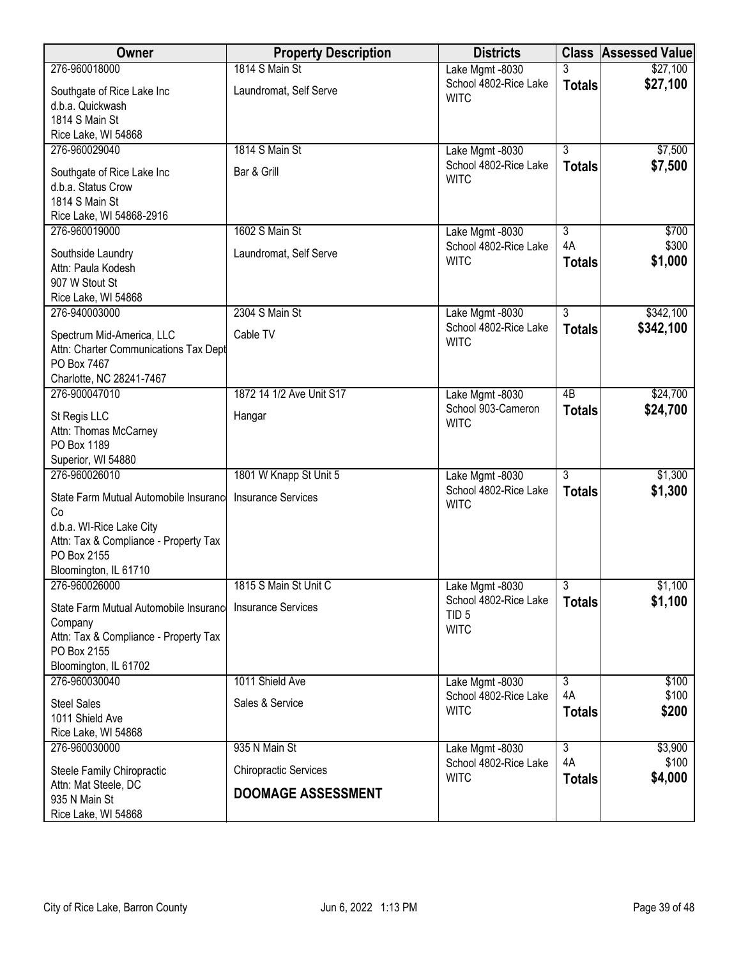| <b>Owner</b>                                                       | <b>Property Description</b>  | <b>Districts</b>                         |                | <b>Class Assessed Value</b> |
|--------------------------------------------------------------------|------------------------------|------------------------------------------|----------------|-----------------------------|
| 276-960018000                                                      | 1814 S Main St               | Lake Mgmt -8030                          |                | \$27,100                    |
| Southgate of Rice Lake Inc                                         | Laundromat, Self Serve       | School 4802-Rice Lake<br><b>WITC</b>     | <b>Totals</b>  | \$27,100                    |
| d.b.a. Quickwash                                                   |                              |                                          |                |                             |
| 1814 S Main St                                                     |                              |                                          |                |                             |
| Rice Lake, WI 54868                                                |                              |                                          |                |                             |
| 276-960029040                                                      | 1814 S Main St               | Lake Mgmt -8030<br>School 4802-Rice Lake | $\overline{3}$ | \$7,500                     |
| Southgate of Rice Lake Inc                                         | Bar & Grill                  | <b>WITC</b>                              | <b>Totals</b>  | \$7,500                     |
| d.b.a. Status Crow                                                 |                              |                                          |                |                             |
| 1814 S Main St<br>Rice Lake, WI 54868-2916                         |                              |                                          |                |                             |
| 276-960019000                                                      | 1602 S Main St               | Lake Mgmt -8030                          | $\overline{3}$ | \$700                       |
|                                                                    |                              | School 4802-Rice Lake                    | 4A             | \$300                       |
| Southside Laundry                                                  | Laundromat, Self Serve       | <b>WITC</b>                              | <b>Totals</b>  | \$1,000                     |
| Attn: Paula Kodesh<br>907 W Stout St                               |                              |                                          |                |                             |
| Rice Lake, WI 54868                                                |                              |                                          |                |                             |
| 276-940003000                                                      | 2304 S Main St               | Lake Mgmt -8030                          | $\overline{3}$ | \$342,100                   |
|                                                                    |                              | School 4802-Rice Lake                    | <b>Totals</b>  | \$342,100                   |
| Spectrum Mid-America, LLC<br>Attn: Charter Communications Tax Dept | Cable TV                     | <b>WITC</b>                              |                |                             |
| PO Box 7467                                                        |                              |                                          |                |                             |
| Charlotte, NC 28241-7467                                           |                              |                                          |                |                             |
| 276-900047010                                                      | 1872 14 1/2 Ave Unit S17     | Lake Mgmt -8030                          | 4B             | \$24,700                    |
| St Regis LLC                                                       | Hangar                       | School 903-Cameron                       | <b>Totals</b>  | \$24,700                    |
| Attn: Thomas McCarney                                              |                              | <b>WITC</b>                              |                |                             |
| PO Box 1189                                                        |                              |                                          |                |                             |
| Superior, WI 54880                                                 |                              |                                          |                |                             |
| 276-960026010                                                      | 1801 W Knapp St Unit 5       | Lake Mgmt -8030                          | $\overline{3}$ | \$1,300                     |
| State Farm Mutual Automobile Insurance                             | <b>Insurance Services</b>    | School 4802-Rice Lake                    | <b>Totals</b>  | \$1,300                     |
| Co                                                                 |                              | <b>WITC</b>                              |                |                             |
| d.b.a. WI-Rice Lake City                                           |                              |                                          |                |                             |
| Attn: Tax & Compliance - Property Tax                              |                              |                                          |                |                             |
| PO Box 2155                                                        |                              |                                          |                |                             |
| Bloomington, IL 61710<br>276-960026000                             | 1815 S Main St Unit C        | Lake Mgmt -8030                          | $\overline{3}$ | \$1,100                     |
|                                                                    |                              | School 4802-Rice Lake                    | <b>Totals</b>  | \$1,100                     |
| State Farm Mutual Automobile Insurance                             | <b>Insurance Services</b>    | TID <sub>5</sub>                         |                |                             |
| Company                                                            |                              | <b>WITC</b>                              |                |                             |
| Attn: Tax & Compliance - Property Tax<br>PO Box 2155               |                              |                                          |                |                             |
| Bloomington, IL 61702                                              |                              |                                          |                |                             |
| 276-960030040                                                      | 1011 Shield Ave              | Lake Mgmt -8030                          | دی             | \$100                       |
| <b>Steel Sales</b>                                                 | Sales & Service              | School 4802-Rice Lake                    | 4A             | \$100                       |
| 1011 Shield Ave                                                    |                              | <b>WITC</b>                              | <b>Totals</b>  | \$200                       |
| Rice Lake, WI 54868                                                |                              |                                          |                |                             |
| 276-960030000                                                      | 935 N Main St                | Lake Mgmt -8030                          | $\overline{3}$ | \$3,900                     |
| Steele Family Chiropractic                                         | <b>Chiropractic Services</b> | School 4802-Rice Lake                    | 4A             | \$100                       |
| Attn: Mat Steele, DC                                               |                              | <b>WITC</b>                              | <b>Totals</b>  | \$4,000                     |
| 935 N Main St                                                      | <b>DOOMAGE ASSESSMENT</b>    |                                          |                |                             |
| Rice Lake, WI 54868                                                |                              |                                          |                |                             |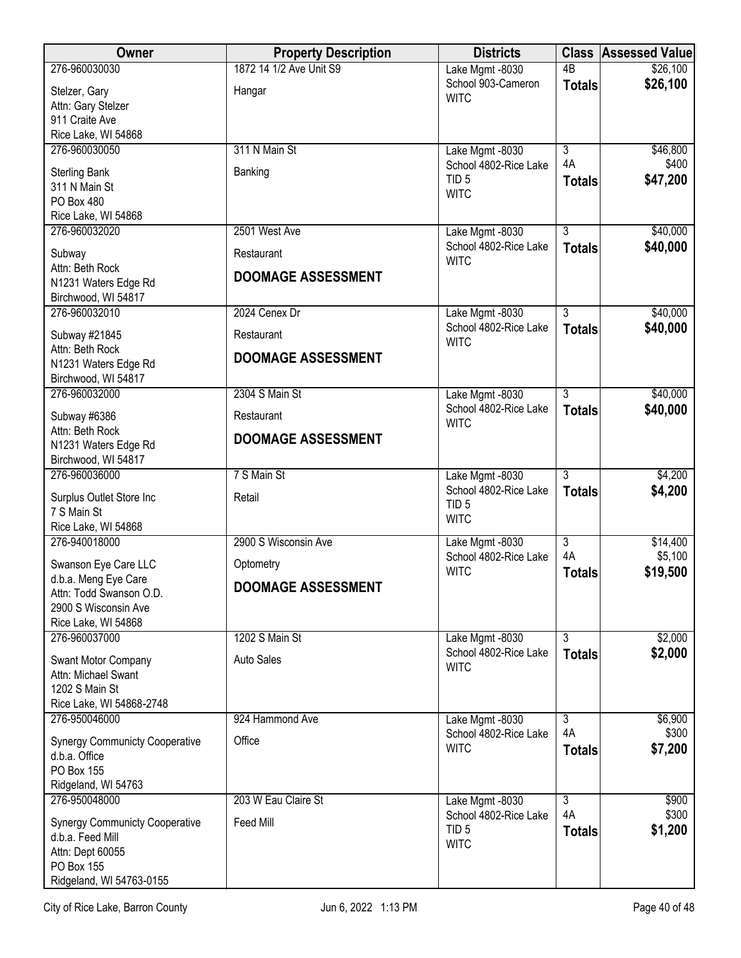| <b>Owner</b>                                    | <b>Property Description</b> | <b>Districts</b>                          |                           | <b>Class Assessed Value</b> |
|-------------------------------------------------|-----------------------------|-------------------------------------------|---------------------------|-----------------------------|
| 276-960030030                                   | 1872 14 1/2 Ave Unit S9     | Lake Mgmt -8030                           | $\overline{AB}$           | \$26,100                    |
| Stelzer, Gary                                   | Hangar                      | School 903-Cameron<br><b>WITC</b>         | <b>Totals</b>             | \$26,100                    |
| Attn: Gary Stelzer                              |                             |                                           |                           |                             |
| 911 Craite Ave<br>Rice Lake, WI 54868           |                             |                                           |                           |                             |
| 276-960030050                                   | 311 N Main St               | Lake Mgmt -8030                           | $\overline{3}$            | \$46,800                    |
|                                                 |                             | School 4802-Rice Lake                     | 4A                        | \$400                       |
| <b>Sterling Bank</b><br>311 N Main St           | Banking                     | TID <sub>5</sub>                          | <b>Totals</b>             | \$47,200                    |
| PO Box 480                                      |                             | <b>WITC</b>                               |                           |                             |
| Rice Lake, WI 54868                             |                             |                                           |                           |                             |
| 276-960032020                                   | 2501 West Ave               | Lake Mgmt -8030                           | $\overline{3}$            | \$40,000                    |
| Subway                                          | Restaurant                  | School 4802-Rice Lake                     | <b>Totals</b>             | \$40,000                    |
| Attn: Beth Rock                                 |                             | <b>WITC</b>                               |                           |                             |
| N1231 Waters Edge Rd                            | <b>DOOMAGE ASSESSMENT</b>   |                                           |                           |                             |
| Birchwood, WI 54817                             |                             |                                           |                           |                             |
| 276-960032010                                   | 2024 Cenex Dr               | Lake Mgmt -8030<br>School 4802-Rice Lake  | $\overline{3}$            | \$40,000<br>\$40,000        |
| Subway #21845                                   | Restaurant                  | <b>WITC</b>                               | <b>Totals</b>             |                             |
| Attn: Beth Rock                                 | <b>DOOMAGE ASSESSMENT</b>   |                                           |                           |                             |
| N1231 Waters Edge Rd<br>Birchwood, WI 54817     |                             |                                           |                           |                             |
| 276-960032000                                   | 2304 S Main St              | Lake Mgmt -8030                           | $\overline{3}$            | \$40,000                    |
| Subway #6386                                    | Restaurant                  | School 4802-Rice Lake                     | <b>Totals</b>             | \$40,000                    |
| Attn: Beth Rock                                 |                             | <b>WITC</b>                               |                           |                             |
| N1231 Waters Edge Rd                            | <b>DOOMAGE ASSESSMENT</b>   |                                           |                           |                             |
| Birchwood, WI 54817                             |                             |                                           |                           |                             |
| 276-960036000                                   | 7 S Main St                 | Lake Mgmt -8030                           | $\overline{3}$            | \$4,200                     |
| Surplus Outlet Store Inc                        | Retail                      | School 4802-Rice Lake<br>TID <sub>5</sub> | <b>Totals</b>             | \$4,200                     |
| 7 S Main St                                     |                             | <b>WITC</b>                               |                           |                             |
| Rice Lake, WI 54868                             |                             |                                           |                           |                             |
| 276-940018000                                   | 2900 S Wisconsin Ave        | Lake Mgmt -8030<br>School 4802-Rice Lake  | $\overline{3}$<br>4A      | \$14,400<br>\$5,100         |
| Swanson Eye Care LLC                            | Optometry                   | <b>WITC</b>                               | <b>Totals</b>             | \$19,500                    |
| d.b.a. Meng Eye Care<br>Attn: Todd Swanson O.D. | <b>DOOMAGE ASSESSMENT</b>   |                                           |                           |                             |
| 2900 S Wisconsin Ave                            |                             |                                           |                           |                             |
| Rice Lake, WI 54868                             |                             |                                           |                           |                             |
| 276-960037000                                   | 1202 S Main St              | Lake Mgmt -8030                           | $\overline{\overline{3}}$ | \$2,000                     |
| Swant Motor Company                             | <b>Auto Sales</b>           | School 4802-Rice Lake                     | <b>Totals</b>             | \$2,000                     |
| Attn: Michael Swant                             |                             | <b>WITC</b>                               |                           |                             |
| 1202 S Main St                                  |                             |                                           |                           |                             |
| Rice Lake, WI 54868-2748<br>276-950046000       | 924 Hammond Ave             |                                           |                           |                             |
|                                                 |                             | Lake Mgmt -8030<br>School 4802-Rice Lake  | 3<br>4A                   | \$6,900<br>\$300            |
| <b>Synergy Communicty Cooperative</b>           | Office                      | <b>WITC</b>                               | <b>Totals</b>             | \$7,200                     |
| d.b.a. Office<br>PO Box 155                     |                             |                                           |                           |                             |
| Ridgeland, WI 54763                             |                             |                                           |                           |                             |
| 276-950048000                                   | 203 W Eau Claire St         | Lake Mgmt -8030                           | $\overline{3}$            | \$900                       |
| <b>Synergy Communicty Cooperative</b>           | Feed Mill                   | School 4802-Rice Lake                     | 4A                        | \$300                       |
| d.b.a. Feed Mill                                |                             | TID <sub>5</sub>                          | <b>Totals</b>             | \$1,200                     |
| Attn: Dept 60055                                |                             | <b>WITC</b>                               |                           |                             |
| <b>PO Box 155</b>                               |                             |                                           |                           |                             |
| Ridgeland, WI 54763-0155                        |                             |                                           |                           |                             |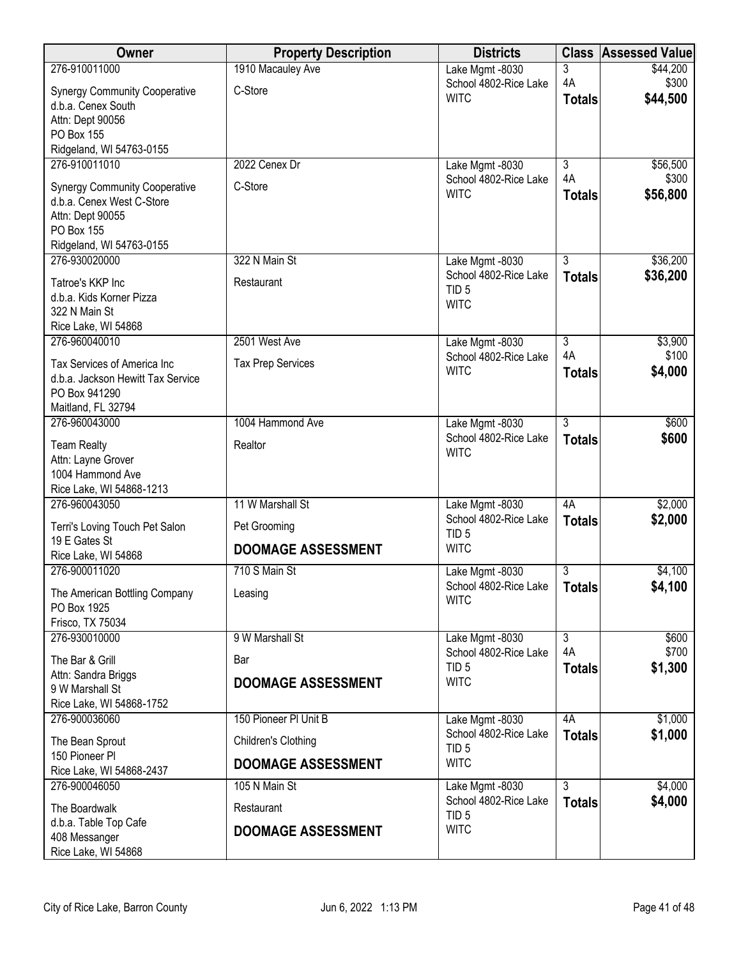| Owner                                           | <b>Property Description</b> | <b>Districts</b>                          |                      | <b>Class Assessed Value</b> |
|-------------------------------------------------|-----------------------------|-------------------------------------------|----------------------|-----------------------------|
| 276-910011000                                   | 1910 Macauley Ave           | Lake Mgmt -8030                           | 3                    | \$44,200                    |
| <b>Synergy Community Cooperative</b>            | C-Store                     | School 4802-Rice Lake<br><b>WITC</b>      | 4A                   | \$300<br>\$44,500           |
| d.b.a. Cenex South                              |                             |                                           | <b>Totals</b>        |                             |
| Attn: Dept 90056<br>PO Box 155                  |                             |                                           |                      |                             |
| Ridgeland, WI 54763-0155                        |                             |                                           |                      |                             |
| 276-910011010                                   | 2022 Cenex Dr               | Lake Mgmt -8030                           | $\overline{3}$       | \$56,500                    |
| <b>Synergy Community Cooperative</b>            | C-Store                     | School 4802-Rice Lake                     | 4A                   | \$300                       |
| d.b.a. Cenex West C-Store                       |                             | <b>WITC</b>                               | <b>Totals</b>        | \$56,800                    |
| Attn: Dept 90055                                |                             |                                           |                      |                             |
| PO Box 155<br>Ridgeland, WI 54763-0155          |                             |                                           |                      |                             |
| 276-930020000                                   | 322 N Main St               | Lake Mgmt -8030                           | $\overline{3}$       | \$36,200                    |
| Tatroe's KKP Inc                                | Restaurant                  | School 4802-Rice Lake                     | <b>Totals</b>        | \$36,200                    |
| d.b.a. Kids Korner Pizza                        |                             | TID <sub>5</sub>                          |                      |                             |
| 322 N Main St                                   |                             | <b>WITC</b>                               |                      |                             |
| Rice Lake, WI 54868                             |                             |                                           |                      |                             |
| 276-960040010                                   | 2501 West Ave               | Lake Mgmt -8030<br>School 4802-Rice Lake  | $\overline{3}$<br>4A | \$3,900<br>\$100            |
| Tax Services of America Inc                     | <b>Tax Prep Services</b>    | <b>WITC</b>                               | <b>Totals</b>        | \$4,000                     |
| d.b.a. Jackson Hewitt Tax Service               |                             |                                           |                      |                             |
| PO Box 941290<br>Maitland, FL 32794             |                             |                                           |                      |                             |
| 276-960043000                                   | 1004 Hammond Ave            | Lake Mgmt -8030                           | $\overline{3}$       | \$600                       |
| <b>Team Realty</b>                              | Realtor                     | School 4802-Rice Lake                     | <b>Totals</b>        | \$600                       |
| Attn: Layne Grover                              |                             | <b>WITC</b>                               |                      |                             |
| 1004 Hammond Ave                                |                             |                                           |                      |                             |
| Rice Lake, WI 54868-1213<br>276-960043050       | 11 W Marshall St            | Lake Mgmt -8030                           | 4A                   | \$2,000                     |
|                                                 |                             | School 4802-Rice Lake                     | <b>Totals</b>        | \$2,000                     |
| Terri's Loving Touch Pet Salon<br>19 E Gates St | Pet Grooming                | TID <sub>5</sub>                          |                      |                             |
| Rice Lake, WI 54868                             | <b>DOOMAGE ASSESSMENT</b>   | <b>WITC</b>                               |                      |                             |
| 276-900011020                                   | 710 S Main St               | Lake Mgmt -8030                           | $\overline{3}$       | \$4,100                     |
| The American Bottling Company                   | Leasing                     | School 4802-Rice Lake<br><b>WITC</b>      | <b>Totals</b>        | \$4,100                     |
| PO Box 1925                                     |                             |                                           |                      |                             |
| Frisco, TX 75034<br>276-930010000               | 9 W Marshall St             | Lake Mgmt -8030                           | $\overline{3}$       | \$600                       |
|                                                 |                             | School 4802-Rice Lake                     | 4A                   | \$700                       |
| The Bar & Grill<br>Attn: Sandra Briggs          | Bar                         | TID <sub>5</sub>                          | <b>Totals</b>        | \$1,300                     |
| 9 W Marshall St                                 | <b>DOOMAGE ASSESSMENT</b>   | <b>WITC</b>                               |                      |                             |
| Rice Lake, WI 54868-1752                        |                             |                                           |                      |                             |
| 276-900036060                                   | 150 Pioneer PI Unit B       | Lake Mgmt -8030                           | 4A                   | \$1,000                     |
| The Bean Sprout                                 | Children's Clothing         | School 4802-Rice Lake<br>TID <sub>5</sub> | <b>Totals</b>        | \$1,000                     |
| 150 Pioneer Pl                                  | <b>DOOMAGE ASSESSMENT</b>   | <b>WITC</b>                               |                      |                             |
| Rice Lake, WI 54868-2437<br>276-900046050       | 105 N Main St               | Lake Mgmt -8030                           | $\overline{3}$       | \$4,000                     |
|                                                 |                             | School 4802-Rice Lake                     | <b>Totals</b>        | \$4,000                     |
| The Boardwalk<br>d.b.a. Table Top Cafe          | Restaurant                  | TID <sub>5</sub>                          |                      |                             |
| 408 Messanger                                   | <b>DOOMAGE ASSESSMENT</b>   | <b>WITC</b>                               |                      |                             |
| Rice Lake, WI 54868                             |                             |                                           |                      |                             |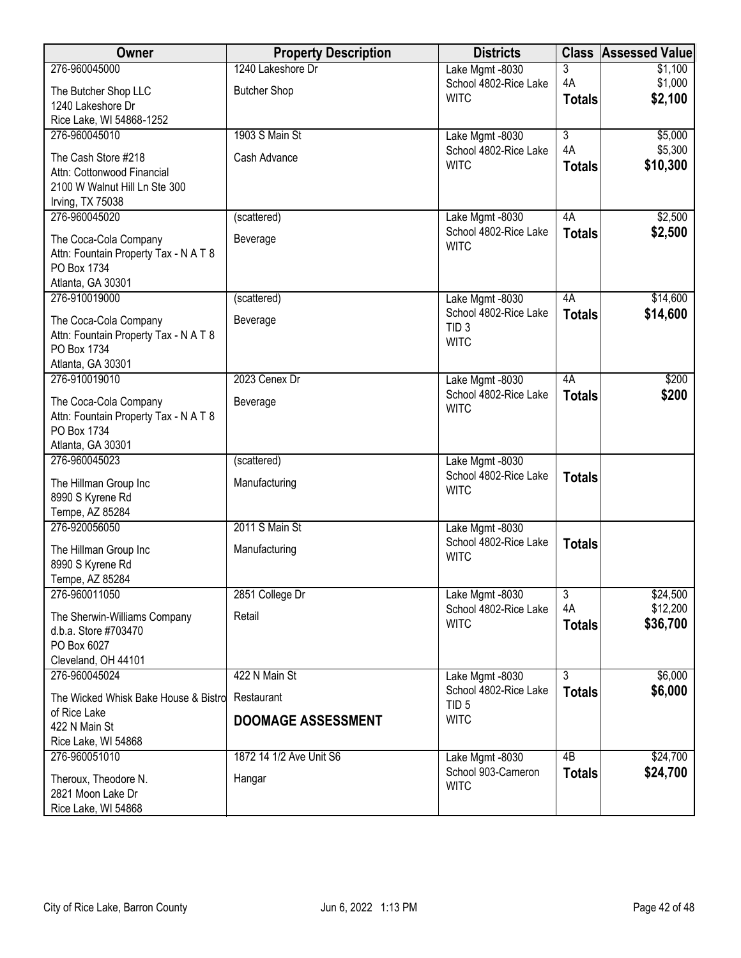| Owner                                                          | <b>Property Description</b> | <b>Districts</b>                      |                     | <b>Class Assessed Value</b> |
|----------------------------------------------------------------|-----------------------------|---------------------------------------|---------------------|-----------------------------|
| 276-960045000                                                  | 1240 Lakeshore Dr           | Lake Mgmt -8030                       | 3                   | \$1,100                     |
| The Butcher Shop LLC                                           | <b>Butcher Shop</b>         | School 4802-Rice Lake<br><b>WITC</b>  | 4A<br><b>Totals</b> | \$1,000<br>\$2,100          |
| 1240 Lakeshore Dr                                              |                             |                                       |                     |                             |
| Rice Lake, WI 54868-1252<br>276-960045010                      | 1903 S Main St              | Lake Mgmt -8030                       | $\overline{3}$      | \$5,000                     |
|                                                                |                             | School 4802-Rice Lake                 | 4A                  | \$5,300                     |
| The Cash Store #218<br>Attn: Cottonwood Financial              | Cash Advance                | <b>WITC</b>                           | <b>Totals</b>       | \$10,300                    |
| 2100 W Walnut Hill Ln Ste 300                                  |                             |                                       |                     |                             |
| Irving, TX 75038                                               |                             |                                       |                     |                             |
| 276-960045020                                                  | (scattered)                 | Lake Mgmt -8030                       | 4A                  | \$2,500                     |
| The Coca-Cola Company                                          | Beverage                    | School 4802-Rice Lake<br><b>WITC</b>  | <b>Totals</b>       | \$2,500                     |
| Attn: Fountain Property Tax - N A T 8<br>PO Box 1734           |                             |                                       |                     |                             |
| Atlanta, GA 30301                                              |                             |                                       |                     |                             |
| 276-910019000                                                  | (scattered)                 | Lake Mgmt -8030                       | 4A                  | \$14,600                    |
| The Coca-Cola Company                                          | Beverage                    | School 4802-Rice Lake                 | <b>Totals</b>       | \$14,600                    |
| Attn: Fountain Property Tax - N A T 8                          |                             | TID <sub>3</sub><br><b>WITC</b>       |                     |                             |
| PO Box 1734                                                    |                             |                                       |                     |                             |
| Atlanta, GA 30301<br>276-910019010                             | 2023 Cenex Dr               | Lake Mgmt -8030                       | 4A                  | \$200                       |
|                                                                |                             | School 4802-Rice Lake                 | <b>Totals</b>       | \$200                       |
| The Coca-Cola Company<br>Attn: Fountain Property Tax - N A T 8 | Beverage                    | <b>WITC</b>                           |                     |                             |
| PO Box 1734                                                    |                             |                                       |                     |                             |
| Atlanta, GA 30301                                              |                             |                                       |                     |                             |
| 276-960045023                                                  | (scattered)                 | Lake Mgmt -8030                       |                     |                             |
| The Hillman Group Inc                                          | Manufacturing               | School 4802-Rice Lake<br><b>WITC</b>  | <b>Totals</b>       |                             |
| 8990 S Kyrene Rd<br>Tempe, AZ 85284                            |                             |                                       |                     |                             |
| 276-920056050                                                  | 2011 S Main St              | Lake Mgmt -8030                       |                     |                             |
| The Hillman Group Inc                                          |                             | School 4802-Rice Lake                 | <b>Totals</b>       |                             |
| 8990 S Kyrene Rd                                               | Manufacturing               | <b>WITC</b>                           |                     |                             |
| Tempe, AZ 85284                                                |                             |                                       |                     |                             |
| 276-960011050                                                  | 2851 College Dr             | Lake Mgmt -8030                       | دی                  | \$24,500                    |
| The Sherwin-Williams Company                                   | Retail                      | School 4802-Rice Lake<br><b>WITC</b>  | 4A<br><b>Totals</b> | \$12,200<br>\$36,700        |
| d.b.a. Store #703470                                           |                             |                                       |                     |                             |
| PO Box 6027<br>Cleveland, OH 44101                             |                             |                                       |                     |                             |
| 276-960045024                                                  | 422 N Main St               | Lake Mgmt -8030                       | $\overline{3}$      | \$6,000                     |
| The Wicked Whisk Bake House & Bistro                           | Restaurant                  | School 4802-Rice Lake                 | <b>Totals</b>       | \$6,000                     |
| of Rice Lake                                                   |                             | TID <sub>5</sub><br><b>WITC</b>       |                     |                             |
| 422 N Main St                                                  | <b>DOOMAGE ASSESSMENT</b>   |                                       |                     |                             |
| Rice Lake, WI 54868<br>276-960051010                           | 1872 14 1/2 Ave Unit S6     |                                       | $\overline{AB}$     | \$24,700                    |
|                                                                |                             | Lake Mgmt -8030<br>School 903-Cameron | <b>Totals</b>       | \$24,700                    |
| Theroux, Theodore N.<br>2821 Moon Lake Dr                      | Hangar                      | <b>WITC</b>                           |                     |                             |
| Rice Lake, WI 54868                                            |                             |                                       |                     |                             |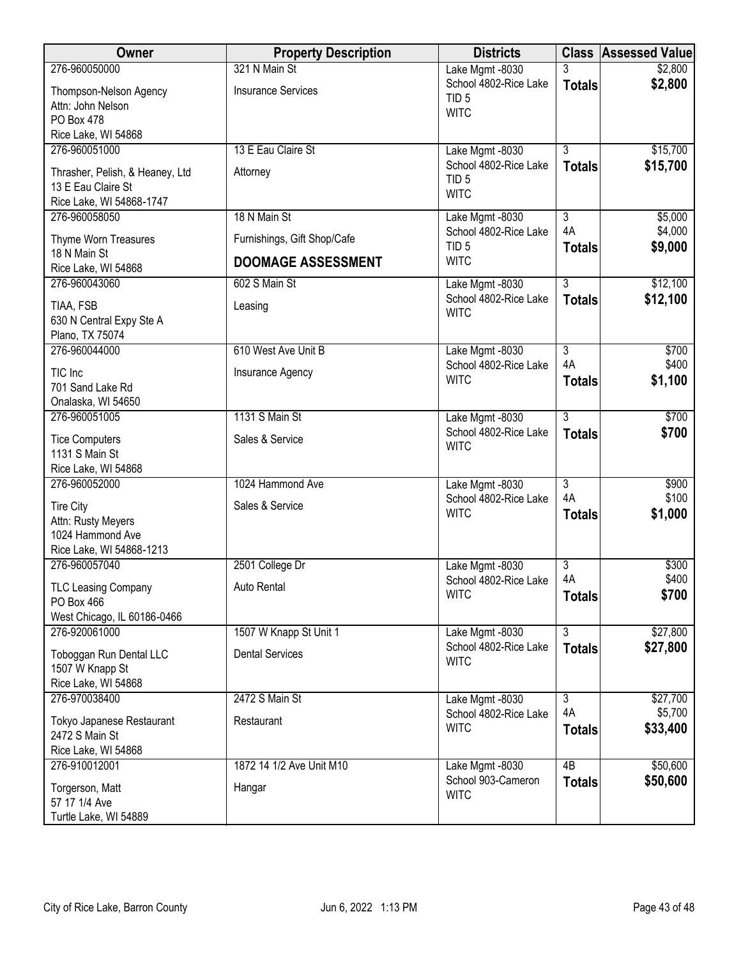| <b>Owner</b>                                | <b>Property Description</b> | <b>Districts</b>                          |                           | <b>Class Assessed Value</b> |
|---------------------------------------------|-----------------------------|-------------------------------------------|---------------------------|-----------------------------|
| 276-960050000                               | 321 N Main St               | Lake Mgmt -8030                           |                           | \$2,800                     |
| Thompson-Nelson Agency                      | <b>Insurance Services</b>   | School 4802-Rice Lake<br>TID <sub>5</sub> | <b>Totals</b>             | \$2,800                     |
| Attn: John Nelson                           |                             | <b>WITC</b>                               |                           |                             |
| PO Box 478                                  |                             |                                           |                           |                             |
| Rice Lake, WI 54868<br>276-960051000        | 13 E Eau Claire St          | Lake Mgmt -8030                           | $\overline{3}$            | \$15,700                    |
|                                             |                             | School 4802-Rice Lake                     | <b>Totals</b>             | \$15,700                    |
| Thrasher, Pelish, & Heaney, Ltd             | Attorney                    | TID <sub>5</sub>                          |                           |                             |
| 13 E Eau Claire St                          |                             | <b>WITC</b>                               |                           |                             |
| Rice Lake, WI 54868-1747<br>276-960058050   | 18 N Main St                | Lake Mgmt -8030                           | $\overline{3}$            | \$5,000                     |
|                                             |                             | School 4802-Rice Lake                     | 4A                        | \$4,000                     |
| Thyme Worn Treasures                        | Furnishings, Gift Shop/Cafe | TID <sub>5</sub>                          | <b>Totals</b>             | \$9,000                     |
| 18 N Main St                                | <b>DOOMAGE ASSESSMENT</b>   | <b>WITC</b>                               |                           |                             |
| Rice Lake, WI 54868<br>276-960043060        | 602 S Main St               | Lake Mgmt -8030                           | $\overline{3}$            | \$12,100                    |
|                                             |                             | School 4802-Rice Lake                     | <b>Totals</b>             | \$12,100                    |
| TIAA, FSB                                   | Leasing                     | <b>WITC</b>                               |                           |                             |
| 630 N Central Expy Ste A<br>Plano, TX 75074 |                             |                                           |                           |                             |
| 276-960044000                               | 610 West Ave Unit B         | Lake Mgmt -8030                           | $\overline{3}$            | \$700                       |
|                                             |                             | School 4802-Rice Lake                     | 4A                        | \$400                       |
| TIC Inc                                     | Insurance Agency            | <b>WITC</b>                               | <b>Totals</b>             | \$1,100                     |
| 701 Sand Lake Rd<br>Onalaska, WI 54650      |                             |                                           |                           |                             |
| 276-960051005                               | 1131 S Main St              | Lake Mgmt -8030                           | $\overline{3}$            | \$700                       |
|                                             |                             | School 4802-Rice Lake                     | <b>Totals</b>             | \$700                       |
| <b>Tice Computers</b><br>1131 S Main St     | Sales & Service             | <b>WITC</b>                               |                           |                             |
| Rice Lake, WI 54868                         |                             |                                           |                           |                             |
| 276-960052000                               | 1024 Hammond Ave            | Lake Mgmt -8030                           | $\overline{\overline{3}}$ | \$900                       |
| <b>Tire City</b>                            | Sales & Service             | School 4802-Rice Lake                     | 4A                        | \$100                       |
| Attn: Rusty Meyers                          |                             | <b>WITC</b>                               | <b>Totals</b>             | \$1,000                     |
| 1024 Hammond Ave                            |                             |                                           |                           |                             |
| Rice Lake, WI 54868-1213                    |                             |                                           |                           |                             |
| 276-960057040                               | 2501 College Dr             | Lake Mgmt -8030                           | $\overline{3}$            | \$300                       |
| <b>TLC Leasing Company</b>                  | Auto Rental                 | School 4802-Rice Lake                     | 4A                        | \$400                       |
| PO Box 466                                  |                             | <b>WITC</b>                               | <b>Totals</b>             | \$700                       |
| West Chicago, IL 60186-0466                 |                             |                                           |                           |                             |
| 276-920061000                               | 1507 W Knapp St Unit 1      | Lake Mgmt -8030                           | $\overline{3}$            | \$27,800                    |
| Toboggan Run Dental LLC                     | <b>Dental Services</b>      | School 4802-Rice Lake                     | <b>Totals</b>             | \$27,800                    |
| 1507 W Knapp St                             |                             | <b>WITC</b>                               |                           |                             |
| Rice Lake, WI 54868                         |                             |                                           |                           |                             |
| 276-970038400                               | 2472 S Main St              | Lake Mgmt -8030                           | $\overline{3}$<br>4A      | \$27,700                    |
| Tokyo Japanese Restaurant                   | Restaurant                  | School 4802-Rice Lake<br><b>WITC</b>      |                           | \$5,700<br>\$33,400         |
| 2472 S Main St                              |                             |                                           | <b>Totals</b>             |                             |
| Rice Lake, WI 54868                         |                             |                                           |                           |                             |
| 276-910012001                               | 1872 14 1/2 Ave Unit M10    | Lake Mgmt -8030<br>School 903-Cameron     | $\overline{AB}$           | \$50,600                    |
| Torgerson, Matt                             | Hangar                      | <b>WITC</b>                               | <b>Totals</b>             | \$50,600                    |
| 57 17 1/4 Ave                               |                             |                                           |                           |                             |
| Turtle Lake, WI 54889                       |                             |                                           |                           |                             |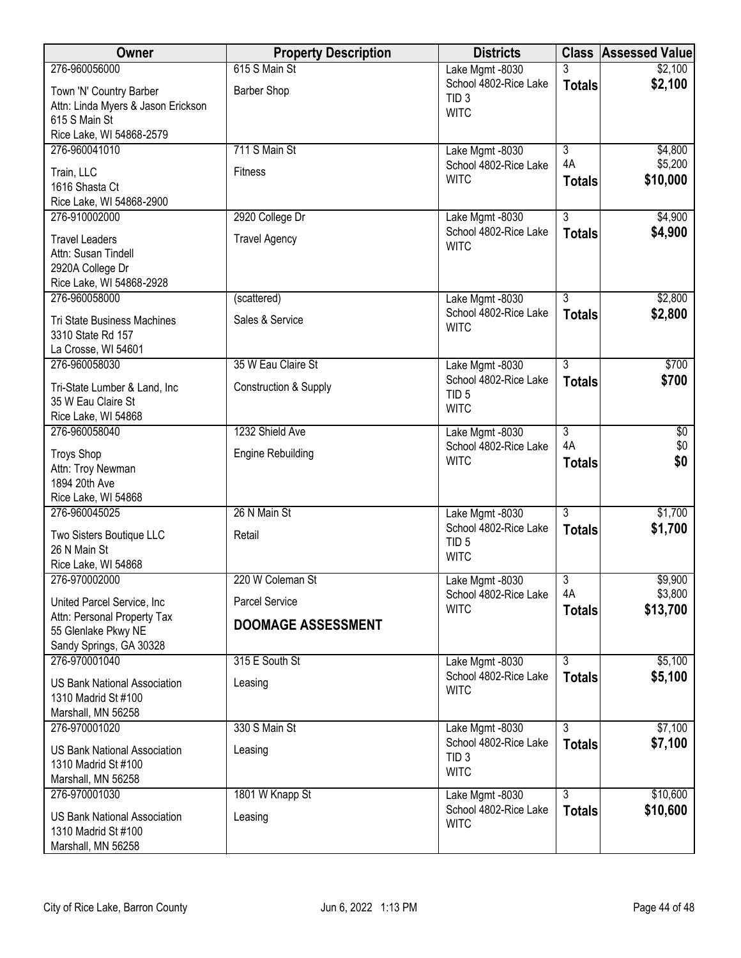| Owner                                              | <b>Property Description</b>      | <b>Districts</b>                          |                           | <b>Class Assessed Value</b> |
|----------------------------------------------------|----------------------------------|-------------------------------------------|---------------------------|-----------------------------|
| 276-960056000                                      | 615 S Main St                    | Lake Mgmt -8030                           | 3                         | \$2,100                     |
| Town 'N' Country Barber                            | <b>Barber Shop</b>               | School 4802-Rice Lake<br>TID <sub>3</sub> | <b>Totals</b>             | \$2,100                     |
| Attn: Linda Myers & Jason Erickson                 |                                  | <b>WITC</b>                               |                           |                             |
| 615 S Main St                                      |                                  |                                           |                           |                             |
| Rice Lake, WI 54868-2579<br>276-960041010          | 711 S Main St                    | Lake Mgmt -8030                           | $\overline{\overline{3}}$ | \$4,800                     |
|                                                    |                                  | School 4802-Rice Lake                     | 4A                        | \$5,200                     |
| Train, LLC<br>1616 Shasta Ct                       | <b>Fitness</b>                   | <b>WITC</b>                               | <b>Totals</b>             | \$10,000                    |
| Rice Lake, WI 54868-2900                           |                                  |                                           |                           |                             |
| 276-910002000                                      | 2920 College Dr                  | Lake Mgmt -8030                           | $\overline{3}$            | \$4,900                     |
| <b>Travel Leaders</b>                              | <b>Travel Agency</b>             | School 4802-Rice Lake                     | <b>Totals</b>             | \$4,900                     |
| Attn: Susan Tindell                                |                                  | <b>WITC</b>                               |                           |                             |
| 2920A College Dr                                   |                                  |                                           |                           |                             |
| Rice Lake, WI 54868-2928                           |                                  |                                           |                           |                             |
| 276-960058000                                      | (scattered)                      | Lake Mgmt -8030                           | $\overline{3}$            | \$2,800                     |
| <b>Tri State Business Machines</b>                 | Sales & Service                  | School 4802-Rice Lake<br><b>WITC</b>      | <b>Totals</b>             | \$2,800                     |
| 3310 State Rd 157                                  |                                  |                                           |                           |                             |
| La Crosse, WI 54601<br>276-960058030               | 35 W Eau Claire St               | Lake Mgmt -8030                           | $\overline{3}$            | \$700                       |
|                                                    |                                  | School 4802-Rice Lake                     | <b>Totals</b>             | \$700                       |
| Tri-State Lumber & Land, Inc                       | <b>Construction &amp; Supply</b> | TID <sub>5</sub>                          |                           |                             |
| 35 W Eau Claire St<br>Rice Lake, WI 54868          |                                  | <b>WITC</b>                               |                           |                             |
| 276-960058040                                      | 1232 Shield Ave                  | Lake Mgmt -8030                           | $\overline{3}$            | $\overline{50}$             |
| <b>Troys Shop</b>                                  | <b>Engine Rebuilding</b>         | School 4802-Rice Lake                     | 4A                        | \$0                         |
| Attn: Troy Newman                                  |                                  | <b>WITC</b>                               | <b>Totals</b>             | \$0                         |
| 1894 20th Ave                                      |                                  |                                           |                           |                             |
| Rice Lake, WI 54868                                |                                  |                                           |                           |                             |
| 276-960045025                                      | 26 N Main St                     | Lake Mgmt -8030                           | $\overline{3}$            | \$1,700                     |
| Two Sisters Boutique LLC                           | Retail                           | School 4802-Rice Lake<br>TID <sub>5</sub> | <b>Totals</b>             | \$1,700                     |
| 26 N Main St                                       |                                  | <b>WITC</b>                               |                           |                             |
| Rice Lake, WI 54868<br>276-970002000               | 220 W Coleman St                 | Lake Mgmt -8030                           | 3                         | \$9,900                     |
|                                                    |                                  | School 4802-Rice Lake                     | 4A                        | \$3,800                     |
| United Parcel Service, Inc                         | <b>Parcel Service</b>            | <b>WITC</b>                               | <b>Totals</b>             | \$13,700                    |
| Attn: Personal Property Tax<br>55 Glenlake Pkwy NE | <b>DOOMAGE ASSESSMENT</b>        |                                           |                           |                             |
| Sandy Springs, GA 30328                            |                                  |                                           |                           |                             |
| 276-970001040                                      | 315 E South St                   | Lake Mgmt -8030                           | $\overline{3}$            | \$5,100                     |
| <b>US Bank National Association</b>                | Leasing                          | School 4802-Rice Lake                     | <b>Totals</b>             | \$5,100                     |
| 1310 Madrid St #100                                |                                  | <b>WITC</b>                               |                           |                             |
| Marshall, MN 56258                                 |                                  |                                           |                           |                             |
| 276-970001020                                      | 330 S Main St                    | Lake Mgmt -8030                           | $\overline{3}$            | \$7,100                     |
| <b>US Bank National Association</b>                | Leasing                          | School 4802-Rice Lake<br>TID <sub>3</sub> | <b>Totals</b>             | \$7,100                     |
| 1310 Madrid St #100                                |                                  | <b>WITC</b>                               |                           |                             |
| Marshall, MN 56258<br>276-970001030                | 1801 W Knapp St                  |                                           | $\overline{3}$            | \$10,600                    |
|                                                    |                                  | Lake Mgmt -8030<br>School 4802-Rice Lake  | <b>Totals</b>             | \$10,600                    |
| <b>US Bank National Association</b>                | Leasing                          | <b>WITC</b>                               |                           |                             |
| 1310 Madrid St #100<br>Marshall, MN 56258          |                                  |                                           |                           |                             |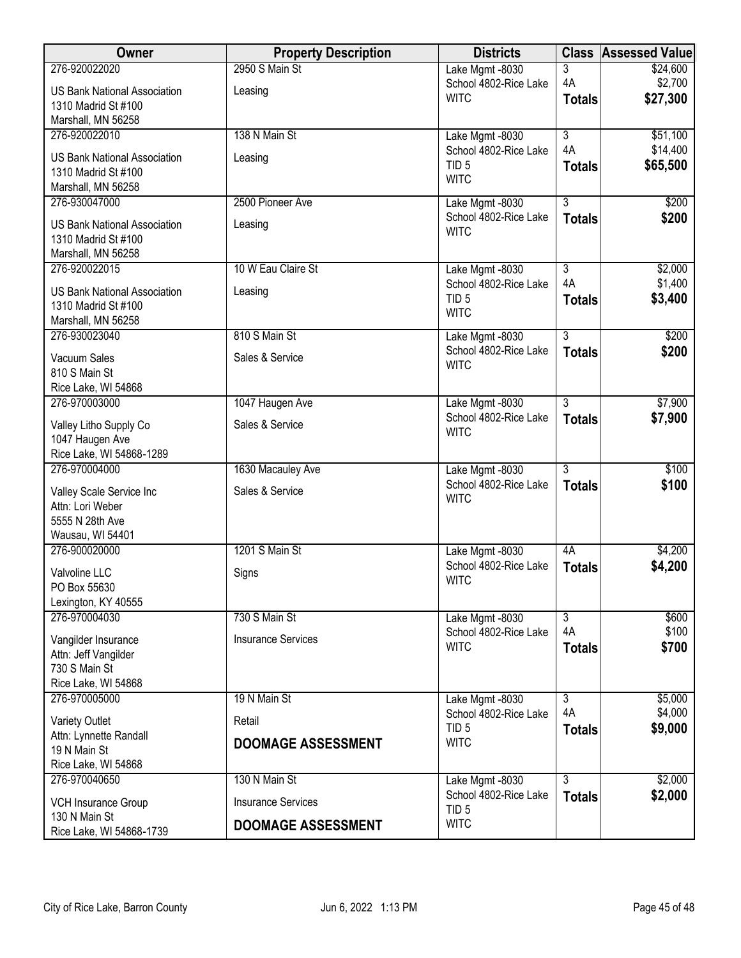| Owner                                        | <b>Property Description</b> | <b>Districts</b>      | <b>Class</b>              | <b>Assessed Value</b> |
|----------------------------------------------|-----------------------------|-----------------------|---------------------------|-----------------------|
| 276-920022020                                | 2950 S Main St              | Lake Mgmt -8030       | 3                         | \$24,600              |
| <b>US Bank National Association</b>          | Leasing                     | School 4802-Rice Lake | 4A                        | \$2,700               |
| 1310 Madrid St #100                          |                             | <b>WITC</b>           | <b>Totals</b>             | \$27,300              |
| Marshall, MN 56258                           |                             |                       |                           |                       |
| 276-920022010                                | 138 N Main St               | Lake Mgmt -8030       | $\overline{\overline{3}}$ | \$51,100              |
| <b>US Bank National Association</b>          | Leasing                     | School 4802-Rice Lake | 4A                        | \$14,400              |
| 1310 Madrid St #100                          |                             | TID <sub>5</sub>      | <b>Totals</b>             | \$65,500              |
| Marshall, MN 56258                           |                             | <b>WITC</b>           |                           |                       |
| 276-930047000                                | 2500 Pioneer Ave            | Lake Mgmt -8030       | $\overline{3}$            | \$200                 |
| <b>US Bank National Association</b>          | Leasing                     | School 4802-Rice Lake | <b>Totals</b>             | \$200                 |
| 1310 Madrid St #100                          |                             | <b>WITC</b>           |                           |                       |
| Marshall, MN 56258                           |                             |                       |                           |                       |
| 276-920022015                                | 10 W Eau Claire St          | Lake Mgmt -8030       | $\overline{3}$            | \$2,000               |
| <b>US Bank National Association</b>          | Leasing                     | School 4802-Rice Lake | 4A                        | \$1,400               |
| 1310 Madrid St #100                          |                             | TID <sub>5</sub>      | <b>Totals</b>             | \$3,400               |
| Marshall, MN 56258                           |                             | <b>WITC</b>           |                           |                       |
| 276-930023040                                | 810 S Main St               | Lake Mgmt -8030       | $\overline{3}$            | \$200                 |
| Vacuum Sales                                 | Sales & Service             | School 4802-Rice Lake | <b>Totals</b>             | \$200                 |
| 810 S Main St                                |                             | <b>WITC</b>           |                           |                       |
| Rice Lake, WI 54868                          |                             |                       |                           |                       |
| 276-970003000                                | 1047 Haugen Ave             | Lake Mgmt -8030       | $\overline{3}$            | \$7,900               |
|                                              | Sales & Service             | School 4802-Rice Lake | <b>Totals</b>             | \$7,900               |
| Valley Litho Supply Co<br>1047 Haugen Ave    |                             | <b>WITC</b>           |                           |                       |
| Rice Lake, WI 54868-1289                     |                             |                       |                           |                       |
| 276-970004000                                | 1630 Macauley Ave           | Lake Mgmt -8030       | $\overline{3}$            | \$100                 |
|                                              |                             | School 4802-Rice Lake | <b>Totals</b>             | \$100                 |
| Valley Scale Service Inc<br>Attn: Lori Weber | Sales & Service             | <b>WITC</b>           |                           |                       |
| 5555 N 28th Ave                              |                             |                       |                           |                       |
| Wausau, WI 54401                             |                             |                       |                           |                       |
| 276-900020000                                | 1201 S Main St              | Lake Mgmt -8030       | 4A                        | \$4,200               |
| Valvoline LLC                                | Signs                       | School 4802-Rice Lake | <b>Totals</b>             | \$4,200               |
| PO Box 55630                                 |                             | <b>WITC</b>           |                           |                       |
| Lexington, KY 40555                          |                             |                       |                           |                       |
| 276-970004030                                | 730 S Main St               | Lake Mgmt -8030       | $\overline{3}$            | \$600                 |
| Vangilder Insurance                          | <b>Insurance Services</b>   | School 4802-Rice Lake | 4A                        | \$100                 |
| Attn: Jeff Vangilder                         |                             | <b>WITC</b>           | <b>Totals</b>             | \$700                 |
| 730 S Main St                                |                             |                       |                           |                       |
| Rice Lake, WI 54868                          |                             |                       |                           |                       |
| 276-970005000                                | 19 N Main St                | Lake Mgmt -8030       | $\overline{3}$            | \$5,000               |
| Variety Outlet                               | Retail                      | School 4802-Rice Lake | 4A                        | \$4,000               |
| Attn: Lynnette Randall                       |                             | TID <sub>5</sub>      | <b>Totals</b>             | \$9,000               |
| 19 N Main St                                 | <b>DOOMAGE ASSESSMENT</b>   | <b>WITC</b>           |                           |                       |
| Rice Lake, WI 54868                          |                             |                       |                           |                       |
| 276-970040650                                | 130 N Main St               | Lake Mgmt -8030       | $\overline{3}$            | \$2,000               |
| <b>VCH Insurance Group</b>                   | <b>Insurance Services</b>   | School 4802-Rice Lake | <b>Totals</b>             | \$2,000               |
| 130 N Main St                                |                             | TID <sub>5</sub>      |                           |                       |
| Rice Lake, WI 54868-1739                     | <b>DOOMAGE ASSESSMENT</b>   | <b>WITC</b>           |                           |                       |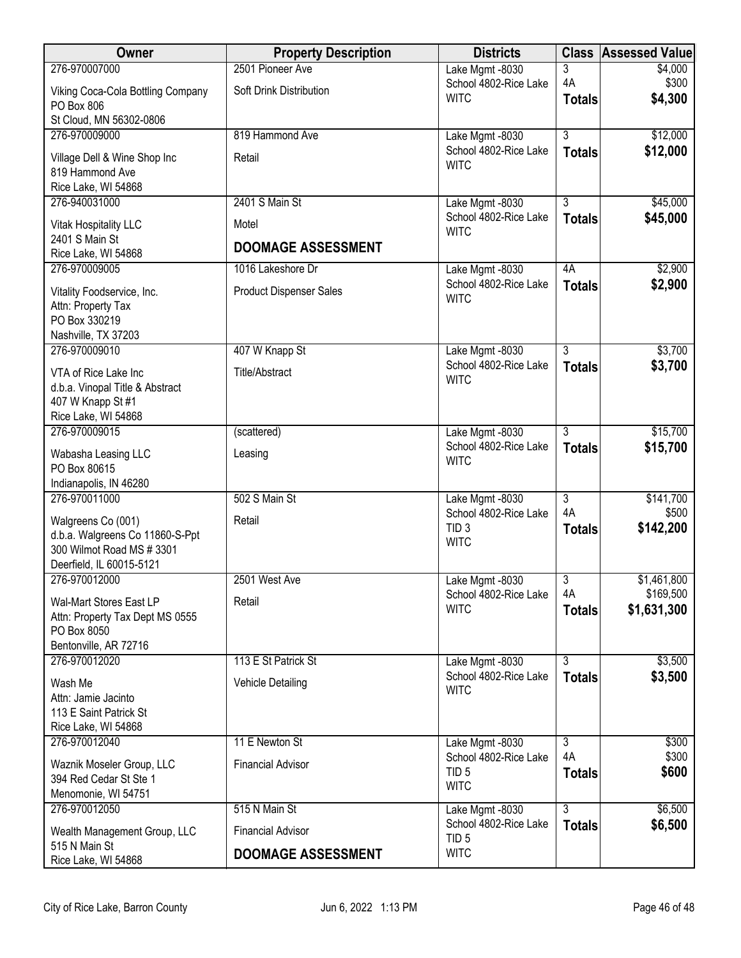| Owner                                  | <b>Property Description</b>    | <b>Districts</b>                          |                | <b>Class Assessed Value</b> |
|----------------------------------------|--------------------------------|-------------------------------------------|----------------|-----------------------------|
| 276-970007000                          | 2501 Pioneer Ave               | Lake Mgmt -8030                           | 3              | \$4,000                     |
| Viking Coca-Cola Bottling Company      | Soft Drink Distribution        | School 4802-Rice Lake<br><b>WITC</b>      | 4A             | \$300                       |
| PO Box 806                             |                                |                                           | <b>Totals</b>  | \$4,300                     |
| St Cloud, MN 56302-0806                |                                |                                           |                |                             |
| 276-970009000                          | 819 Hammond Ave                | Lake Mgmt -8030                           | $\overline{3}$ | \$12,000                    |
| Village Dell & Wine Shop Inc           | Retail                         | School 4802-Rice Lake<br><b>WITC</b>      | <b>Totals</b>  | \$12,000                    |
| 819 Hammond Ave                        |                                |                                           |                |                             |
| Rice Lake, WI 54868                    |                                |                                           |                |                             |
| 276-940031000                          | 2401 S Main St                 | Lake Mgmt -8030                           | $\overline{3}$ | \$45,000                    |
| Vitak Hospitality LLC                  | Motel                          | School 4802-Rice Lake<br><b>WITC</b>      | <b>Totals</b>  | \$45,000                    |
| 2401 S Main St                         | <b>DOOMAGE ASSESSMENT</b>      |                                           |                |                             |
| Rice Lake, WI 54868                    |                                |                                           |                |                             |
| 276-970009005                          | 1016 Lakeshore Dr              | Lake Mgmt -8030                           | 4A             | \$2,900                     |
| Vitality Foodservice, Inc.             | <b>Product Dispenser Sales</b> | School 4802-Rice Lake                     | <b>Totals</b>  | \$2,900                     |
| Attn: Property Tax                     |                                | <b>WITC</b>                               |                |                             |
| PO Box 330219                          |                                |                                           |                |                             |
| Nashville, TX 37203                    |                                |                                           |                |                             |
| 276-970009010                          | 407 W Knapp St                 | Lake Mgmt -8030                           | 3              | \$3,700                     |
| VTA of Rice Lake Inc                   | <b>Title/Abstract</b>          | School 4802-Rice Lake<br><b>WITC</b>      | <b>Totals</b>  | \$3,700                     |
| d.b.a. Vinopal Title & Abstract        |                                |                                           |                |                             |
| 407 W Knapp St #1                      |                                |                                           |                |                             |
| Rice Lake, WI 54868                    |                                |                                           |                |                             |
| 276-970009015                          | (scattered)                    | Lake Mgmt -8030                           | $\overline{3}$ | \$15,700                    |
| Wabasha Leasing LLC                    | Leasing                        | School 4802-Rice Lake<br><b>WITC</b>      | <b>Totals</b>  | \$15,700                    |
| PO Box 80615                           |                                |                                           |                |                             |
| Indianapolis, IN 46280                 |                                |                                           |                |                             |
| 276-970011000                          | 502 S Main St                  | Lake Mgmt -8030                           | $\overline{3}$ | \$141,700                   |
| Walgreens Co (001)                     | Retail                         | School 4802-Rice Lake<br>TID <sub>3</sub> | 4A             | \$500                       |
| d.b.a. Walgreens Co 11860-S-Ppt        |                                | <b>WITC</b>                               | <b>Totals</b>  | \$142,200                   |
| 300 Wilmot Road MS # 3301              |                                |                                           |                |                             |
| Deerfield, IL 60015-5121               |                                |                                           |                |                             |
| 276-970012000                          | 2501 West Ave                  | Lake Mgmt -8030                           | 3<br>4A        | \$1,461,800<br>\$169,500    |
| Wal-Mart Stores East LP                | Retail                         | School 4802-Rice Lake<br><b>WITC</b>      |                | \$1,631,300                 |
| Attn: Property Tax Dept MS 0555        |                                |                                           | <b>Totals</b>  |                             |
| PO Box 8050                            |                                |                                           |                |                             |
| Bentonville, AR 72716<br>276-970012020 |                                |                                           |                |                             |
|                                        | 113 E St Patrick St            | Lake Mgmt -8030<br>School 4802-Rice Lake  | $\overline{3}$ | \$3,500<br>\$3,500          |
| Wash Me                                | Vehicle Detailing              | <b>WITC</b>                               | <b>Totals</b>  |                             |
| Attn: Jamie Jacinto                    |                                |                                           |                |                             |
| 113 E Saint Patrick St                 |                                |                                           |                |                             |
| Rice Lake, WI 54868<br>276-970012040   | 11 E Newton St                 | Lake Mgmt -8030                           | $\overline{3}$ | \$300                       |
|                                        |                                | School 4802-Rice Lake                     | 4A             | \$300                       |
| Waznik Moseler Group, LLC              | <b>Financial Advisor</b>       | TID <sub>5</sub>                          | <b>Totals</b>  | \$600                       |
| 394 Red Cedar St Ste 1                 |                                | <b>WITC</b>                               |                |                             |
| Menomonie, WI 54751<br>276-970012050   | 515 N Main St                  |                                           | $\overline{3}$ | \$6,500                     |
|                                        |                                | Lake Mgmt -8030<br>School 4802-Rice Lake  |                | \$6,500                     |
| Wealth Management Group, LLC           | <b>Financial Advisor</b>       | TID <sub>5</sub>                          | <b>Totals</b>  |                             |
| 515 N Main St<br>Rice Lake, WI 54868   | <b>DOOMAGE ASSESSMENT</b>      | <b>WITC</b>                               |                |                             |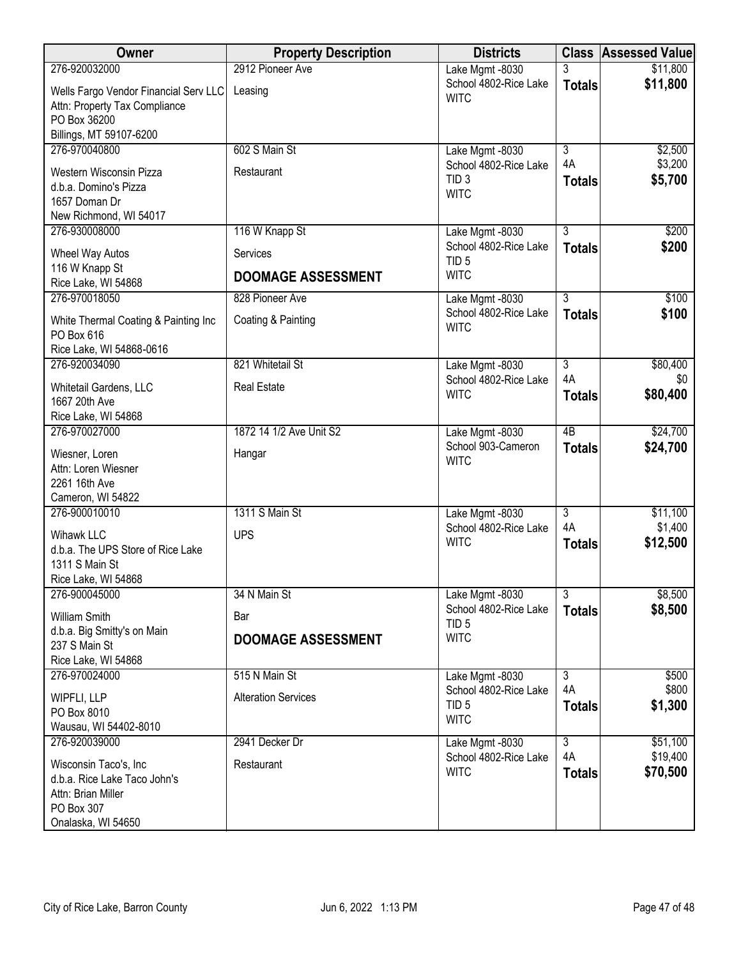| Owner                                                                  | <b>Property Description</b> | <b>Districts</b>                          |                     | <b>Class Assessed Value</b> |
|------------------------------------------------------------------------|-----------------------------|-------------------------------------------|---------------------|-----------------------------|
| 276-920032000                                                          | 2912 Pioneer Ave            | Lake Mgmt -8030                           |                     | \$11,800                    |
| Wells Fargo Vendor Financial Serv LLC<br>Attn: Property Tax Compliance | Leasing                     | School 4802-Rice Lake<br><b>WITC</b>      | <b>Totals</b>       | \$11,800                    |
| PO Box 36200<br>Billings, MT 59107-6200                                |                             |                                           |                     |                             |
| 276-970040800                                                          | 602 S Main St               | Lake Mgmt -8030                           | $\overline{3}$      | \$2,500                     |
| Western Wisconsin Pizza<br>d.b.a. Domino's Pizza                       | Restaurant                  | School 4802-Rice Lake<br>TID <sub>3</sub> | 4A<br><b>Totals</b> | \$3,200<br>\$5,700          |
| 1657 Doman Dr                                                          |                             | <b>WITC</b>                               |                     |                             |
| New Richmond, WI 54017                                                 |                             |                                           |                     |                             |
| 276-930008000                                                          | 116 W Knapp St              | Lake Mgmt -8030                           | $\overline{3}$      | \$200                       |
| Wheel Way Autos<br>116 W Knapp St                                      | Services                    | School 4802-Rice Lake<br>TID <sub>5</sub> | <b>Totals</b>       | \$200                       |
| Rice Lake, WI 54868                                                    | <b>DOOMAGE ASSESSMENT</b>   | <b>WITC</b>                               |                     |                             |
| 276-970018050                                                          | 828 Pioneer Ave             | Lake Mgmt -8030                           | $\overline{3}$      | \$100                       |
| White Thermal Coating & Painting Inc<br>PO Box 616                     | Coating & Painting          | School 4802-Rice Lake<br><b>WITC</b>      | <b>Totals</b>       | \$100                       |
| Rice Lake, WI 54868-0616                                               |                             |                                           |                     |                             |
| 276-920034090                                                          | 821 Whitetail St            | Lake Mgmt -8030                           | $\overline{3}$      | \$80,400                    |
| Whitetail Gardens, LLC<br>1667 20th Ave                                | <b>Real Estate</b>          | School 4802-Rice Lake<br><b>WITC</b>      | 4A<br><b>Totals</b> | \$0<br>\$80,400             |
| Rice Lake, WI 54868                                                    |                             |                                           |                     |                             |
| 276-970027000                                                          | 1872 14 1/2 Ave Unit S2     | Lake Mgmt -8030                           | $\overline{AB}$     | \$24,700                    |
| Wiesner, Loren<br>Attn: Loren Wiesner                                  | Hangar                      | School 903-Cameron<br><b>WITC</b>         | <b>Totals</b>       | \$24,700                    |
| 2261 16th Ave                                                          |                             |                                           |                     |                             |
| Cameron, WI 54822                                                      |                             |                                           |                     |                             |
| 276-900010010                                                          | 1311 S Main St              | Lake Mgmt -8030                           | $\overline{3}$      | \$11,100                    |
| Wihawk LLC                                                             | <b>UPS</b>                  | School 4802-Rice Lake<br><b>WITC</b>      | 4A                  | \$1,400                     |
| d.b.a. The UPS Store of Rice Lake                                      |                             |                                           | <b>Totals</b>       | \$12,500                    |
| 1311 S Main St                                                         |                             |                                           |                     |                             |
| Rice Lake, WI 54868<br>276-900045000                                   | 34 N Main St                | Lake Mgmt -8030                           | $\overline{3}$      | \$8,500                     |
| William Smith                                                          | Bar                         | School 4802-Rice Lake<br>TID <sub>5</sub> | <b>Totals</b>       | \$8,500                     |
| d.b.a. Big Smitty's on Main                                            | <b>DOOMAGE ASSESSMENT</b>   | <b>WITC</b>                               |                     |                             |
| 237 S Main St                                                          |                             |                                           |                     |                             |
| Rice Lake, WI 54868<br>276-970024000                                   | 515 N Main St               | Lake Mgmt -8030                           | $\overline{3}$      | \$500                       |
|                                                                        |                             | School 4802-Rice Lake                     | 4A                  | \$800                       |
| WIPFLI, LLP                                                            | <b>Alteration Services</b>  | TID <sub>5</sub>                          | <b>Totals</b>       | \$1,300                     |
| PO Box 8010<br>Wausau, WI 54402-8010                                   |                             | <b>WITC</b>                               |                     |                             |
| 276-920039000                                                          | 2941 Decker Dr              | Lake Mgmt -8030                           | $\overline{3}$      | \$51,100                    |
|                                                                        |                             | School 4802-Rice Lake                     | 4A                  | \$19,400                    |
| Wisconsin Taco's, Inc<br>d.b.a. Rice Lake Taco John's                  | Restaurant                  | <b>WITC</b>                               | <b>Totals</b>       | \$70,500                    |
| Attn: Brian Miller                                                     |                             |                                           |                     |                             |
| PO Box 307                                                             |                             |                                           |                     |                             |
| Onalaska, WI 54650                                                     |                             |                                           |                     |                             |